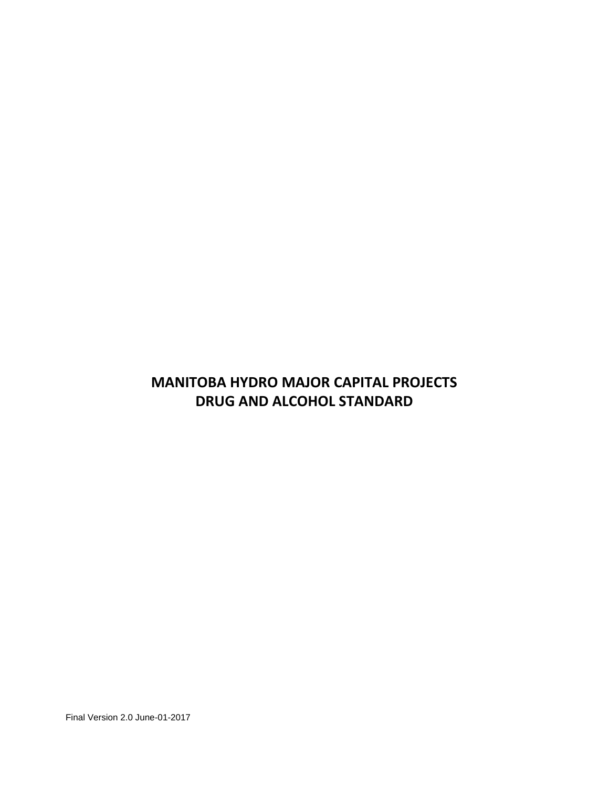# **MANITOBA HYDRO MAJOR CAPITAL PROJECTS DRUG AND ALCOHOL STANDARD**

Final Version 2.0 June-01-2017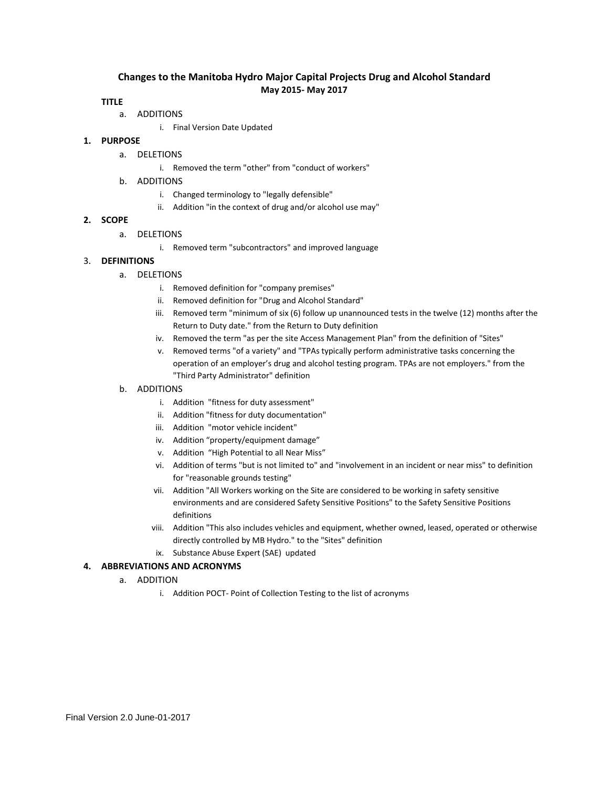## **Changes to the Manitoba Hydro Major Capital Projects Drug and Alcohol Standard May 2015- May 2017**

#### **TITLE**

- a. ADDITIONS
	- i. Final Version Date Updated

#### **1. PURPOSE**

- a. DELETIONS
	- i. Removed the term "other" from "conduct of workers"
- b. ADDITIONS
	- i. Changed terminology to "legally defensible"
	- ii. Addition "in the context of drug and/or alcohol use may"

#### **2. SCOPE**

- a. DELETIONS
	- i. Removed term "subcontractors" and improved language

### 3. **DEFINITIONS**

- a. DELETIONS
	- i. Removed definition for "company premises"
	- ii. Removed definition for "Drug and Alcohol Standard"
	- iii. Removed term "minimum of six (6) follow up unannounced tests in the twelve (12) months after the Return to Duty date." from the Return to Duty definition
	- iv. Removed the term "as per the site Access Management Plan" from the definition of "Sites"
	- v. Removed terms "of a variety" and "TPAs typically perform administrative tasks concerning the operation of an employer's drug and alcohol testing program. TPAs are not employers." from the "Third Party Administrator" definition

#### b. ADDITIONS

- i. Addition "fitness for duty assessment"
- ii. Addition "fitness for duty documentation"
- iii. Addition "motor vehicle incident"
- iv. Addition "property/equipment damage"
- v. Addition "High Potential to all Near Miss"
- vi. Addition of terms "but is not limited to" and "involvement in an incident or near miss" to definition for "reasonable grounds testing"
- vii. Addition "All Workers working on the Site are considered to be working in safety sensitive environments and are considered Safety Sensitive Positions" to the Safety Sensitive Positions definitions
- viii. Addition "This also includes vehicles and equipment, whether owned, leased, operated or otherwise directly controlled by MB Hydro." to the "Sites" definition
- ix. Substance Abuse Expert (SAE) updated

#### **4. ABBREVIATIONS AND ACRONYMS**

- a. ADDITION
	- i. Addition POCT- Point of Collection Testing to the list of acronyms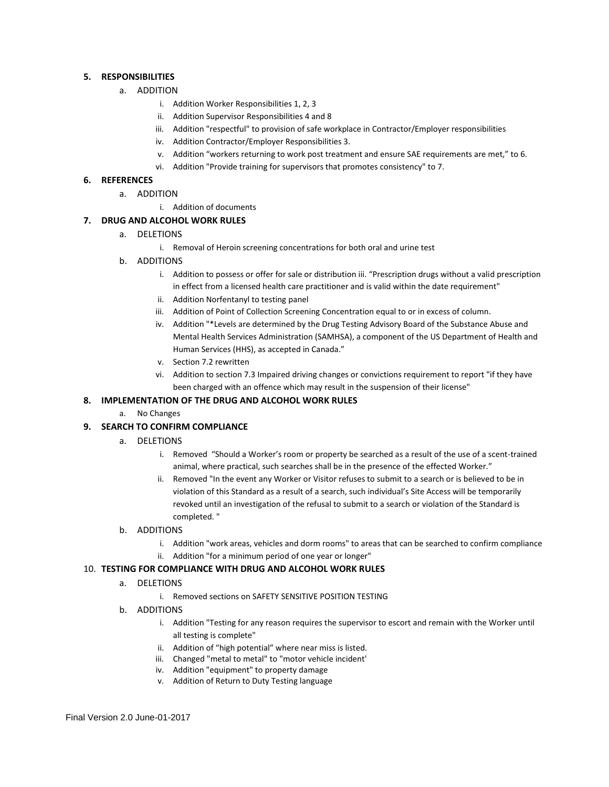#### **5. RESPONSIBILITIES**

- a. ADDITION
	- i. Addition Worker Responsibilities 1, 2, 3
	- ii. Addition Supervisor Responsibilities 4 and 8
	- iii. Addition "respectful" to provision of safe workplace in Contractor/Employer responsibilities
	- iv. Addition Contractor/Employer Responsibilities 3.
	- v. Addition "workers returning to work post treatment and ensure SAE requirements are met," to 6.
	- vi. Addition "Provide training for supervisors that promotes consistency" to 7.

#### **6. REFERENCES**

- a. ADDITION
	- i. Addition of documents

#### **7. DRUG AND ALCOHOL WORK RULES**

- a. DELETIONS
	- i. Removal of Heroin screening concentrations for both oral and urine test
- b. ADDITIONS
	- i. Addition to possess or offer for sale or distribution iii. "Prescription drugs without a valid prescription in effect from a licensed health care practitioner and is valid within the date requirement"
	- ii. Addition Norfentanyl to testing panel
	- iii. Addition of Point of Collection Screening Concentration equal to or in excess of column.
	- iv. Addition "\*Levels are determined by the Drug Testing Advisory Board of the Substance Abuse and Mental Health Services Administration (SAMHSA), a component of the US Department of Health and Human Services (HHS), as accepted in Canada."
	- v. Section 7.2 rewritten
	- vi. Addition to section 7.3 Impaired driving changes or convictions requirement to report "if they have been charged with an offence which may result in the suspension of their license"

#### **8. IMPLEMENTATION OF THE DRUG AND ALCOHOL WORK RULES**

a. No Changes

#### **9. SEARCH TO CONFIRM COMPLIANCE**

- a. DELETIONS
	- i. Removed "Should a Worker's room or property be searched as a result of the use of a scent-trained animal, where practical, such searches shall be in the presence of the effected Worker."
	- ii. Removed "In the event any Worker or Visitor refuses to submit to a search or is believed to be in violation of this Standard as a result of a search, such individual's Site Access will be temporarily revoked until an investigation of the refusal to submit to a search or violation of the Standard is completed. "

#### b. ADDITIONS

- i. Addition "work areas, vehicles and dorm rooms" to areas that can be searched to confirm compliance
- ii. Addition "for a minimum period of one year or longer"

#### 10. **TESTING FOR COMPLIANCE WITH DRUG AND ALCOHOL WORK RULES**

- a. DELETIONS
	- i. Removed sections on SAFETY SENSITIVE POSITION TESTING
- b. ADDITIONS
	- i. Addition "Testing for any reason requires the supervisor to escort and remain with the Worker until all testing is complete"
	- ii. Addition of "high potential" where near miss is listed.
	- iii. Changed "metal to metal" to "motor vehicle incident'
	- iv. Addition "equipment" to property damage
	- v. Addition of Return to Duty Testing language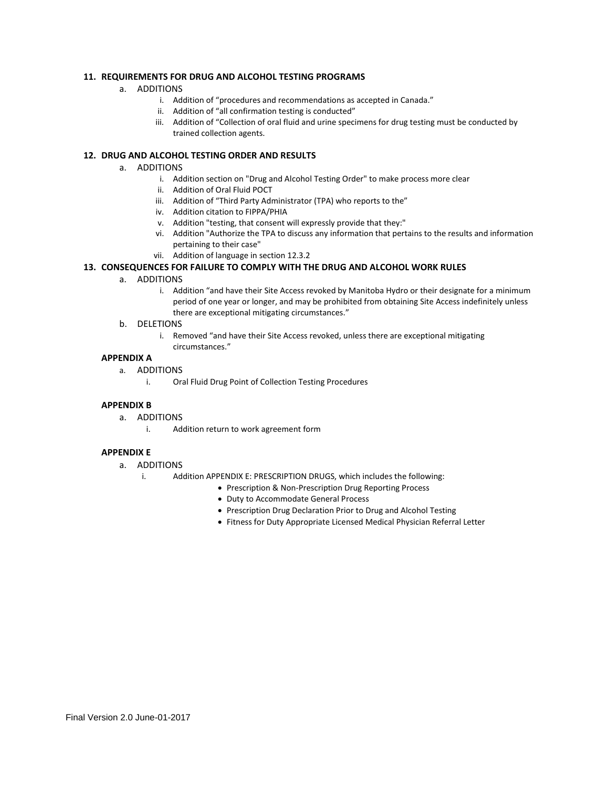#### **11. REQUIREMENTS FOR DRUG AND ALCOHOL TESTING PROGRAMS**

- a. ADDITIONS
	- i. Addition of "procedures and recommendations as accepted in Canada."
	- ii. Addition of "all confirmation testing is conducted"
	- iii. Addition of "Collection of oral fluid and urine specimens for drug testing must be conducted by trained collection agents.

#### **12. DRUG AND ALCOHOL TESTING ORDER AND RESULTS**

- a. ADDITIONS
	- i. Addition section on "Drug and Alcohol Testing Order" to make process more clear
	- ii. Addition of Oral Fluid POCT
	- iii. Addition of "Third Party Administrator (TPA) who reports to the"
	- iv. Addition citation to FIPPA/PHIA
	- v. Addition "testing, that consent will expressly provide that they:"
	- vi. Addition "Authorize the TPA to discuss any information that pertains to the results and information pertaining to their case"
	- vii. Addition of language in section 12.3.2

#### **13. CONSEQUENCES FOR FAILURE TO COMPLY WITH THE DRUG AND ALCOHOL WORK RULES**

#### a. ADDITIONS

i. Addition "and have their Site Access revoked by Manitoba Hydro or their designate for a minimum period of one year or longer, and may be prohibited from obtaining Site Access indefinitely unless there are exceptional mitigating circumstances."

#### b. DELETIONS

i. Removed "and have their Site Access revoked, unless there are exceptional mitigating circumstances."

#### **APPENDIX A**

- a. ADDITIONS
	- i. Oral Fluid Drug Point of Collection Testing Procedures

#### **APPENDIX B**

- a. ADDITIONS
	- i. Addition return to work agreement form

#### **APPENDIX E**

- a. ADDITIONS
	- i. Addition APPENDIX E: PRESCRIPTION DRUGS, which includes the following:
		- Prescription & Non-Prescription Drug Reporting Process
			- Duty to Accommodate General Process
			- Prescription Drug Declaration Prior to Drug and Alcohol Testing
			- Fitness for Duty Appropriate Licensed Medical Physician Referral Letter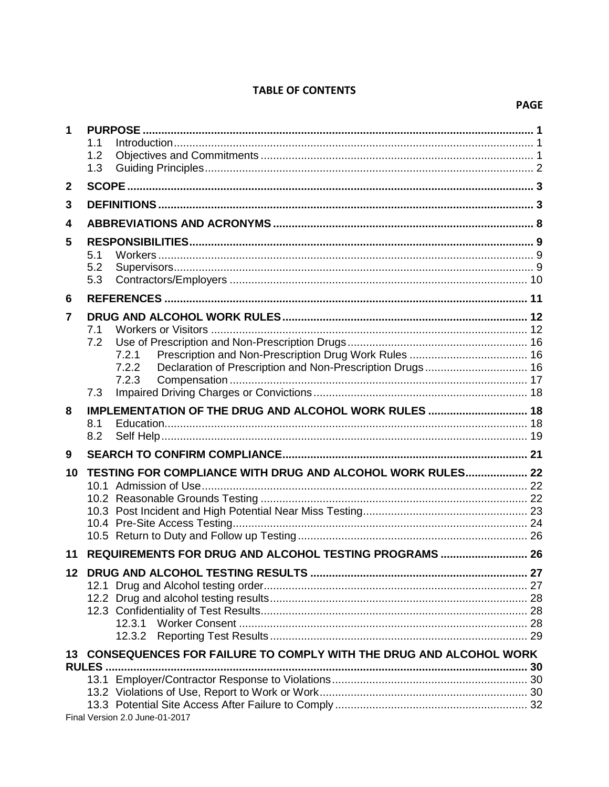## **TABLE OF CONTENTS**

| 1                       |            |                                                                      |  |  |
|-------------------------|------------|----------------------------------------------------------------------|--|--|
|                         | 1.1        |                                                                      |  |  |
|                         | 1.2<br>1.3 |                                                                      |  |  |
|                         |            |                                                                      |  |  |
| $\overline{\mathbf{2}}$ |            |                                                                      |  |  |
| 3                       |            |                                                                      |  |  |
| 4                       |            |                                                                      |  |  |
| 5                       |            |                                                                      |  |  |
|                         | 5.1        |                                                                      |  |  |
|                         | 5.2        |                                                                      |  |  |
|                         | 5.3        |                                                                      |  |  |
| 6                       |            |                                                                      |  |  |
| 7                       |            |                                                                      |  |  |
|                         | 7.1        |                                                                      |  |  |
|                         | 7.2        | 7.2.1                                                                |  |  |
|                         |            | 7.2.2                                                                |  |  |
|                         |            | 7.2.3                                                                |  |  |
|                         | 7.3        |                                                                      |  |  |
| 8                       |            | IMPLEMENTATION OF THE DRUG AND ALCOHOL WORK RULES  18                |  |  |
|                         | 8.1        |                                                                      |  |  |
|                         | 8.2        |                                                                      |  |  |
| 9                       |            |                                                                      |  |  |
| 10                      |            | TESTING FOR COMPLIANCE WITH DRUG AND ALCOHOL WORK RULES 22           |  |  |
|                         |            |                                                                      |  |  |
|                         |            |                                                                      |  |  |
|                         |            |                                                                      |  |  |
|                         |            |                                                                      |  |  |
| 11                      |            | REQUIREMENTS FOR DRUG AND ALCOHOL TESTING PROGRAMS  26               |  |  |
|                         |            |                                                                      |  |  |
|                         |            |                                                                      |  |  |
|                         |            |                                                                      |  |  |
|                         |            |                                                                      |  |  |
|                         |            |                                                                      |  |  |
|                         |            | 13 CONSEQUENCES FOR FAILURE TO COMPLY WITH THE DRUG AND ALCOHOL WORK |  |  |
|                         | RULES.     |                                                                      |  |  |
|                         |            |                                                                      |  |  |
|                         |            |                                                                      |  |  |
|                         |            |                                                                      |  |  |

Final Version 2.0 June-01-2017

### **PAGE**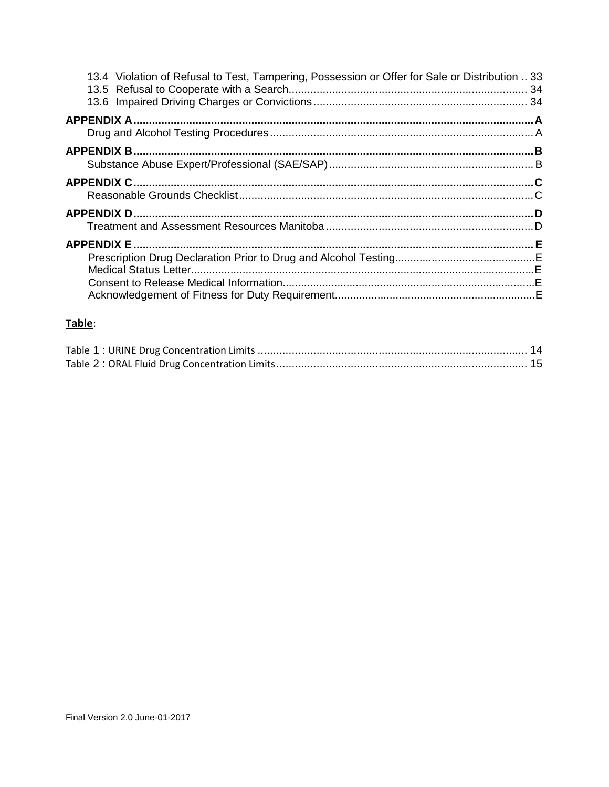| 13.4 Violation of Refusal to Test, Tampering, Possession or Offer for Sale or Distribution  33 |  |
|------------------------------------------------------------------------------------------------|--|
|                                                                                                |  |
|                                                                                                |  |
|                                                                                                |  |
|                                                                                                |  |
|                                                                                                |  |
|                                                                                                |  |
|                                                                                                |  |
|                                                                                                |  |
|                                                                                                |  |
|                                                                                                |  |
|                                                                                                |  |
|                                                                                                |  |
|                                                                                                |  |

## Table: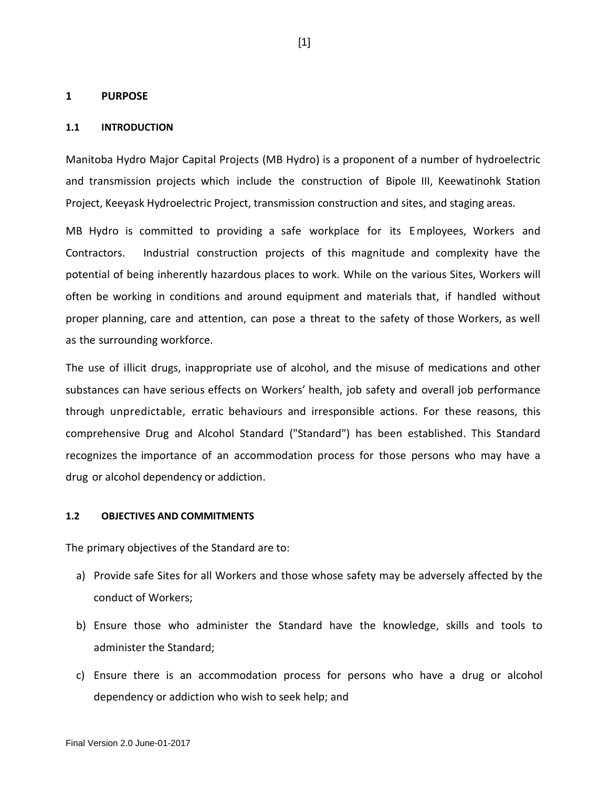### <span id="page-6-0"></span>**1 PURPOSE**

### <span id="page-6-1"></span>**1.1 INTRODUCTION**

Manitoba Hydro Major Capital Projects (MB Hydro) is a proponent of a number of hydroelectric and transmission projects which include the construction of Bipole III, Keewatinohk Station Project, Keeyask Hydroelectric Project, transmission construction and sites, and staging areas.

MB Hydro is committed to providing a safe workplace for its Employees, Workers and Contractors. Industrial construction projects of this magnitude and complexity have the potential of being inherently hazardous places to work. While on the various Sites, Workers will often be working in conditions and around equipment and materials that, if handled without proper planning, care and attention, can pose a threat to the safety of those Workers, as well as the surrounding workforce.

The use of illicit drugs, inappropriate use of alcohol, and the misuse of medications and other substances can have serious effects on Workers' health, job safety and overall job performance through unpredictable, erratic behaviours and irresponsible actions. For these reasons, this comprehensive Drug and Alcohol Standard ("Standard") has been established. This Standard recognizes the importance of an accommodation process for those persons who may have a drug or alcohol dependency or addiction.

### <span id="page-6-2"></span>**1.2 OBJECTIVES AND COMMITMENTS**

The primary objectives of the Standard are to:

- a) Provide safe Sites for all Workers and those whose safety may be adversely affected by the conduct of Workers;
- b) Ensure those who administer the Standard have the knowledge, skills and tools to administer the Standard;
- c) Ensure there is an accommodation process for persons who have a drug or alcohol dependency or addiction who wish to seek help; and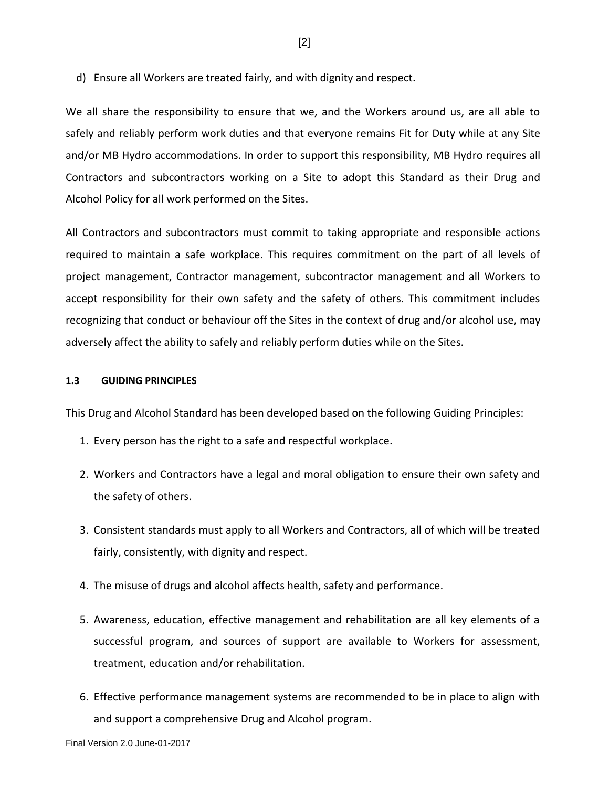d) Ensure all Workers are treated fairly, and with dignity and respect.

We all share the responsibility to ensure that we, and the Workers around us, are all able to safely and reliably perform work duties and that everyone remains Fit for Duty while at any Site and/or MB Hydro accommodations. In order to support this responsibility, MB Hydro requires all Contractors and subcontractors working on a Site to adopt this Standard as their Drug and Alcohol Policy for all work performed on the Sites.

All Contractors and subcontractors must commit to taking appropriate and responsible actions required to maintain a safe workplace. This requires commitment on the part of all levels of project management, Contractor management, subcontractor management and all Workers to accept responsibility for their own safety and the safety of others. This commitment includes recognizing that conduct or behaviour off the Sites in the context of drug and/or alcohol use, may adversely affect the ability to safely and reliably perform duties while on the Sites.

### <span id="page-7-0"></span>**1.3 GUIDING PRINCIPLES**

This Drug and Alcohol Standard has been developed based on the following Guiding Principles:

- 1. Every person has the right to a safe and respectful workplace.
- 2. Workers and Contractors have a legal and moral obligation to ensure their own safety and the safety of others.
- 3. Consistent standards must apply to all Workers and Contractors, all of which will be treated fairly, consistently, with dignity and respect.
- 4. The misuse of drugs and alcohol affects health, safety and performance.
- 5. Awareness, education, effective management and rehabilitation are all key elements of a successful program, and sources of support are available to Workers for assessment, treatment, education and/or rehabilitation.
- 6. Effective performance management systems are recommended to be in place to align with and support a comprehensive Drug and Alcohol program.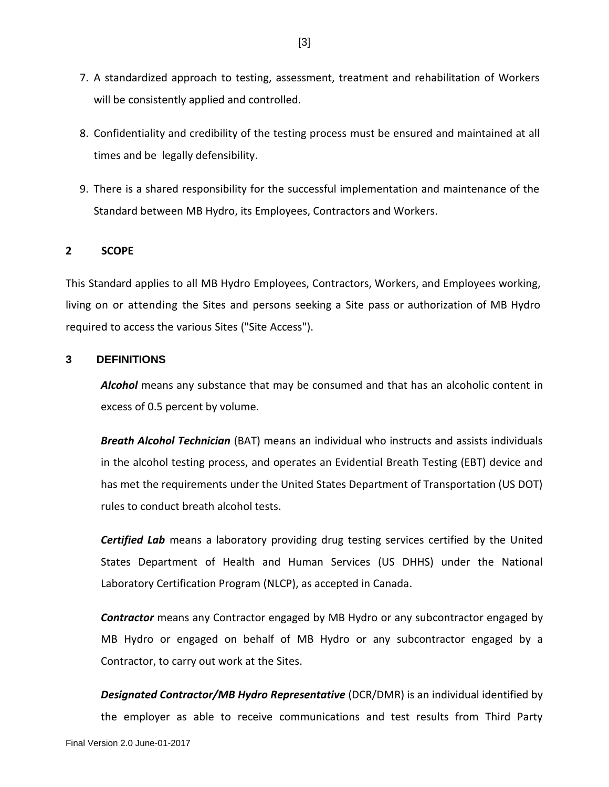- 7. A standardized approach to testing, assessment, treatment and rehabilitation of Workers will be consistently applied and controlled.
- 8. Confidentiality and credibility of the testing process must be ensured and maintained at all times and be legally defensibility.
- 9. There is a shared responsibility for the successful implementation and maintenance of the Standard between MB Hydro, its Employees, Contractors and Workers.

## <span id="page-8-0"></span>**2 SCOPE**

This Standard applies to all MB Hydro Employees, Contractors, Workers, and Employees working, living on or attending the Sites and persons seeking a Site pass or authorization of MB Hydro required to access the various Sites ("Site Access").

## <span id="page-8-1"></span>**3 DEFINITIONS**

*Alcohol* means any substance that may be consumed and that has an alcoholic content in excess of 0.5 percent by volume.

*Breath Alcohol Technician* (BAT) means an individual who instructs and assists individuals in the alcohol testing process, and operates an Evidential Breath Testing (EBT) device and has met the requirements under the United States Department of Transportation (US DOT) rules to conduct breath alcohol tests.

*Certified Lab* means a laboratory providing drug testing services certified by the United States Department of Health and Human Services (US DHHS) under the National Laboratory Certification Program (NLCP), as accepted in Canada.

*Contractor* means any Contractor engaged by MB Hydro or any subcontractor engaged by MB Hydro or engaged on behalf of MB Hydro or any subcontractor engaged by a Contractor, to carry out work at the Sites.

*Designated Contractor/MB Hydro Representative* (DCR/DMR) is an individual identified by the employer as able to receive communications and test results from Third Party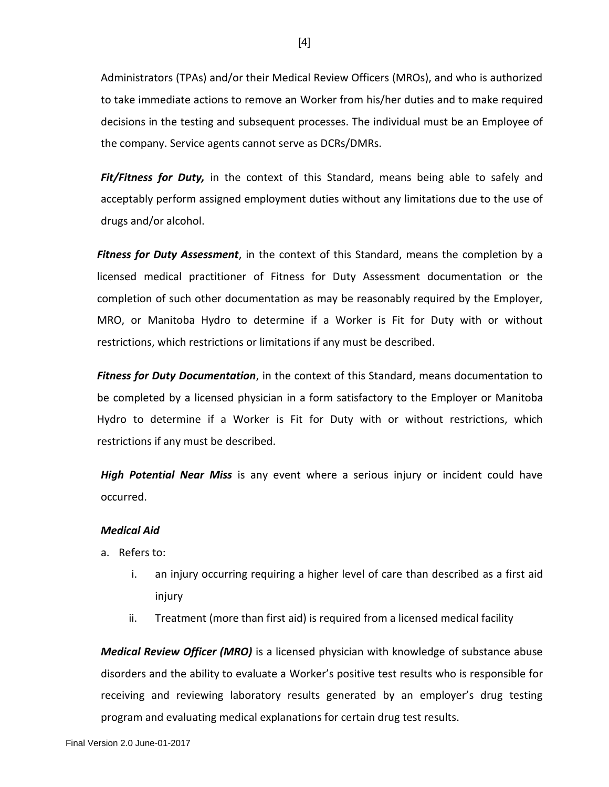Administrators (TPAs) and/or their Medical Review Officers (MROs), and who is authorized to take immediate actions to remove an Worker from his/her duties and to make required decisions in the testing and subsequent processes. The individual must be an Employee of the company. Service agents cannot serve as DCRs/DMRs.

Fit/Fitness for Duty, in the context of this Standard, means being able to safely and acceptably perform assigned employment duties without any limitations due to the use of drugs and/or alcohol.

*Fitness for Duty Assessment*, in the context of this Standard, means the completion by a licensed medical practitioner of Fitness for Duty Assessment documentation or the completion of such other documentation as may be reasonably required by the Employer, MRO, or Manitoba Hydro to determine if a Worker is Fit for Duty with or without restrictions, which restrictions or limitations if any must be described.

*Fitness for Duty Documentation*, in the context of this Standard, means documentation to be completed by a licensed physician in a form satisfactory to the Employer or Manitoba Hydro to determine if a Worker is Fit for Duty with or without restrictions, which restrictions if any must be described.

*High Potential Near Miss* is any event where a serious injury or incident could have occurred.

## *Medical Aid*

- a. Refers to:
	- i. an injury occurring requiring a higher level of care than described as a first aid injury
	- ii. Treatment (more than first aid) is required from a licensed medical facility

*Medical Review Officer (MRO)* is a licensed physician with knowledge of substance abuse disorders and the ability to evaluate a Worker's positive test results who is responsible for receiving and reviewing laboratory results generated by an employer's drug testing program and evaluating medical explanations for certain drug test results.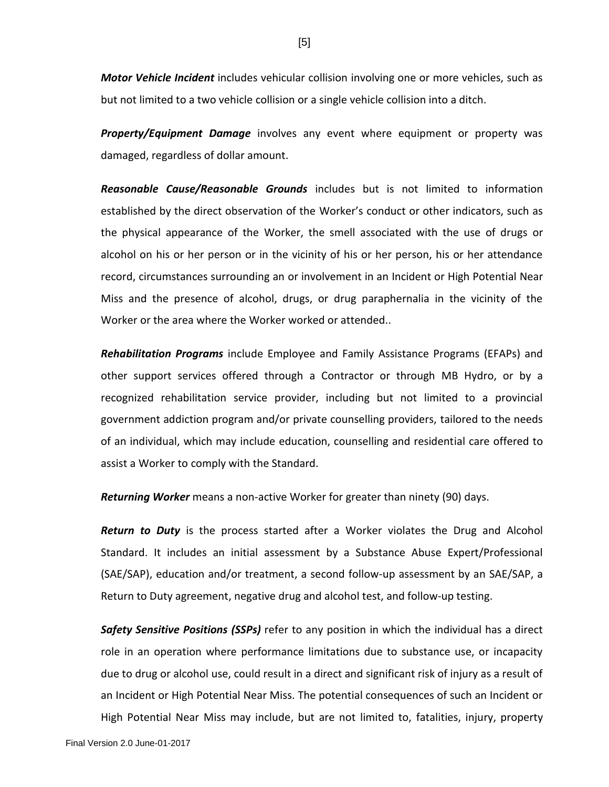*Motor Vehicle Incident* includes vehicular collision involving one or more vehicles, such as but not limited to a two vehicle collision or a single vehicle collision into a ditch.

*Property/Equipment Damage* involves any event where equipment or property was damaged, regardless of dollar amount.

*Reasonable Cause/Reasonable Grounds* includes but is not limited to information established by the direct observation of the Worker's conduct or other indicators, such as the physical appearance of the Worker, the smell associated with the use of drugs or alcohol on his or her person or in the vicinity of his or her person, his or her attendance record, circumstances surrounding an or involvement in an Incident or High Potential Near Miss and the presence of alcohol, drugs, or drug paraphernalia in the vicinity of the Worker or the area where the Worker worked or attended..

*Rehabilitation Programs* include Employee and Family Assistance Programs (EFAPs) and other support services offered through a Contractor or through MB Hydro, or by a recognized rehabilitation service provider, including but not limited to a provincial government addiction program and/or private counselling providers, tailored to the needs of an individual, which may include education, counselling and residential care offered to assist a Worker to comply with the Standard.

*Returning Worker* means a non-active Worker for greater than ninety (90) days.

*Return to Duty* is the process started after a Worker violates the Drug and Alcohol Standard. It includes an initial assessment by a Substance Abuse Expert/Professional (SAE/SAP), education and/or treatment, a second follow-up assessment by an SAE/SAP, a Return to Duty agreement, negative drug and alcohol test, and follow-up testing.

*Safety Sensitive Positions (SSPs)* refer to any position in which the individual has a direct role in an operation where performance limitations due to substance use, or incapacity due to drug or alcohol use, could result in a direct and significant risk of injury as a result of an Incident or High Potential Near Miss. The potential consequences of such an Incident or High Potential Near Miss may include, but are not limited to, fatalities, injury, property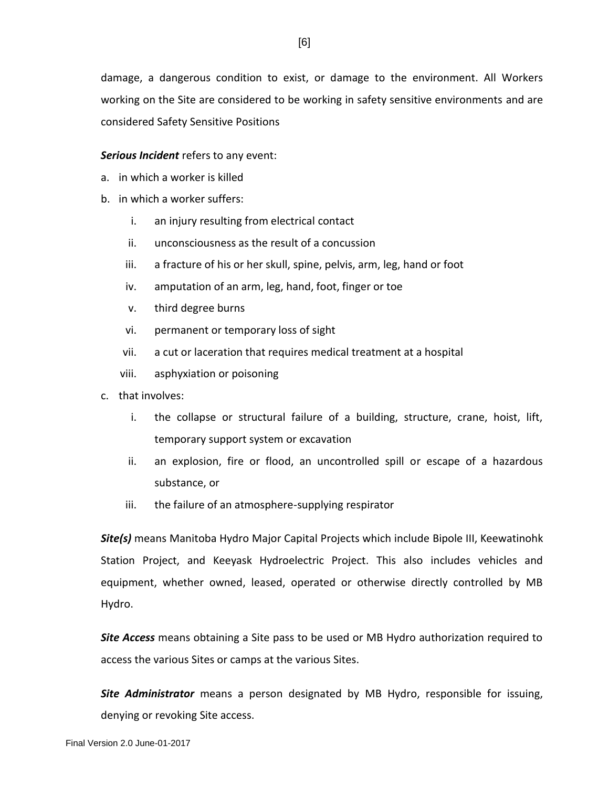damage, a dangerous condition to exist, or damage to the environment. All Workers working on the Site are considered to be working in safety sensitive environments and are considered Safety Sensitive Positions

## *Serious Incident* refers to any event:

- a. in which a worker is killed
- b. in which a worker suffers:
	- i. an injury resulting from electrical contact
	- ii. unconsciousness as the result of a concussion
	- iii. a fracture of his or her skull, spine, pelvis, arm, leg, hand or foot
	- iv. amputation of an arm, leg, hand, foot, finger or toe
	- v. third degree burns
	- vi. permanent or temporary loss of sight
	- vii. a cut or laceration that requires medical treatment at a hospital
	- viii. asphyxiation or poisoning
- c. that involves:
	- i. the collapse or structural failure of a building, structure, crane, hoist, lift, temporary support system or excavation
	- ii. an explosion, fire or flood, an uncontrolled spill or escape of a hazardous substance, or
	- iii. the failure of an atmosphere-supplying respirator

*Site(s)* means Manitoba Hydro Major Capital Projects which include Bipole III, Keewatinohk Station Project, and Keeyask Hydroelectric Project. This also includes vehicles and equipment, whether owned, leased, operated or otherwise directly controlled by MB Hydro.

*Site Access* means obtaining a Site pass to be used or MB Hydro authorization required to access the various Sites or camps at the various Sites.

*Site Administrator* means a person designated by MB Hydro, responsible for issuing, denying or revoking Site access.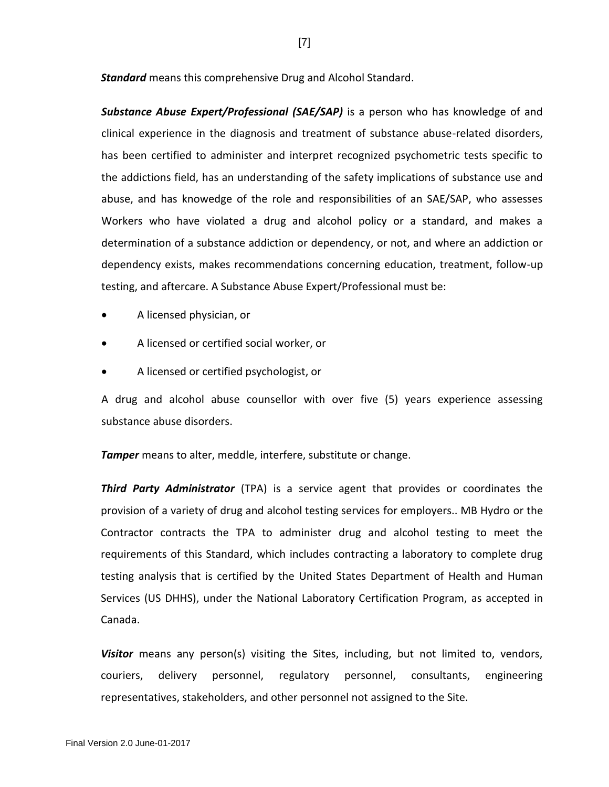*Standard* means this comprehensive Drug and Alcohol Standard.

*Substance Abuse Expert/Professional (SAE/SAP)* is a person who has knowledge of and clinical experience in the diagnosis and treatment of substance abuse-related disorders, has been certified to administer and interpret recognized psychometric tests specific to the addictions field, has an understanding of the safety implications of substance use and abuse, and has knowedge of the role and responsibilities of an SAE/SAP, who assesses Workers who have violated a drug and alcohol policy or a standard, and makes a determination of a substance addiction or dependency, or not, and where an addiction or dependency exists, makes recommendations concerning education, treatment, follow-up testing, and aftercare. A Substance Abuse Expert/Professional must be:

- A licensed physician, or
- A licensed or certified social worker, or
- A licensed or certified psychologist, or

A drug and alcohol abuse counsellor with over five (5) years experience assessing substance abuse disorders.

**Tamper** means to alter, meddle, interfere, substitute or change.

*Third Party Administrator* (TPA) is a service agent that provides or coordinates the provision of a variety of drug and alcohol testing services for employers.. MB Hydro or the Contractor contracts the TPA to administer drug and alcohol testing to meet the requirements of this Standard, which includes contracting a laboratory to complete drug testing analysis that is certified by the United States Department of Health and Human Services (US DHHS), under the National Laboratory Certification Program, as accepted in Canada.

*Visitor* means any person(s) visiting the Sites, including, but not limited to, vendors, couriers, delivery personnel, regulatory personnel, consultants, engineering representatives, stakeholders, and other personnel not assigned to the Site.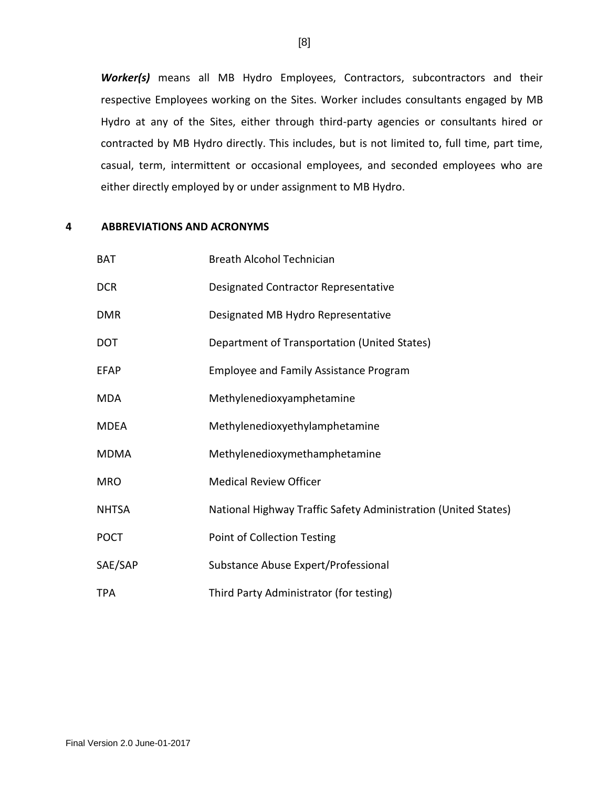*Worker(s)* means all MB Hydro Employees, Contractors, subcontractors and their respective Employees working on the Sites. Worker includes consultants engaged by MB Hydro at any of the Sites, either through third-party agencies or consultants hired or contracted by MB Hydro directly. This includes, but is not limited to, full time, part time, casual, term, intermittent or occasional employees, and seconded employees who are either directly employed by or under assignment to MB Hydro.

## <span id="page-13-0"></span>**4 ABBREVIATIONS AND ACRONYMS**

| <b>BAT</b>   | Breath Alcohol Technician                                      |
|--------------|----------------------------------------------------------------|
| <b>DCR</b>   | Designated Contractor Representative                           |
| <b>DMR</b>   | Designated MB Hydro Representative                             |
| <b>DOT</b>   | Department of Transportation (United States)                   |
| <b>EFAP</b>  | <b>Employee and Family Assistance Program</b>                  |
| <b>MDA</b>   | Methylenedioxyamphetamine                                      |
| <b>MDEA</b>  | Methylenedioxyethylamphetamine                                 |
| <b>MDMA</b>  | Methylenedioxymethamphetamine                                  |
| <b>MRO</b>   | <b>Medical Review Officer</b>                                  |
| <b>NHTSA</b> | National Highway Traffic Safety Administration (United States) |
| <b>POCT</b>  | Point of Collection Testing                                    |
| SAE/SAP      | Substance Abuse Expert/Professional                            |
| <b>TPA</b>   | Third Party Administrator (for testing)                        |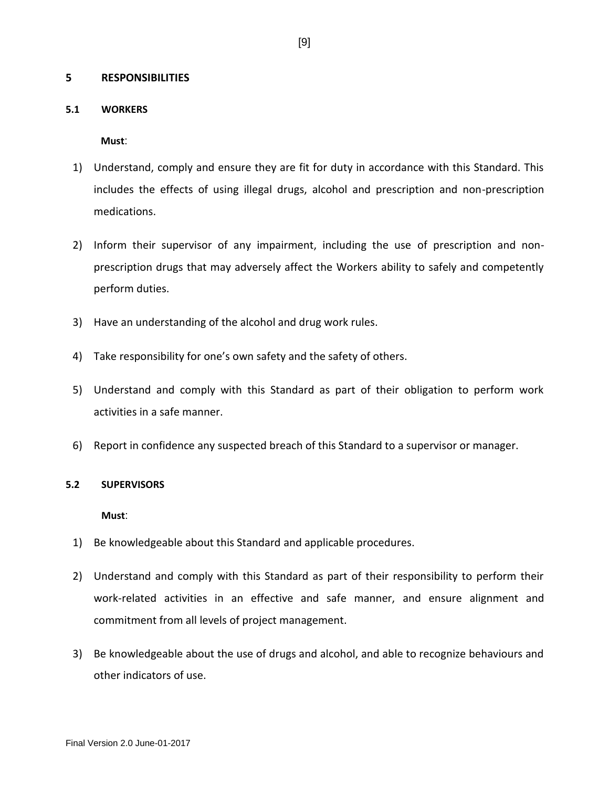## <span id="page-14-0"></span>**5 RESPONSIBILITIES**

### <span id="page-14-1"></span>**5.1 WORKERS**

**Must**:

- 1) Understand, comply and ensure they are fit for duty in accordance with this Standard. This includes the effects of using illegal drugs, alcohol and prescription and non-prescription medications.
- 2) Inform their supervisor of any impairment, including the use of prescription and nonprescription drugs that may adversely affect the Workers ability to safely and competently perform duties.
- 3) Have an understanding of the alcohol and drug work rules.
- 4) Take responsibility for one's own safety and the safety of others.
- 5) Understand and comply with this Standard as part of their obligation to perform work activities in a safe manner.
- 6) Report in confidence any suspected breach of this Standard to a supervisor or manager.

#### <span id="page-14-2"></span>**5.2 SUPERVISORS**

**Must**:

- 1) Be knowledgeable about this Standard and applicable procedures.
- 2) Understand and comply with this Standard as part of their responsibility to perform their work-related activities in an effective and safe manner, and ensure alignment and commitment from all levels of project management.
- 3) Be knowledgeable about the use of drugs and alcohol, and able to recognize behaviours and other indicators of use.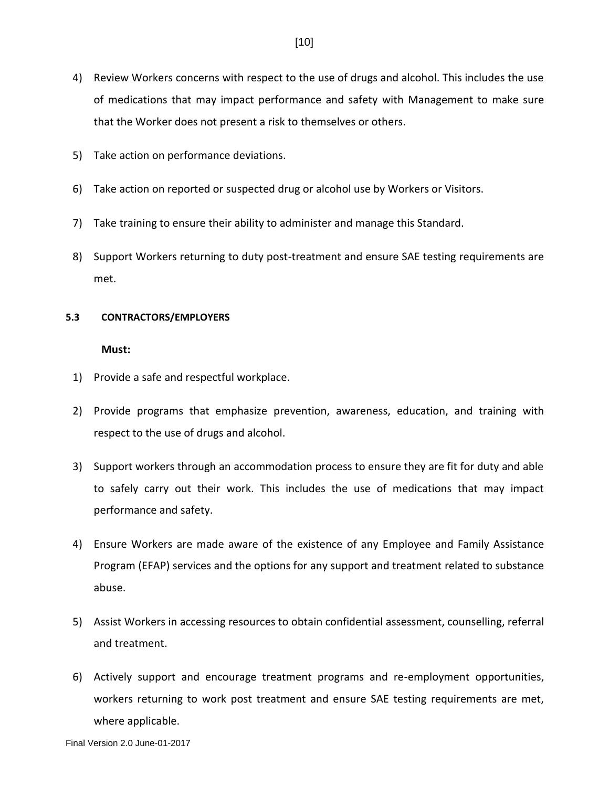- 4) Review Workers concerns with respect to the use of drugs and alcohol. This includes the use of medications that may impact performance and safety with Management to make sure that the Worker does not present a risk to themselves or others.
- 5) Take action on performance deviations.
- 6) Take action on reported or suspected drug or alcohol use by Workers or Visitors.
- 7) Take training to ensure their ability to administer and manage this Standard.
- 8) Support Workers returning to duty post-treatment and ensure SAE testing requirements are met.

### <span id="page-15-0"></span>**5.3 CONTRACTORS/EMPLOYERS**

### **Must:**

- 1) Provide a safe and respectful workplace.
- 2) Provide programs that emphasize prevention, awareness, education, and training with respect to the use of drugs and alcohol.
- 3) Support workers through an accommodation process to ensure they are fit for duty and able to safely carry out their work. This includes the use of medications that may impact performance and safety.
- 4) Ensure Workers are made aware of the existence of any Employee and Family Assistance Program (EFAP) services and the options for any support and treatment related to substance abuse.
- 5) Assist Workers in accessing resources to obtain confidential assessment, counselling, referral and treatment.
- 6) Actively support and encourage treatment programs and re-employment opportunities, workers returning to work post treatment and ensure SAE testing requirements are met, where applicable.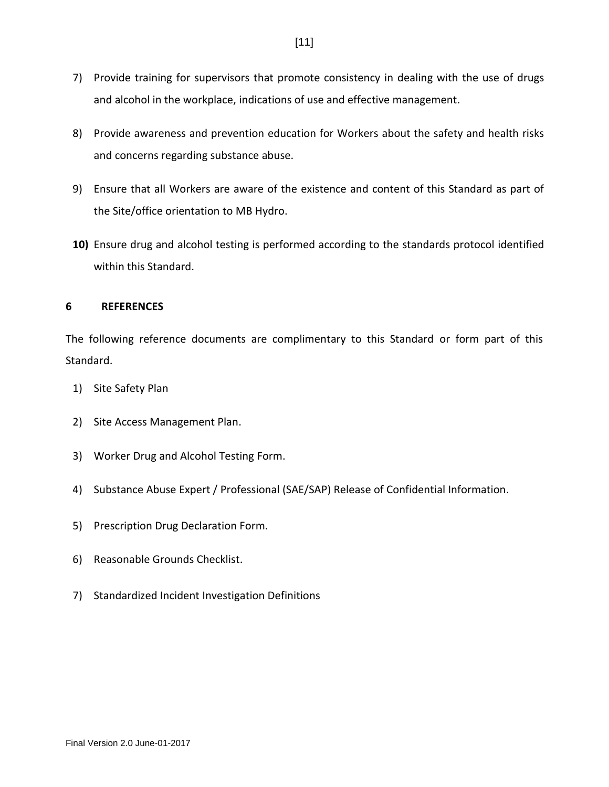- 7) Provide training for supervisors that promote consistency in dealing with the use of drugs and alcohol in the workplace, indications of use and effective management.
- 8) Provide awareness and prevention education for Workers about the safety and health risks and concerns regarding substance abuse.
- 9) Ensure that all Workers are aware of the existence and content of this Standard as part of the Site/office orientation to MB Hydro.
- **10)** Ensure drug and alcohol testing is performed according to the standards protocol identified within this Standard.

## <span id="page-16-0"></span>**6 REFERENCES**

The following reference documents are complimentary to this Standard or form part of this Standard.

- 1) Site Safety Plan
- 2) Site Access Management Plan.
- 3) Worker Drug and Alcohol Testing Form.
- 4) Substance Abuse Expert / Professional (SAE/SAP) Release of Confidential Information.
- 5) Prescription Drug Declaration Form.
- 6) Reasonable Grounds Checklist.
- 7) Standardized Incident Investigation Definitions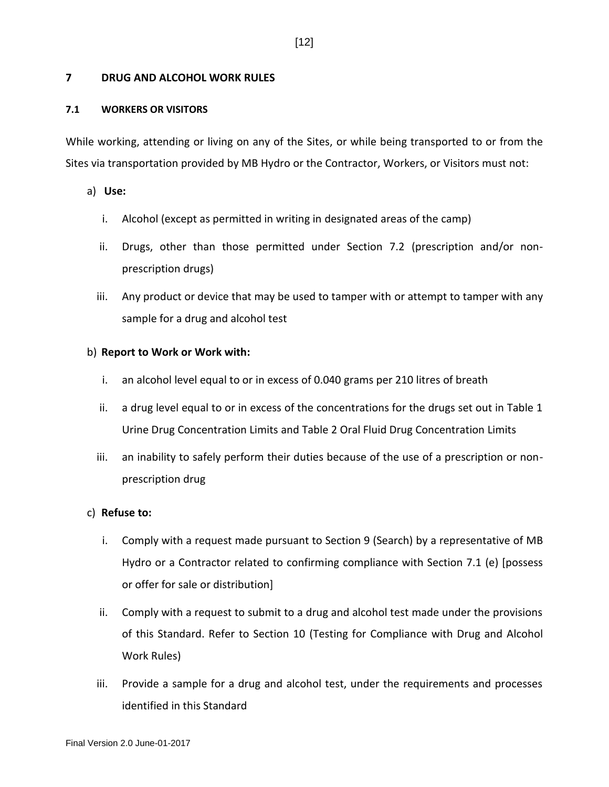## <span id="page-17-0"></span>**7 DRUG AND ALCOHOL WORK RULES**

### <span id="page-17-1"></span>**7.1 WORKERS OR VISITORS**

While working, attending or living on any of the Sites, or while being transported to or from the Sites via transportation provided by MB Hydro or the Contractor, Workers, or Visitors must not:

a) **Use:**

- i. Alcohol (except as permitted in writing in designated areas of the camp)
- ii. Drugs, other than those permitted under Section 7.2 (prescription and/or nonprescription drugs)
- iii. Any product or device that may be used to tamper with or attempt to tamper with any sample for a drug and alcohol test

### b) **Report to Work or Work with:**

- i. an alcohol level equal to or in excess of 0.040 grams per 210 litres of breath
- ii. a drug level equal to or in excess of the concentrations for the drugs set out in Table 1 Urine Drug Concentration Limits and Table 2 Oral Fluid Drug Concentration Limits
- iii. an inability to safely perform their duties because of the use of a prescription or nonprescription drug

#### c) **Refuse to:**

- i. Comply with a request made pursuant to Section 9 (Search) by a representative of MB Hydro or a Contractor related to confirming compliance with Section 7.1 (e) [possess or offer for sale or distribution]
- ii. Comply with a request to submit to a drug and alcohol test made under the provisions of this Standard. Refer to Section 10 (Testing for Compliance with Drug and Alcohol Work Rules)
- iii. Provide a sample for a drug and alcohol test, under the requirements and processes identified in this Standard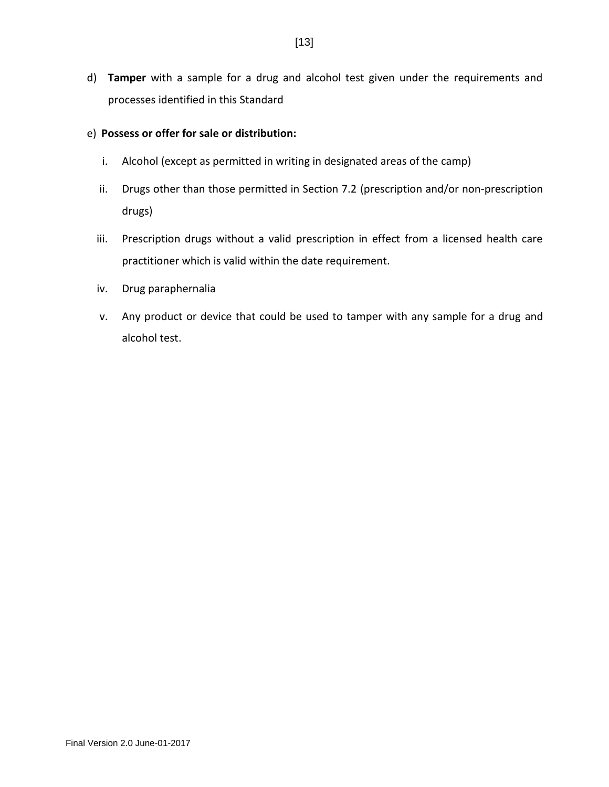d) **Tamper** with a sample for a drug and alcohol test given under the requirements and processes identified in this Standard

## e) **Possess or offer for sale or distribution:**

- i. Alcohol (except as permitted in writing in designated areas of the camp)
- ii. Drugs other than those permitted in Section 7.2 (prescription and/or non-prescription drugs)
- iii. Prescription drugs without a valid prescription in effect from a licensed health care practitioner which is valid within the date requirement.
- iv. Drug paraphernalia
- v. Any product or device that could be used to tamper with any sample for a drug and alcohol test.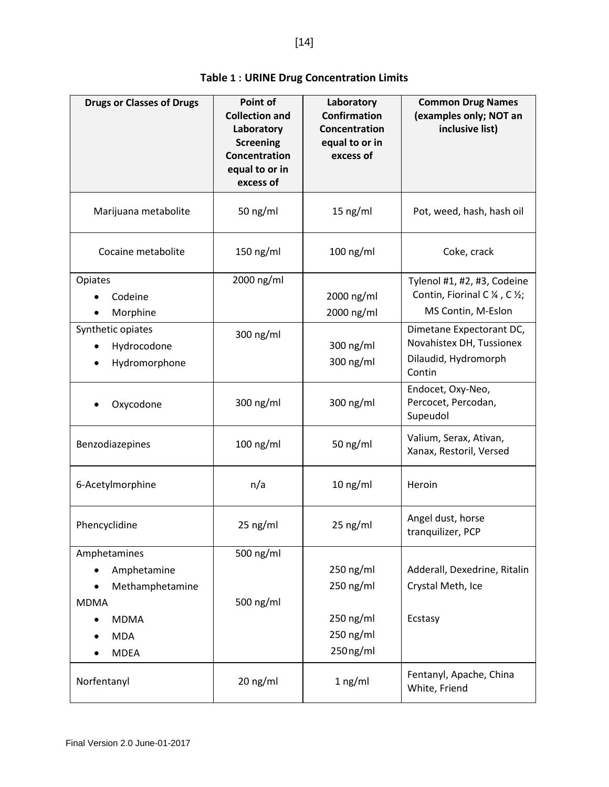<span id="page-19-0"></span>

| <b>Drugs or Classes of Drugs</b>                                                                          | Point of<br><b>Collection and</b><br>Laboratory<br><b>Screening</b><br>Concentration<br>equal to or in<br>excess of | Laboratory<br><b>Confirmation</b><br>Concentration<br>equal to or in<br>excess of | <b>Common Drug Names</b><br>(examples only; NOT an<br>inclusive list)                  |
|-----------------------------------------------------------------------------------------------------------|---------------------------------------------------------------------------------------------------------------------|-----------------------------------------------------------------------------------|----------------------------------------------------------------------------------------|
| Marijuana metabolite                                                                                      | 50 ng/ml                                                                                                            | $15$ ng/ml                                                                        | Pot, weed, hash, hash oil                                                              |
| Cocaine metabolite                                                                                        | 150 ng/ml                                                                                                           | $100$ ng/ml                                                                       | Coke, crack                                                                            |
| Opiates<br>Codeine<br>Morphine                                                                            | 2000 ng/ml                                                                                                          | 2000 ng/ml<br>2000 ng/ml                                                          | Tylenol #1, #2, #3, Codeine<br>Contin, Fiorinal C ¼, C ½;<br>MS Contin, M-Eslon        |
| Synthetic opiates<br>Hydrocodone<br>Hydromorphone                                                         | 300 ng/ml                                                                                                           | 300 ng/ml<br>300 ng/ml                                                            | Dimetane Expectorant DC,<br>Novahistex DH, Tussionex<br>Dilaudid, Hydromorph<br>Contin |
| Oxycodone                                                                                                 | 300 ng/ml                                                                                                           | 300 ng/ml                                                                         | Endocet, Oxy-Neo,<br>Percocet, Percodan,<br>Supeudol                                   |
| Benzodiazepines                                                                                           | $100$ ng/ml                                                                                                         | 50 $ng/ml$                                                                        | Valium, Serax, Ativan,<br>Xanax, Restoril, Versed                                      |
| 6-Acetylmorphine                                                                                          | n/a                                                                                                                 | $10$ ng/ml                                                                        | Heroin                                                                                 |
| Phencyclidine                                                                                             | $25$ ng/ml                                                                                                          | $25$ ng/ml                                                                        | Angel dust, horse<br>tranquilizer, PCP                                                 |
| Amphetamines<br>Amphetamine<br>Methamphetamine<br><b>MDMA</b><br><b>MDMA</b><br><b>MDA</b><br><b>MDEA</b> | 500 ng/ml<br>500 ng/ml                                                                                              | 250 ng/ml<br>250 ng/ml<br>250 ng/ml<br>250 ng/ml<br>250 ng/ml                     | Adderall, Dexedrine, Ritalin<br>Crystal Meth, Ice<br>Ecstasy                           |
| Norfentanyl                                                                                               | 20 ng/ml                                                                                                            | 1 ng/ml                                                                           | Fentanyl, Apache, China<br>White, Friend                                               |

| <b>Table 1: URINE Drug Concentration Limits</b> |  |
|-------------------------------------------------|--|
|-------------------------------------------------|--|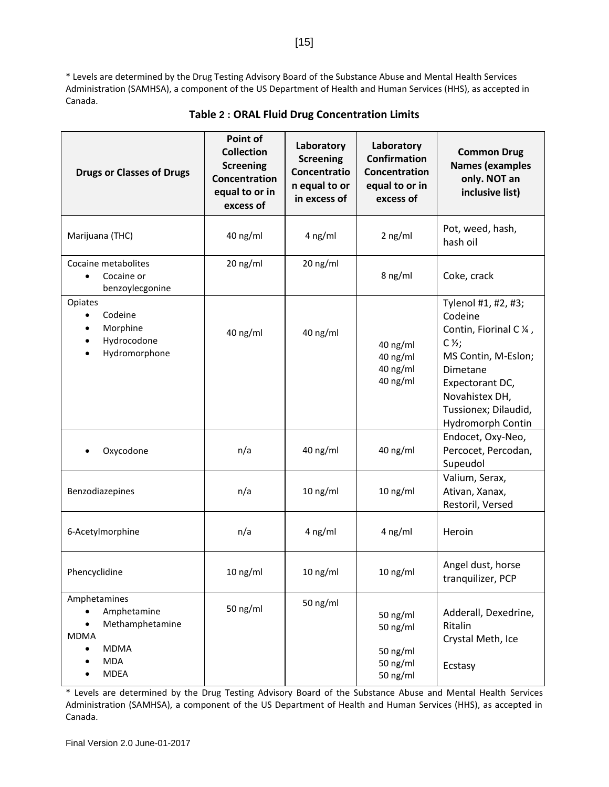\* Levels are determined by the Drug Testing Advisory Board of the Substance Abuse and Mental Health Services Administration (SAMHSA), a component of the US Department of Health and Human Services (HHS), as accepted in Canada.

<span id="page-20-0"></span>

| <b>Drugs or Classes of Drugs</b>                                                                                       | Point of<br><b>Collection</b><br><b>Screening</b><br>Concentration<br>equal to or in<br>excess of | Laboratory<br><b>Screening</b><br>Concentratio<br>n equal to or<br>in excess of | Laboratory<br><b>Confirmation</b><br>Concentration<br>equal to or in<br>excess of | <b>Common Drug</b><br><b>Names (examples</b><br>only. NOT an<br>inclusive list)                                                                                                                             |
|------------------------------------------------------------------------------------------------------------------------|---------------------------------------------------------------------------------------------------|---------------------------------------------------------------------------------|-----------------------------------------------------------------------------------|-------------------------------------------------------------------------------------------------------------------------------------------------------------------------------------------------------------|
| Marijuana (THC)                                                                                                        | 40 ng/ml                                                                                          | $4$ ng/ml                                                                       | $2$ ng/ml                                                                         | Pot, weed, hash,<br>hash oil                                                                                                                                                                                |
| Cocaine metabolites<br>Cocaine or<br>benzoylecgonine                                                                   | 20 ng/ml                                                                                          | 20 ng/ml                                                                        | 8 ng/ml                                                                           | Coke, crack                                                                                                                                                                                                 |
| Opiates<br>Codeine<br>$\bullet$<br>Morphine<br>Hydrocodone<br>Hydromorphone                                            | 40 ng/ml                                                                                          | 40 ng/ml                                                                        | 40 ng/ml<br>40 ng/ml<br>40 ng/ml<br>40 ng/ml                                      | Tylenol #1, #2, #3;<br>Codeine<br>Contin, Fiorinal C 1/4,<br>$C\mathcal{V}_2$ ;<br>MS Contin, M-Eslon;<br>Dimetane<br>Expectorant DC,<br>Novahistex DH,<br>Tussionex; Dilaudid,<br><b>Hydromorph Contin</b> |
| Oxycodone                                                                                                              | n/a                                                                                               | 40 ng/ml                                                                        | 40 ng/ml                                                                          | Endocet, Oxy-Neo,<br>Percocet, Percodan,<br>Supeudol                                                                                                                                                        |
| Benzodiazepines                                                                                                        | n/a                                                                                               | $10$ ng/ml                                                                      | $10$ ng/ml                                                                        | Valium, Serax,<br>Ativan, Xanax,<br>Restoril, Versed                                                                                                                                                        |
| 6-Acetylmorphine                                                                                                       | n/a                                                                                               | 4 ng/ml                                                                         | 4 ng/ml                                                                           | Heroin                                                                                                                                                                                                      |
| Phencyclidine                                                                                                          | 10 ng/ml                                                                                          | $10$ ng/ml                                                                      | $10$ ng/ml                                                                        | Angel dust, horse<br>tranquilizer, PCP                                                                                                                                                                      |
| Amphetamines<br>Amphetamine<br>Methamphetamine<br>$\bullet$<br><b>MDMA</b><br><b>MDMA</b><br><b>MDA</b><br><b>MDEA</b> | 50 ng/ml                                                                                          | 50 ng/ml                                                                        | 50 ng/ml<br>50 ng/ml<br>50 ng/ml<br>50 ng/ml<br>50 ng/ml                          | Adderall, Dexedrine,<br>Ritalin<br>Crystal Meth, Ice<br>Ecstasy                                                                                                                                             |

## **Table 2 : ORAL Fluid Drug Concentration Limits**

\* Levels are determined by the Drug Testing Advisory Board of the Substance Abuse and Mental Health Services Administration (SAMHSA), a component of the US Department of Health and Human Services (HHS), as accepted in Canada.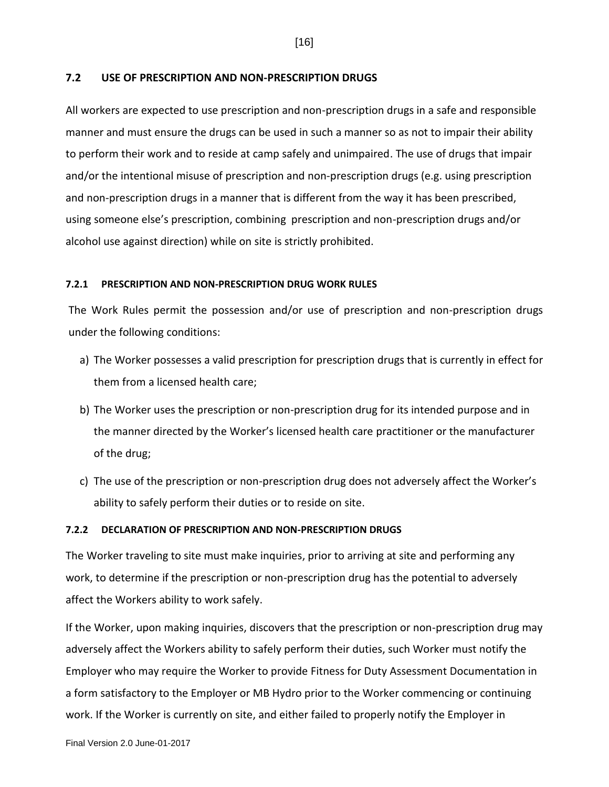## <span id="page-21-0"></span>**7.2 USE OF PRESCRIPTION AND NON-PRESCRIPTION DRUGS**

All workers are expected to use prescription and non-prescription drugs in a safe and responsible manner and must ensure the drugs can be used in such a manner so as not to impair their ability to perform their work and to reside at camp safely and unimpaired. The use of drugs that impair and/or the intentional misuse of prescription and non-prescription drugs (e.g. using prescription and non-prescription drugs in a manner that is different from the way it has been prescribed, using someone else's prescription, combining prescription and non-prescription drugs and/or alcohol use against direction) while on site is strictly prohibited.

### <span id="page-21-1"></span>**7.2.1 PRESCRIPTION AND NON-PRESCRIPTION DRUG WORK RULES**

The Work Rules permit the possession and/or use of prescription and non-prescription drugs under the following conditions:

- a) The Worker possesses a valid prescription for prescription drugs that is currently in effect for them from a licensed health care;
- b) The Worker uses the prescription or non-prescription drug for its intended purpose and in the manner directed by the Worker's licensed health care practitioner or the manufacturer of the drug;
- c) The use of the prescription or non-prescription drug does not adversely affect the Worker's ability to safely perform their duties or to reside on site.

#### <span id="page-21-2"></span>**7.2.2 DECLARATION OF PRESCRIPTION AND NON-PRESCRIPTION DRUGS**

The Worker traveling to site must make inquiries, prior to arriving at site and performing any work, to determine if the prescription or non-prescription drug has the potential to adversely affect the Workers ability to work safely.

If the Worker, upon making inquiries, discovers that the prescription or non-prescription drug may adversely affect the Workers ability to safely perform their duties, such Worker must notify the Employer who may require the Worker to provide Fitness for Duty Assessment Documentation in a form satisfactory to the Employer or MB Hydro prior to the Worker commencing or continuing work. If the Worker is currently on site, and either failed to properly notify the Employer in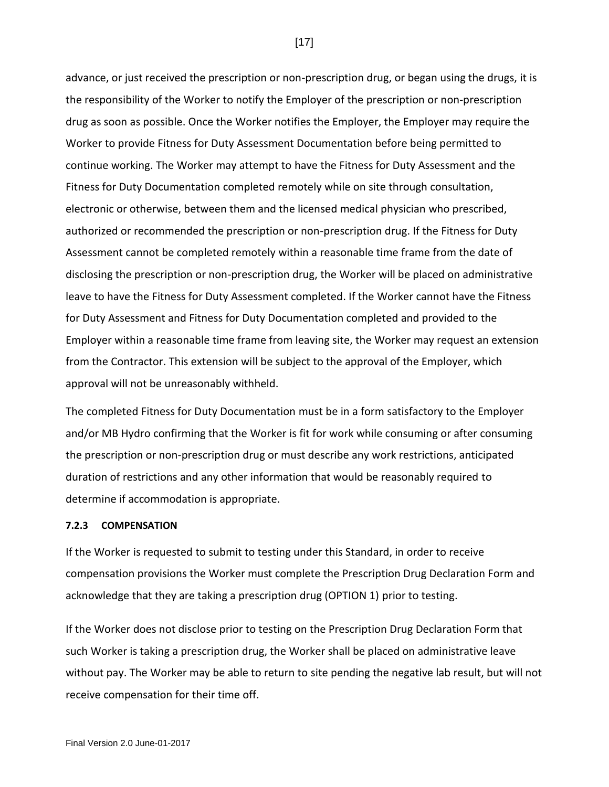advance, or just received the prescription or non-prescription drug, or began using the drugs, it is the responsibility of the Worker to notify the Employer of the prescription or non-prescription drug as soon as possible. Once the Worker notifies the Employer, the Employer may require the Worker to provide Fitness for Duty Assessment Documentation before being permitted to continue working. The Worker may attempt to have the Fitness for Duty Assessment and the Fitness for Duty Documentation completed remotely while on site through consultation, electronic or otherwise, between them and the licensed medical physician who prescribed, authorized or recommended the prescription or non-prescription drug. If the Fitness for Duty Assessment cannot be completed remotely within a reasonable time frame from the date of disclosing the prescription or non-prescription drug, the Worker will be placed on administrative leave to have the Fitness for Duty Assessment completed. If the Worker cannot have the Fitness for Duty Assessment and Fitness for Duty Documentation completed and provided to the Employer within a reasonable time frame from leaving site, the Worker may request an extension from the Contractor. This extension will be subject to the approval of the Employer, which approval will not be unreasonably withheld.

The completed Fitness for Duty Documentation must be in a form satisfactory to the Employer and/or MB Hydro confirming that the Worker is fit for work while consuming or after consuming the prescription or non-prescription drug or must describe any work restrictions, anticipated duration of restrictions and any other information that would be reasonably required to determine if accommodation is appropriate.

### <span id="page-22-0"></span>**7.2.3 COMPENSATION**

If the Worker is requested to submit to testing under this Standard, in order to receive compensation provisions the Worker must complete the Prescription Drug Declaration Form and acknowledge that they are taking a prescription drug (OPTION 1) prior to testing.

If the Worker does not disclose prior to testing on the Prescription Drug Declaration Form that such Worker is taking a prescription drug, the Worker shall be placed on administrative leave without pay. The Worker may be able to return to site pending the negative lab result, but will not receive compensation for their time off.

[17]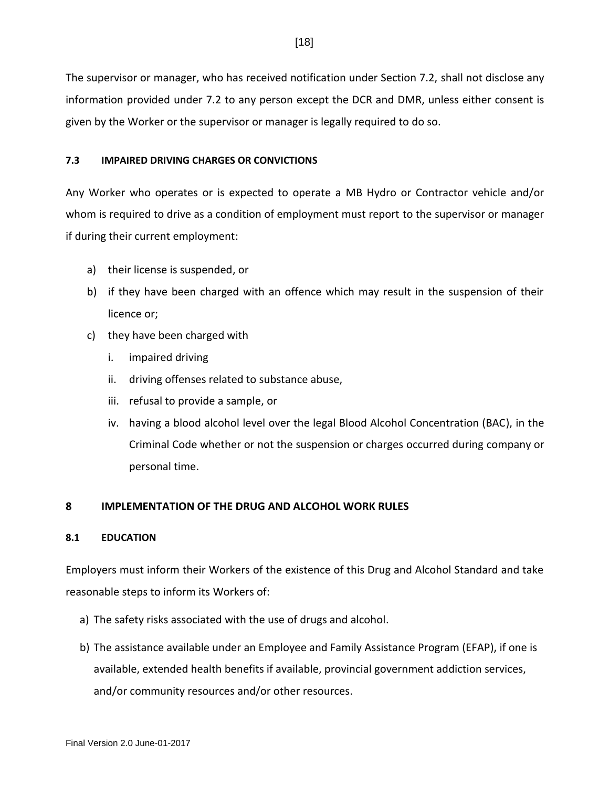The supervisor or manager, who has received notification under Section 7.2, shall not disclose any information provided under 7.2 to any person except the DCR and DMR, unless either consent is given by the Worker or the supervisor or manager is legally required to do so.

## <span id="page-23-0"></span>**7.3 IMPAIRED DRIVING CHARGES OR CONVICTIONS**

Any Worker who operates or is expected to operate a MB Hydro or Contractor vehicle and/or whom is required to drive as a condition of employment must report to the supervisor or manager if during their current employment:

- a) their license is suspended, or
- b) if they have been charged with an offence which may result in the suspension of their licence or;
- c) they have been charged with
	- i. impaired driving
	- ii. driving offenses related to substance abuse,
	- iii. refusal to provide a sample, or
	- iv. having a blood alcohol level over the legal Blood Alcohol Concentration (BAC), in the Criminal Code whether or not the suspension or charges occurred during company or personal time.

## <span id="page-23-1"></span>**8 IMPLEMENTATION OF THE DRUG AND ALCOHOL WORK RULES**

## <span id="page-23-2"></span>**8.1 EDUCATION**

Employers must inform their Workers of the existence of this Drug and Alcohol Standard and take reasonable steps to inform its Workers of:

- a) The safety risks associated with the use of drugs and alcohol.
- b) The assistance available under an Employee and Family Assistance Program (EFAP), if one is available, extended health benefits if available, provincial government addiction services, and/or community resources and/or other resources.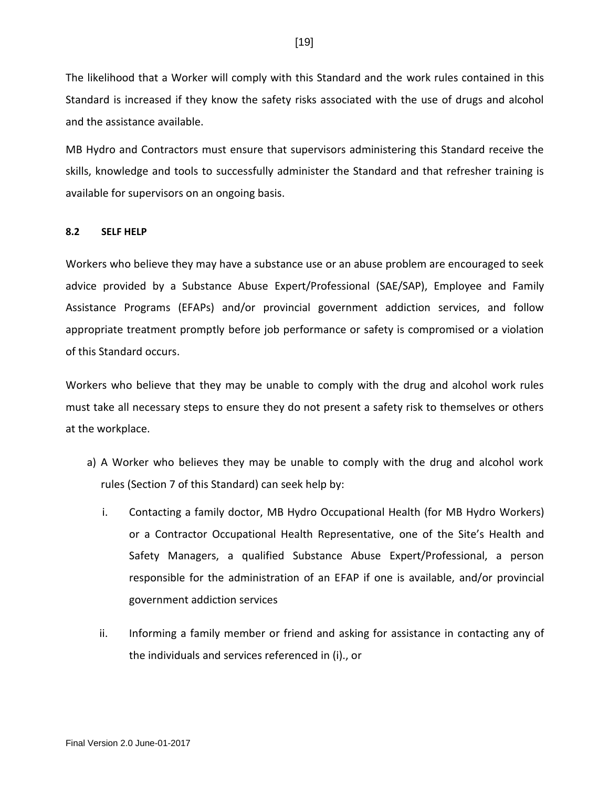The likelihood that a Worker will comply with this Standard and the work rules contained in this Standard is increased if they know the safety risks associated with the use of drugs and alcohol and the assistance available.

MB Hydro and Contractors must ensure that supervisors administering this Standard receive the skills, knowledge and tools to successfully administer the Standard and that refresher training is available for supervisors on an ongoing basis.

## <span id="page-24-0"></span>**8.2 SELF HELP**

Workers who believe they may have a substance use or an abuse problem are encouraged to seek advice provided by a Substance Abuse Expert/Professional (SAE/SAP), Employee and Family Assistance Programs (EFAPs) and/or provincial government addiction services, and follow appropriate treatment promptly before job performance or safety is compromised or a violation of this Standard occurs.

Workers who believe that they may be unable to comply with the drug and alcohol work rules must take all necessary steps to ensure they do not present a safety risk to themselves or others at the workplace.

- a) A Worker who believes they may be unable to comply with the drug and alcohol work rules (Section 7 of this Standard) can seek help by:
	- i. Contacting a family doctor, MB Hydro Occupational Health (for MB Hydro Workers) or a Contractor Occupational Health Representative, one of the Site's Health and Safety Managers, a qualified Substance Abuse Expert/Professional, a person responsible for the administration of an EFAP if one is available, and/or provincial government addiction services
	- ii. Informing a family member or friend and asking for assistance in contacting any of the individuals and services referenced in (i)., or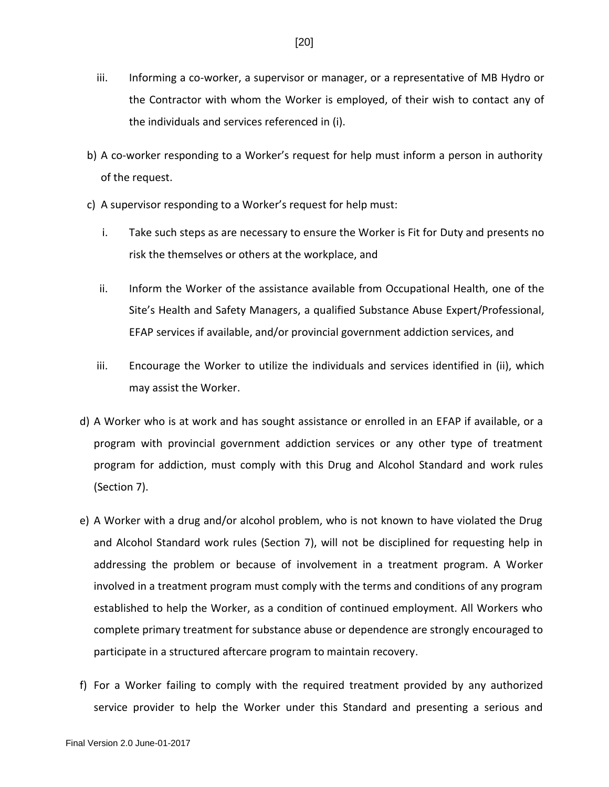- iii. Informing a co-worker, a supervisor or manager, or a representative of MB Hydro or the Contractor with whom the Worker is employed, of their wish to contact any of the individuals and services referenced in (i).
- b) A co-worker responding to a Worker's request for help must inform a person in authority of the request.
- c) A supervisor responding to a Worker's request for help must:
	- i. Take such steps as are necessary to ensure the Worker is Fit for Duty and presents no risk the themselves or others at the workplace, and
	- ii. Inform the Worker of the assistance available from Occupational Health, one of the Site's Health and Safety Managers, a qualified Substance Abuse Expert/Professional, EFAP services if available, and/or provincial government addiction services, and
	- iii. Encourage the Worker to utilize the individuals and services identified in (ii), which may assist the Worker.
- d) A Worker who is at work and has sought assistance or enrolled in an EFAP if available, or a program with provincial government addiction services or any other type of treatment program for addiction, must comply with this Drug and Alcohol Standard and work rules (Section 7).
- e) A Worker with a drug and/or alcohol problem, who is not known to have violated the Drug and Alcohol Standard work rules (Section 7), will not be disciplined for requesting help in addressing the problem or because of involvement in a treatment program. A Worker involved in a treatment program must comply with the terms and conditions of any program established to help the Worker, as a condition of continued employment. All Workers who complete primary treatment for substance abuse or dependence are strongly encouraged to participate in a structured aftercare program to maintain recovery.
- f) For a Worker failing to comply with the required treatment provided by any authorized service provider to help the Worker under this Standard and presenting a serious and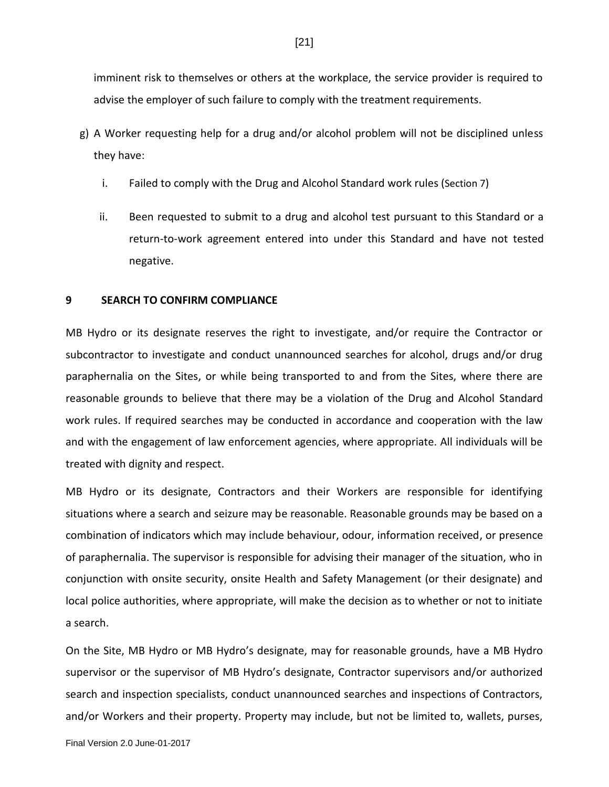imminent risk to themselves or others at the workplace, the service provider is required to advise the employer of such failure to comply with the treatment requirements.

- g) A Worker requesting help for a drug and/or alcohol problem will not be disciplined unless they have:
	- i. Failed to comply with the Drug and Alcohol Standard work rules (Section 7)
	- ii. Been requested to submit to a drug and alcohol test pursuant to this Standard or a return-to-work agreement entered into under this Standard and have not tested negative.

## <span id="page-26-0"></span>**9 SEARCH TO CONFIRM COMPLIANCE**

MB Hydro or its designate reserves the right to investigate, and/or require the Contractor or subcontractor to investigate and conduct unannounced searches for alcohol, drugs and/or drug paraphernalia on the Sites, or while being transported to and from the Sites, where there are reasonable grounds to believe that there may be a violation of the Drug and Alcohol Standard work rules. If required searches may be conducted in accordance and cooperation with the law and with the engagement of law enforcement agencies, where appropriate. All individuals will be treated with dignity and respect.

MB Hydro or its designate, Contractors and their Workers are responsible for identifying situations where a search and seizure may be reasonable. Reasonable grounds may be based on a combination of indicators which may include behaviour, odour, information received, or presence of paraphernalia. The supervisor is responsible for advising their manager of the situation, who in conjunction with onsite security, onsite Health and Safety Management (or their designate) and local police authorities, where appropriate, will make the decision as to whether or not to initiate a search.

On the Site, MB Hydro or MB Hydro's designate, may for reasonable grounds, have a MB Hydro supervisor or the supervisor of MB Hydro's designate, Contractor supervisors and/or authorized search and inspection specialists, conduct unannounced searches and inspections of Contractors, and/or Workers and their property. Property may include, but not be limited to, wallets, purses,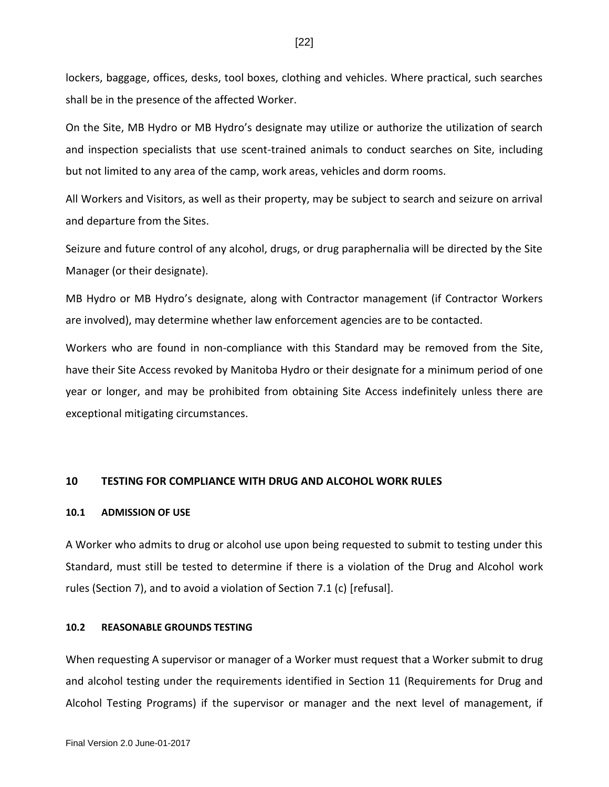lockers, baggage, offices, desks, tool boxes, clothing and vehicles. Where practical, such searches shall be in the presence of the affected Worker.

On the Site, MB Hydro or MB Hydro's designate may utilize or authorize the utilization of search and inspection specialists that use scent-trained animals to conduct searches on Site, including but not limited to any area of the camp, work areas, vehicles and dorm rooms.

All Workers and Visitors, as well as their property, may be subject to search and seizure on arrival and departure from the Sites.

Seizure and future control of any alcohol, drugs, or drug paraphernalia will be directed by the Site Manager (or their designate).

MB Hydro or MB Hydro's designate, along with Contractor management (if Contractor Workers are involved), may determine whether law enforcement agencies are to be contacted.

Workers who are found in non-compliance with this Standard may be removed from the Site, have their Site Access revoked by Manitoba Hydro or their designate for a minimum period of one year or longer, and may be prohibited from obtaining Site Access indefinitely unless there are exceptional mitigating circumstances.

### <span id="page-27-0"></span>**10 TESTING FOR COMPLIANCE WITH DRUG AND ALCOHOL WORK RULES**

#### <span id="page-27-1"></span>**10.1 ADMISSION OF USE**

A Worker who admits to drug or alcohol use upon being requested to submit to testing under this Standard, must still be tested to determine if there is a violation of the Drug and Alcohol work rules (Section 7), and to avoid a violation of Section 7.1 (c) [refusal].

#### <span id="page-27-2"></span>**10.2 REASONABLE GROUNDS TESTING**

When requesting A supervisor or manager of a Worker must request that a Worker submit to drug and alcohol testing under the requirements identified in Section 11 (Requirements for Drug and Alcohol Testing Programs) if the supervisor or manager and the next level of management, if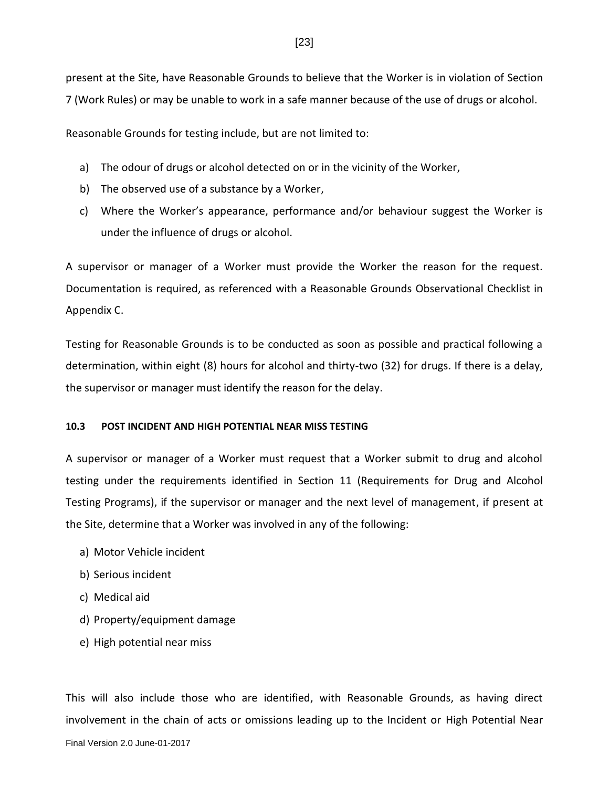present at the Site, have Reasonable Grounds to believe that the Worker is in violation of Section 7 (Work Rules) or may be unable to work in a safe manner because of the use of drugs or alcohol.

Reasonable Grounds for testing include, but are not limited to:

- a) The odour of drugs or alcohol detected on or in the vicinity of the Worker,
- b) The observed use of a substance by a Worker,
- c) Where the Worker's appearance, performance and/or behaviour suggest the Worker is under the influence of drugs or alcohol.

A supervisor or manager of a Worker must provide the Worker the reason for the request. Documentation is required, as referenced with a Reasonable Grounds Observational Checklist in Appendix C.

Testing for Reasonable Grounds is to be conducted as soon as possible and practical following a determination, within eight (8) hours for alcohol and thirty-two (32) for drugs. If there is a delay, the supervisor or manager must identify the reason for the delay.

## <span id="page-28-0"></span>**10.3 POST INCIDENT AND HIGH POTENTIAL NEAR MISS TESTING**

A supervisor or manager of a Worker must request that a Worker submit to drug and alcohol testing under the requirements identified in Section 11 (Requirements for Drug and Alcohol Testing Programs), if the supervisor or manager and the next level of management, if present at the Site, determine that a Worker was involved in any of the following:

- a) Motor Vehicle incident
- b) Serious incident
- c) Medical aid
- d) Property/equipment damage
- e) High potential near miss

This will also include those who are identified, with Reasonable Grounds, as having direct involvement in the chain of acts or omissions leading up to the Incident or High Potential Near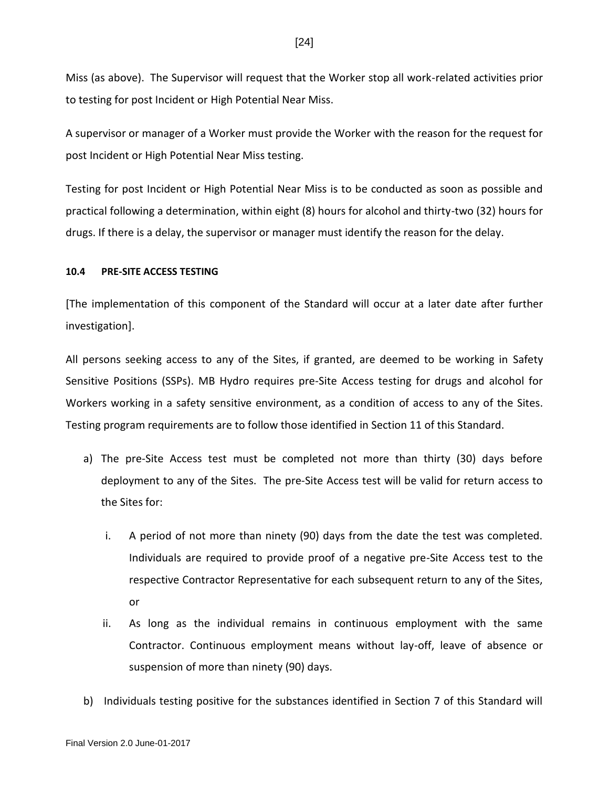Miss (as above). The Supervisor will request that the Worker stop all work-related activities prior to testing for post Incident or High Potential Near Miss.

A supervisor or manager of a Worker must provide the Worker with the reason for the request for post Incident or High Potential Near Miss testing.

Testing for post Incident or High Potential Near Miss is to be conducted as soon as possible and practical following a determination, within eight (8) hours for alcohol and thirty-two (32) hours for drugs. If there is a delay, the supervisor or manager must identify the reason for the delay.

## <span id="page-29-0"></span>**10.4 PRE-SITE ACCESS TESTING**

[The implementation of this component of the Standard will occur at a later date after further investigation].

All persons seeking access to any of the Sites, if granted, are deemed to be working in Safety Sensitive Positions (SSPs). MB Hydro requires pre-Site Access testing for drugs and alcohol for Workers working in a safety sensitive environment, as a condition of access to any of the Sites. Testing program requirements are to follow those identified in Section 11 of this Standard.

- a) The pre-Site Access test must be completed not more than thirty (30) days before deployment to any of the Sites. The pre-Site Access test will be valid for return access to the Sites for:
	- i. A period of not more than ninety (90) days from the date the test was completed. Individuals are required to provide proof of a negative pre-Site Access test to the respective Contractor Representative for each subsequent return to any of the Sites, or
	- ii. As long as the individual remains in continuous employment with the same Contractor. Continuous employment means without lay-off, leave of absence or suspension of more than ninety (90) days.
- b) Individuals testing positive for the substances identified in Section 7 of this Standard will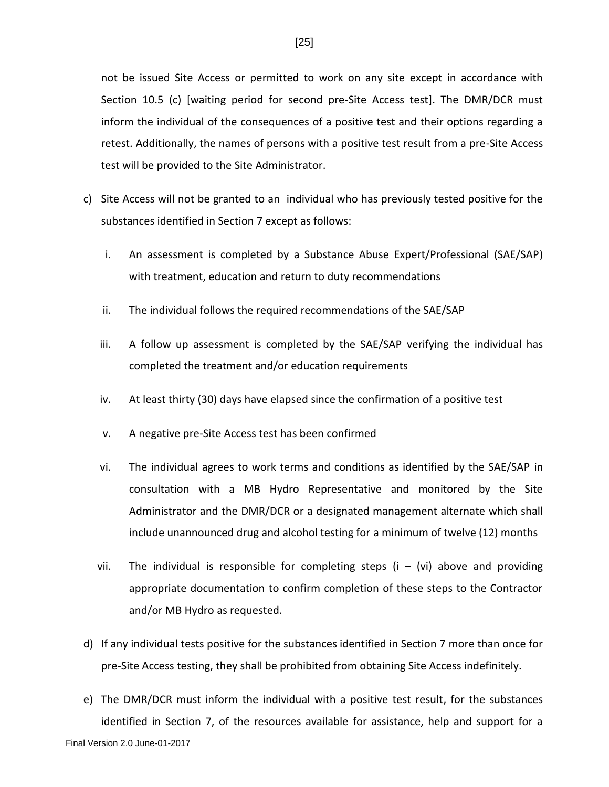not be issued Site Access or permitted to work on any site except in accordance with Section 10.5 (c) [waiting period for second pre-Site Access test]. The DMR/DCR must inform the individual of the consequences of a positive test and their options regarding a retest. Additionally, the names of persons with a positive test result from a pre-Site Access test will be provided to the Site Administrator.

- c) Site Access will not be granted to an individual who has previously tested positive for the substances identified in Section 7 except as follows:
	- i. An assessment is completed by a Substance Abuse Expert/Professional (SAE/SAP) with treatment, education and return to duty recommendations
	- ii. The individual follows the required recommendations of the SAE/SAP
	- iii. A follow up assessment is completed by the SAE/SAP verifying the individual has completed the treatment and/or education requirements
	- iv. At least thirty (30) days have elapsed since the confirmation of a positive test
	- v. A negative pre-Site Access test has been confirmed
	- vi. The individual agrees to work terms and conditions as identified by the SAE/SAP in consultation with a MB Hydro Representative and monitored by the Site Administrator and the DMR/DCR or a designated management alternate which shall include unannounced drug and alcohol testing for a minimum of twelve (12) months
	- vii. The individual is responsible for completing steps  $(i \{vi\})$  above and providing appropriate documentation to confirm completion of these steps to the Contractor and/or MB Hydro as requested.
- d) If any individual tests positive for the substances identified in Section 7 more than once for pre-Site Access testing, they shall be prohibited from obtaining Site Access indefinitely.
- e) The DMR/DCR must inform the individual with a positive test result, for the substances identified in Section 7, of the resources available for assistance, help and support for a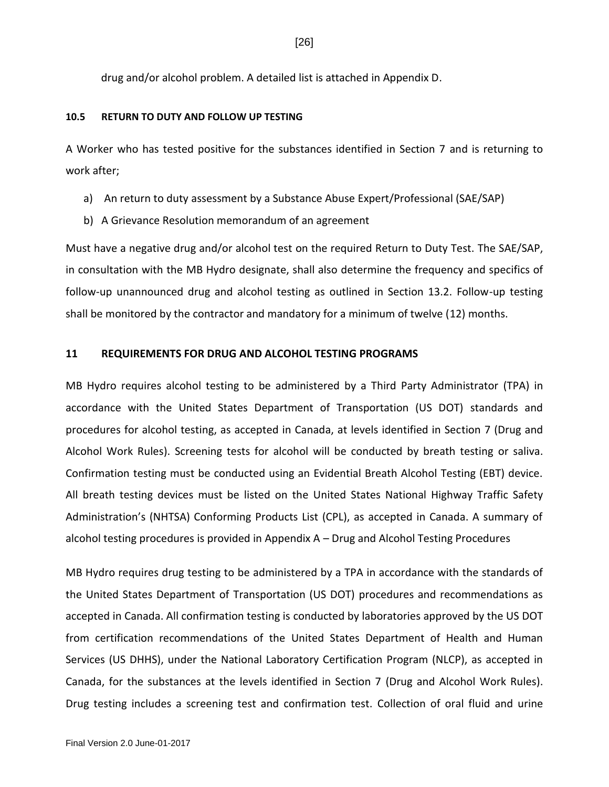[26]

drug and/or alcohol problem. A detailed list is attached in Appendix D.

## <span id="page-31-0"></span>**10.5 RETURN TO DUTY AND FOLLOW UP TESTING**

A Worker who has tested positive for the substances identified in Section 7 and is returning to work after;

- a) An return to duty assessment by a Substance Abuse Expert/Professional (SAE/SAP)
- b) A Grievance Resolution memorandum of an agreement

Must have a negative drug and/or alcohol test on the required Return to Duty Test. The SAE/SAP, in consultation with the MB Hydro designate, shall also determine the frequency and specifics of follow-up unannounced drug and alcohol testing as outlined in Section 13.2. Follow-up testing shall be monitored by the contractor and mandatory for a minimum of twelve (12) months.

## <span id="page-31-1"></span>**11 REQUIREMENTS FOR DRUG AND ALCOHOL TESTING PROGRAMS**

MB Hydro requires alcohol testing to be administered by a Third Party Administrator (TPA) in accordance with the United States Department of Transportation (US DOT) standards and procedures for alcohol testing, as accepted in Canada, at levels identified in Section 7 (Drug and Alcohol Work Rules). Screening tests for alcohol will be conducted by breath testing or saliva. Confirmation testing must be conducted using an Evidential Breath Alcohol Testing (EBT) device. All breath testing devices must be listed on the United States National Highway Traffic Safety Administration's (NHTSA) Conforming Products List (CPL), as accepted in Canada. A summary of alcohol testing procedures is provided in Appendix A – Drug and Alcohol Testing Procedures

MB Hydro requires drug testing to be administered by a TPA in accordance with the standards of the United States Department of Transportation (US DOT) procedures and recommendations as accepted in Canada. All confirmation testing is conducted by laboratories approved by the US DOT from certification recommendations of the United States Department of Health and Human Services (US DHHS), under the National Laboratory Certification Program (NLCP), as accepted in Canada, for the substances at the levels identified in Section 7 (Drug and Alcohol Work Rules). Drug testing includes a screening test and confirmation test. Collection of oral fluid and urine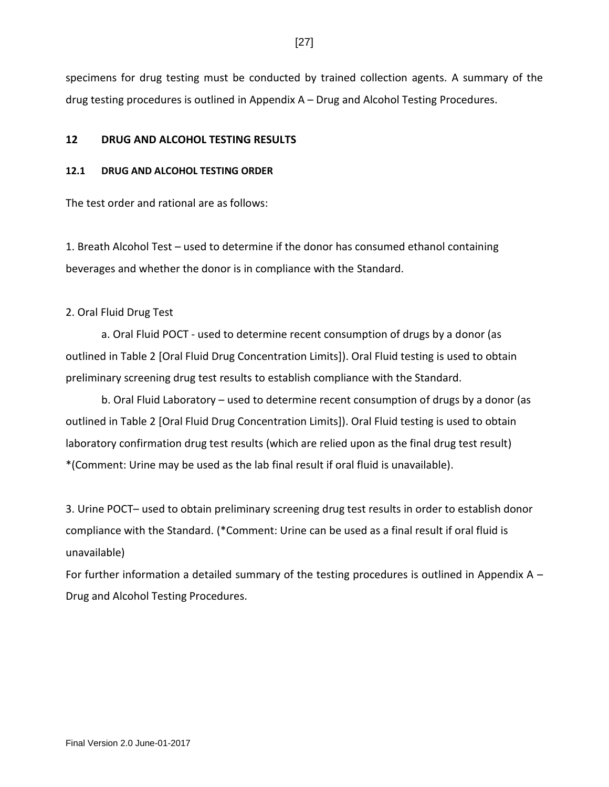specimens for drug testing must be conducted by trained collection agents. A summary of the drug testing procedures is outlined in Appendix A – Drug and Alcohol Testing Procedures.

## <span id="page-32-0"></span>**12 DRUG AND ALCOHOL TESTING RESULTS**

## <span id="page-32-1"></span>**12.1 DRUG AND ALCOHOL TESTING ORDER**

The test order and rational are as follows:

1. Breath Alcohol Test – used to determine if the donor has consumed ethanol containing beverages and whether the donor is in compliance with the Standard.

## 2. Oral Fluid Drug Test

a. Oral Fluid POCT - used to determine recent consumption of drugs by a donor (as outlined in Table 2 [Oral Fluid Drug Concentration Limits]). Oral Fluid testing is used to obtain preliminary screening drug test results to establish compliance with the Standard.

b. Oral Fluid Laboratory – used to determine recent consumption of drugs by a donor (as outlined in Table 2 [Oral Fluid Drug Concentration Limits]). Oral Fluid testing is used to obtain laboratory confirmation drug test results (which are relied upon as the final drug test result) \*(Comment: Urine may be used as the lab final result if oral fluid is unavailable).

3. Urine POCT– used to obtain preliminary screening drug test results in order to establish donor compliance with the Standard. (\*Comment: Urine can be used as a final result if oral fluid is unavailable)

For further information a detailed summary of the testing procedures is outlined in Appendix  $A -$ Drug and Alcohol Testing Procedures.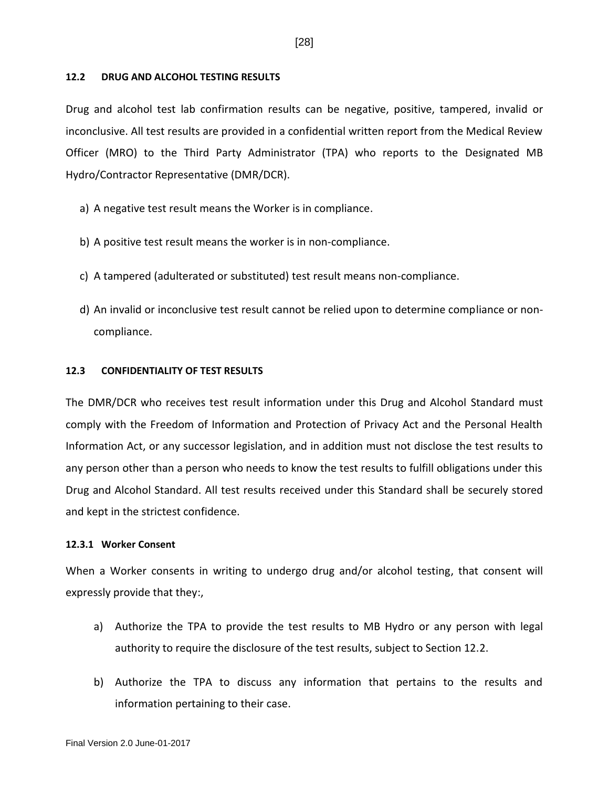### <span id="page-33-0"></span>**12.2 DRUG AND ALCOHOL TESTING RESULTS**

Drug and alcohol test lab confirmation results can be negative, positive, tampered, invalid or inconclusive. All test results are provided in a confidential written report from the Medical Review Officer (MRO) to the Third Party Administrator (TPA) who reports to the Designated MB Hydro/Contractor Representative (DMR/DCR).

- a) A negative test result means the Worker is in compliance.
- b) A positive test result means the worker is in non-compliance.
- c) A tampered (adulterated or substituted) test result means non-compliance.
- d) An invalid or inconclusive test result cannot be relied upon to determine compliance or noncompliance.

## <span id="page-33-1"></span>**12.3 CONFIDENTIALITY OF TEST RESULTS**

The DMR/DCR who receives test result information under this Drug and Alcohol Standard must comply with the Freedom of Information and Protection of Privacy Act and the Personal Health Information Act, or any successor legislation, and in addition must not disclose the test results to any person other than a person who needs to know the test results to fulfill obligations under this Drug and Alcohol Standard. All test results received under this Standard shall be securely stored and kept in the strictest confidence.

#### <span id="page-33-2"></span>**12.3.1 Worker Consent**

When a Worker consents in writing to undergo drug and/or alcohol testing, that consent will expressly provide that they:,

- a) Authorize the TPA to provide the test results to MB Hydro or any person with legal authority to require the disclosure of the test results, subject to Section 12.2.
- b) Authorize the TPA to discuss any information that pertains to the results and information pertaining to their case.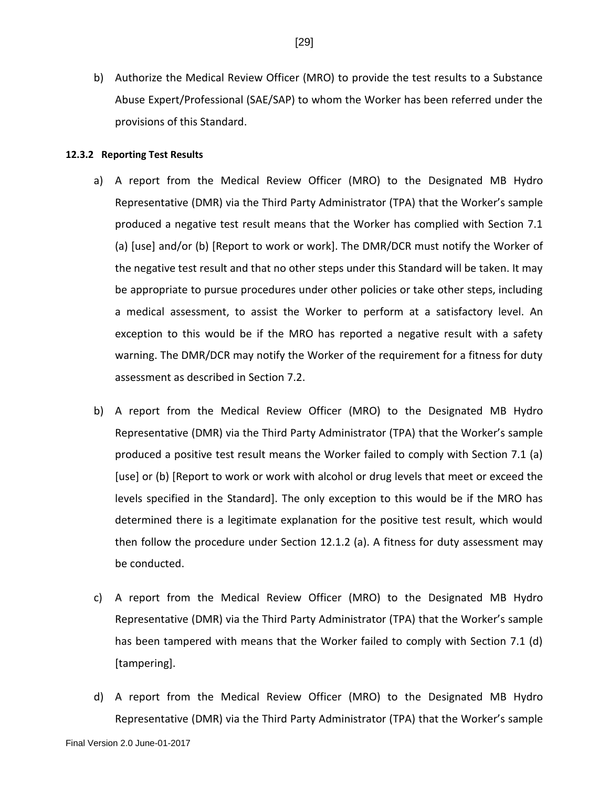b) Authorize the Medical Review Officer (MRO) to provide the test results to a Substance Abuse Expert/Professional (SAE/SAP) to whom the Worker has been referred under the provisions of this Standard.

### <span id="page-34-0"></span>**12.3.2 Reporting Test Results**

- a) A report from the Medical Review Officer (MRO) to the Designated MB Hydro Representative (DMR) via the Third Party Administrator (TPA) that the Worker's sample produced a negative test result means that the Worker has complied with Section 7.1 (a) [use] and/or (b) [Report to work or work]. The DMR/DCR must notify the Worker of the negative test result and that no other steps under this Standard will be taken. It may be appropriate to pursue procedures under other policies or take other steps, including a medical assessment, to assist the Worker to perform at a satisfactory level. An exception to this would be if the MRO has reported a negative result with a safety warning. The DMR/DCR may notify the Worker of the requirement for a fitness for duty assessment as described in Section 7.2.
- b) A report from the Medical Review Officer (MRO) to the Designated MB Hydro Representative (DMR) via the Third Party Administrator (TPA) that the Worker's sample produced a positive test result means the Worker failed to comply with Section 7.1 (a) [use] or (b) [Report to work or work with alcohol or drug levels that meet or exceed the levels specified in the Standard]. The only exception to this would be if the MRO has determined there is a legitimate explanation for the positive test result, which would then follow the procedure under Section 12.1.2 (a). A fitness for duty assessment may be conducted.
- c) A report from the Medical Review Officer (MRO) to the Designated MB Hydro Representative (DMR) via the Third Party Administrator (TPA) that the Worker's sample has been tampered with means that the Worker failed to comply with Section 7.1 (d) [tampering].
- d) A report from the Medical Review Officer (MRO) to the Designated MB Hydro Representative (DMR) via the Third Party Administrator (TPA) that the Worker's sample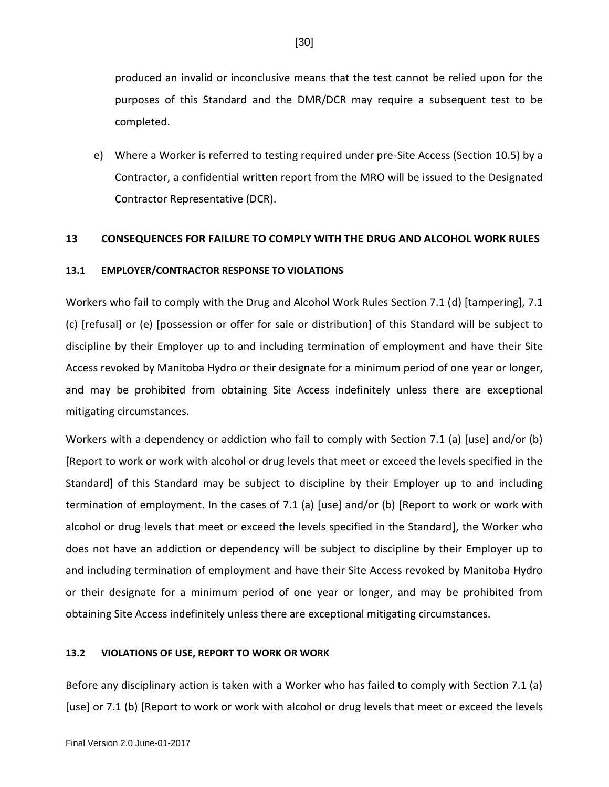produced an invalid or inconclusive means that the test cannot be relied upon for the purposes of this Standard and the DMR/DCR may require a subsequent test to be completed.

e) Where a Worker is referred to testing required under pre-Site Access (Section 10.5) by a Contractor, a confidential written report from the MRO will be issued to the Designated Contractor Representative (DCR).

## <span id="page-35-0"></span>**13 CONSEQUENCES FOR FAILURE TO COMPLY WITH THE DRUG AND ALCOHOL WORK RULES**

## <span id="page-35-1"></span>**13.1 EMPLOYER/CONTRACTOR RESPONSE TO VIOLATIONS**

Workers who fail to comply with the Drug and Alcohol Work Rules Section 7.1 (d) [tampering], 7.1 (c) [refusal] or (e) [possession or offer for sale or distribution] of this Standard will be subject to discipline by their Employer up to and including termination of employment and have their Site Access revoked by Manitoba Hydro or their designate for a minimum period of one year or longer, and may be prohibited from obtaining Site Access indefinitely unless there are exceptional mitigating circumstances.

Workers with a dependency or addiction who fail to comply with Section 7.1 (a) [use] and/or (b) [Report to work or work with alcohol or drug levels that meet or exceed the levels specified in the Standard] of this Standard may be subject to discipline by their Employer up to and including termination of employment. In the cases of 7.1 (a) [use] and/or (b) [Report to work or work with alcohol or drug levels that meet or exceed the levels specified in the Standard], the Worker who does not have an addiction or dependency will be subject to discipline by their Employer up to and including termination of employment and have their Site Access revoked by Manitoba Hydro or their designate for a minimum period of one year or longer, and may be prohibited from obtaining Site Access indefinitely unless there are exceptional mitigating circumstances.

## <span id="page-35-2"></span>**13.2 VIOLATIONS OF USE, REPORT TO WORK OR WORK**

Before any disciplinary action is taken with a Worker who has failed to comply with Section 7.1 (a) [use] or 7.1 (b) [Report to work or work with alcohol or drug levels that meet or exceed the levels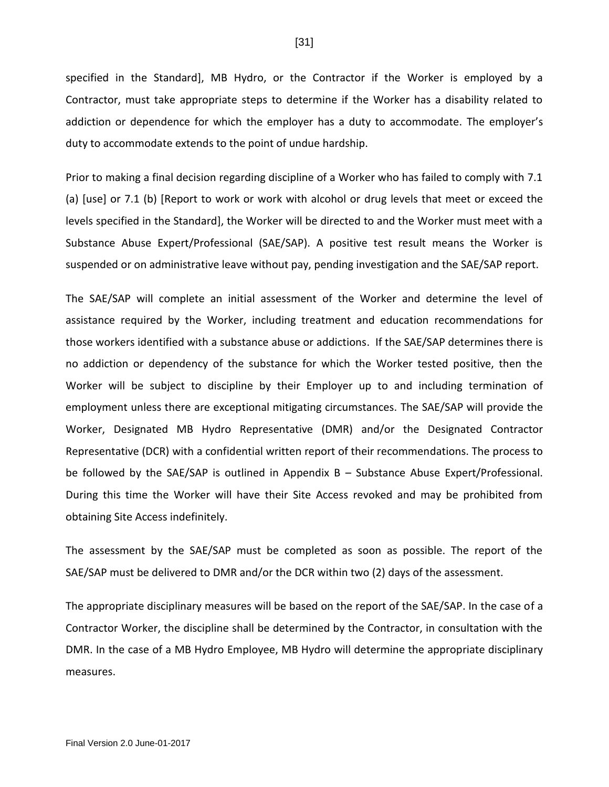specified in the Standard], MB Hydro, or the Contractor if the Worker is employed by a Contractor, must take appropriate steps to determine if the Worker has a disability related to addiction or dependence for which the employer has a duty to accommodate. The employer's duty to accommodate extends to the point of undue hardship.

Prior to making a final decision regarding discipline of a Worker who has failed to comply with 7.1 (a) [use] or 7.1 (b) [Report to work or work with alcohol or drug levels that meet or exceed the levels specified in the Standard], the Worker will be directed to and the Worker must meet with a Substance Abuse Expert/Professional (SAE/SAP). A positive test result means the Worker is suspended or on administrative leave without pay, pending investigation and the SAE/SAP report.

The SAE/SAP will complete an initial assessment of the Worker and determine the level of assistance required by the Worker, including treatment and education recommendations for those workers identified with a substance abuse or addictions. If the SAE/SAP determines there is no addiction or dependency of the substance for which the Worker tested positive, then the Worker will be subject to discipline by their Employer up to and including termination of employment unless there are exceptional mitigating circumstances. The SAE/SAP will provide the Worker, Designated MB Hydro Representative (DMR) and/or the Designated Contractor Representative (DCR) with a confidential written report of their recommendations. The process to be followed by the SAE/SAP is outlined in Appendix B – Substance Abuse Expert/Professional. During this time the Worker will have their Site Access revoked and may be prohibited from obtaining Site Access indefinitely.

The assessment by the SAE/SAP must be completed as soon as possible. The report of the SAE/SAP must be delivered to DMR and/or the DCR within two (2) days of the assessment.

The appropriate disciplinary measures will be based on the report of the SAE/SAP. In the case of a Contractor Worker, the discipline shall be determined by the Contractor, in consultation with the DMR. In the case of a MB Hydro Employee, MB Hydro will determine the appropriate disciplinary measures.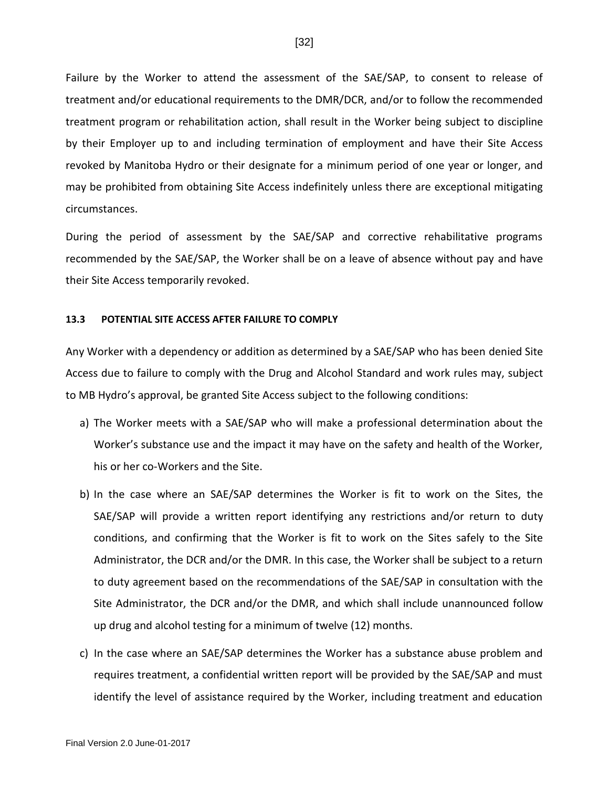Failure by the Worker to attend the assessment of the SAE/SAP, to consent to release of treatment and/or educational requirements to the DMR/DCR, and/or to follow the recommended treatment program or rehabilitation action, shall result in the Worker being subject to discipline by their Employer up to and including termination of employment and have their Site Access revoked by Manitoba Hydro or their designate for a minimum period of one year or longer, and may be prohibited from obtaining Site Access indefinitely unless there are exceptional mitigating circumstances.

During the period of assessment by the SAE/SAP and corrective rehabilitative programs recommended by the SAE/SAP, the Worker shall be on a leave of absence without pay and have their Site Access temporarily revoked.

#### **13.3 POTENTIAL SITE ACCESS AFTER FAILURE TO COMPLY**

Any Worker with a dependency or addition as determined by a SAE/SAP who has been denied Site Access due to failure to comply with the Drug and Alcohol Standard and work rules may, subject to MB Hydro's approval, be granted Site Access subject to the following conditions:

- a) The Worker meets with a SAE/SAP who will make a professional determination about the Worker's substance use and the impact it may have on the safety and health of the Worker, his or her co-Workers and the Site.
- b) In the case where an SAE/SAP determines the Worker is fit to work on the Sites, the SAE/SAP will provide a written report identifying any restrictions and/or return to duty conditions, and confirming that the Worker is fit to work on the Sites safely to the Site Administrator, the DCR and/or the DMR. In this case, the Worker shall be subject to a return to duty agreement based on the recommendations of the SAE/SAP in consultation with the Site Administrator, the DCR and/or the DMR, and which shall include unannounced follow up drug and alcohol testing for a minimum of twelve (12) months.
- c) In the case where an SAE/SAP determines the Worker has a substance abuse problem and requires treatment, a confidential written report will be provided by the SAE/SAP and must identify the level of assistance required by the Worker, including treatment and education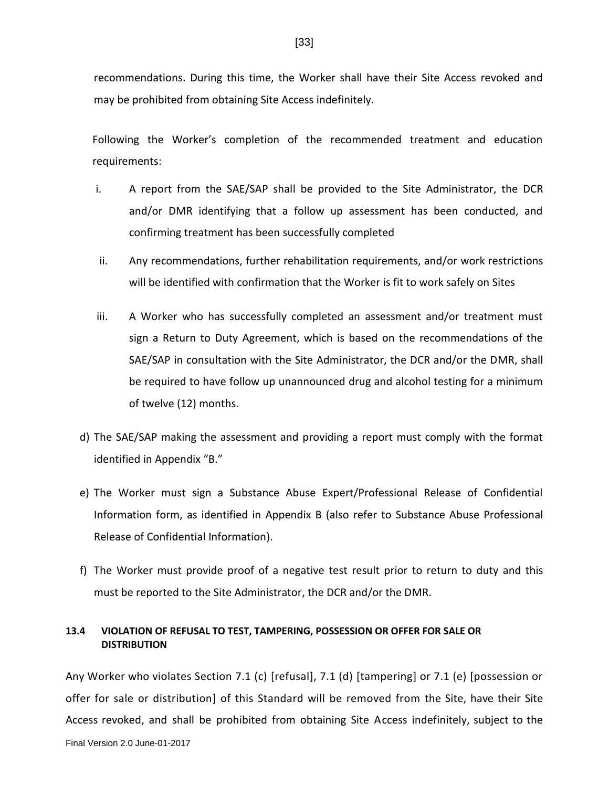recommendations. During this time, the Worker shall have their Site Access revoked and may be prohibited from obtaining Site Access indefinitely.

Following the Worker's completion of the recommended treatment and education requirements:

- i. A report from the SAE/SAP shall be provided to the Site Administrator, the DCR and/or DMR identifying that a follow up assessment has been conducted, and confirming treatment has been successfully completed
- ii. Any recommendations, further rehabilitation requirements, and/or work restrictions will be identified with confirmation that the Worker is fit to work safely on Sites
- iii. A Worker who has successfully completed an assessment and/or treatment must sign a Return to Duty Agreement, which is based on the recommendations of the SAE/SAP in consultation with the Site Administrator, the DCR and/or the DMR, shall be required to have follow up unannounced drug and alcohol testing for a minimum of twelve (12) months.
- d) The SAE/SAP making the assessment and providing a report must comply with the format identified in Appendix "B."
- e) The Worker must sign a Substance Abuse Expert/Professional Release of Confidential Information form, as identified in Appendix B (also refer to Substance Abuse Professional Release of Confidential Information).
- f) The Worker must provide proof of a negative test result prior to return to duty and this must be reported to the Site Administrator, the DCR and/or the DMR.

# **13.4 VIOLATION OF REFUSAL TO TEST, TAMPERING, POSSESSION OR OFFER FOR SALE OR DISTRIBUTION**

Any Worker who violates Section 7.1 (c) [refusal], 7.1 (d) [tampering] or 7.1 (e) [possession or offer for sale or distribution] of this Standard will be removed from the Site, have their Site Access revoked, and shall be prohibited from obtaining Site Access indefinitely, subject to the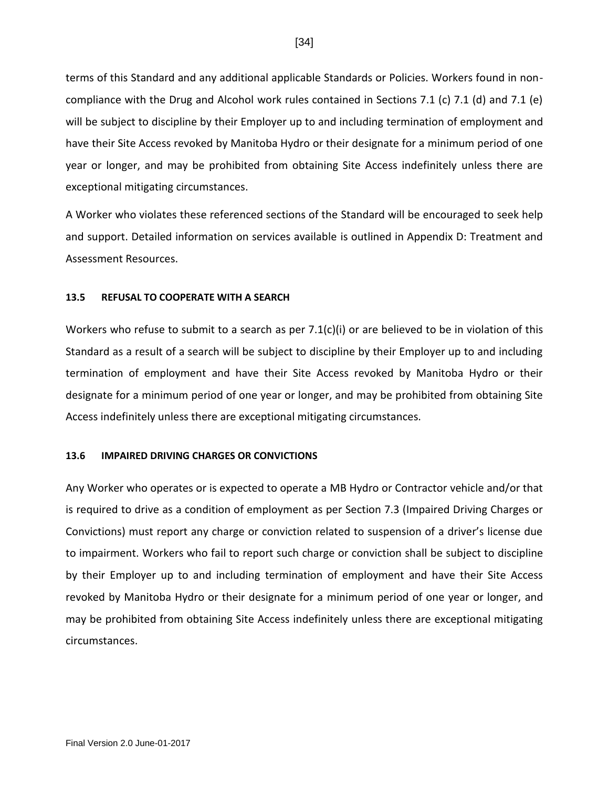terms of this Standard and any additional applicable Standards or Policies. Workers found in noncompliance with the Drug and Alcohol work rules contained in Sections 7.1 (c) 7.1 (d) and 7.1 (e) will be subject to discipline by their Employer up to and including termination of employment and have their Site Access revoked by Manitoba Hydro or their designate for a minimum period of one year or longer, and may be prohibited from obtaining Site Access indefinitely unless there are exceptional mitigating circumstances.

A Worker who violates these referenced sections of the Standard will be encouraged to seek help and support. Detailed information on services available is outlined in Appendix D: Treatment and Assessment Resources.

#### **13.5 REFUSAL TO COOPERATE WITH A SEARCH**

Workers who refuse to submit to a search as per  $7.1(c)(i)$  or are believed to be in violation of this Standard as a result of a search will be subject to discipline by their Employer up to and including termination of employment and have their Site Access revoked by Manitoba Hydro or their designate for a minimum period of one year or longer, and may be prohibited from obtaining Site Access indefinitely unless there are exceptional mitigating circumstances.

#### **13.6 IMPAIRED DRIVING CHARGES OR CONVICTIONS**

Any Worker who operates or is expected to operate a MB Hydro or Contractor vehicle and/or that is required to drive as a condition of employment as per Section 7.3 (Impaired Driving Charges or Convictions) must report any charge or conviction related to suspension of a driver's license due to impairment. Workers who fail to report such charge or conviction shall be subject to discipline by their Employer up to and including termination of employment and have their Site Access revoked by Manitoba Hydro or their designate for a minimum period of one year or longer, and may be prohibited from obtaining Site Access indefinitely unless there are exceptional mitigating circumstances.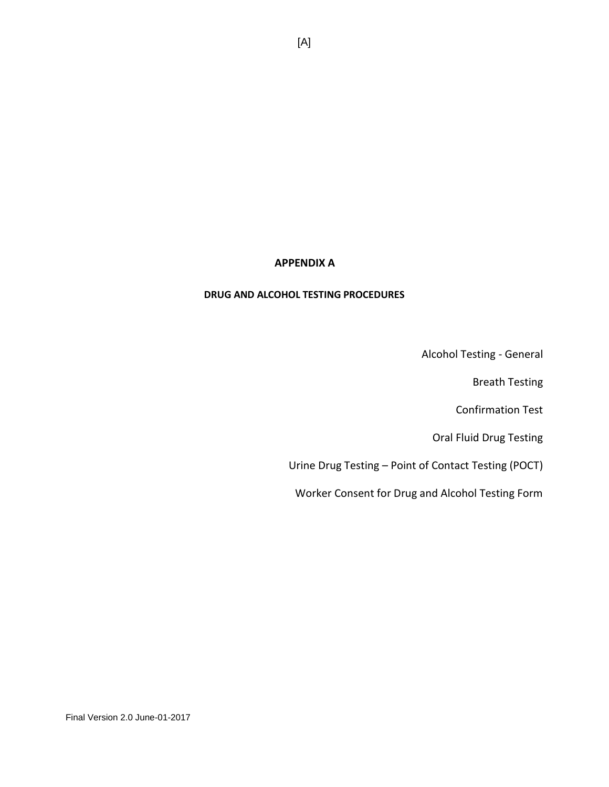# **APPENDIX A**

#### **DRUG AND ALCOHOL TESTING PROCEDURES**

Alcohol Testing - General

Breath Testing

Confirmation Test

Oral Fluid Drug Testing

Urine Drug Testing – Point of Contact Testing (POCT)

Worker Consent for Drug and Alcohol Testing Form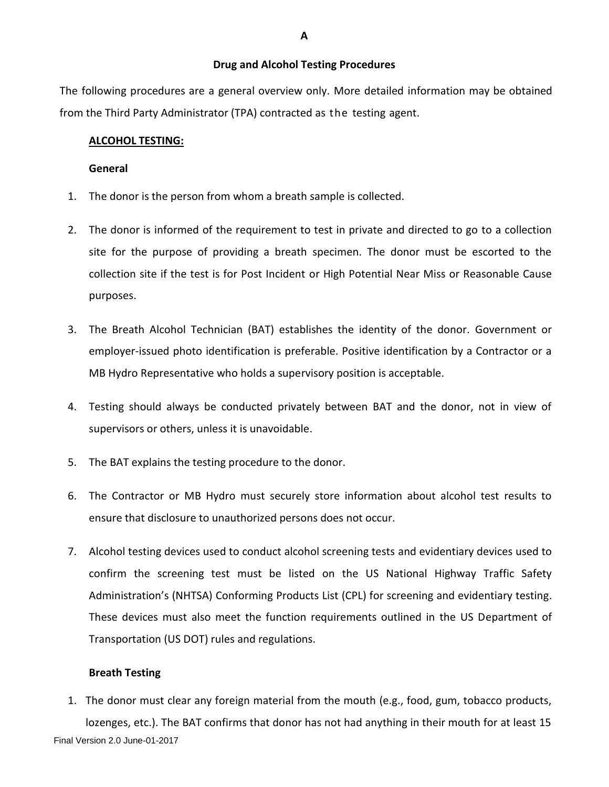#### **Drug and Alcohol Testing Procedures**

The following procedures are a general overview only. More detailed information may be obtained from the Third Party Administrator (TPA) contracted as the testing agent.

### **ALCOHOL TESTING:**

#### **General**

- 1. The donor is the person from whom a breath sample is collected.
- 2. The donor is informed of the requirement to test in private and directed to go to a collection site for the purpose of providing a breath specimen. The donor must be escorted to the collection site if the test is for Post Incident or High Potential Near Miss or Reasonable Cause purposes.
- 3. The Breath Alcohol Technician (BAT) establishes the identity of the donor. Government or employer-issued photo identification is preferable. Positive identification by a Contractor or a MB Hydro Representative who holds a supervisory position is acceptable.
- 4. Testing should always be conducted privately between BAT and the donor, not in view of supervisors or others, unless it is unavoidable.
- 5. The BAT explains the testing procedure to the donor.
- 6. The Contractor or MB Hydro must securely store information about alcohol test results to ensure that disclosure to unauthorized persons does not occur.
- 7. Alcohol testing devices used to conduct alcohol screening tests and evidentiary devices used to confirm the screening test must be listed on the US National Highway Traffic Safety Administration's (NHTSA) Conforming Products List (CPL) for screening and evidentiary testing. These devices must also meet the function requirements outlined in the US Department of Transportation (US DOT) rules and regulations.

# **Breath Testing**

Final Version 2.0 June-01-2017 1. The donor must clear any foreign material from the mouth (e.g., food, gum, tobacco products, lozenges, etc.). The BAT confirms that donor has not had anything in their mouth for at least 15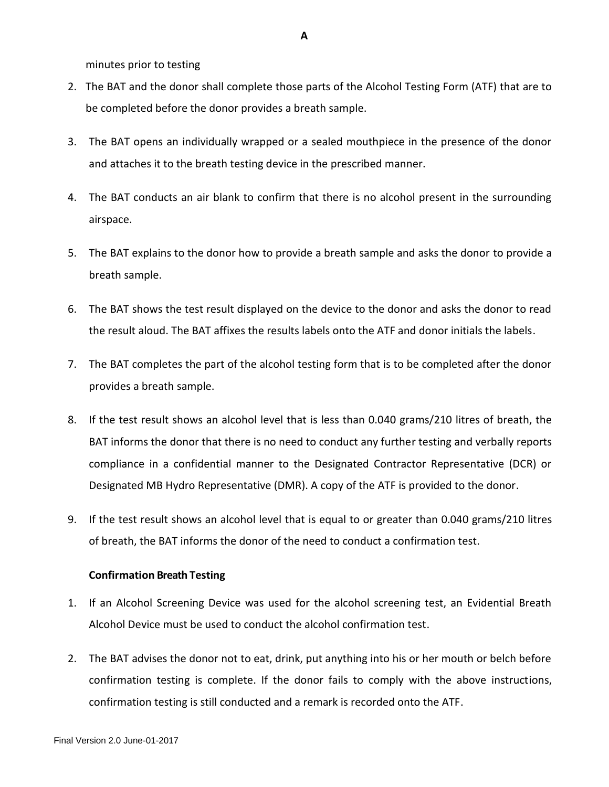minutes prior to testing

- 2. The BAT and the donor shall complete those parts of the Alcohol Testing Form (ATF) that are to be completed before the donor provides a breath sample.
- 3. The BAT opens an individually wrapped or a sealed mouthpiece in the presence of the donor and attaches it to the breath testing device in the prescribed manner.
- 4. The BAT conducts an air blank to confirm that there is no alcohol present in the surrounding airspace.
- 5. The BAT explains to the donor how to provide a breath sample and asks the donor to provide a breath sample.
- 6. The BAT shows the test result displayed on the device to the donor and asks the donor to read the result aloud. The BAT affixes the results labels onto the ATF and donor initials the labels.
- 7. The BAT completes the part of the alcohol testing form that is to be completed after the donor provides a breath sample.
- 8. If the test result shows an alcohol level that is less than 0.040 grams/210 litres of breath, the BAT informs the donor that there is no need to conduct any further testing and verbally reports compliance in a confidential manner to the Designated Contractor Representative (DCR) or Designated MB Hydro Representative (DMR). A copy of the ATF is provided to the donor.
- 9. If the test result shows an alcohol level that is equal to or greater than 0.040 grams/210 litres of breath, the BAT informs the donor of the need to conduct a confirmation test.

# **Confirmation Breath Testing**

- 1. If an Alcohol Screening Device was used for the alcohol screening test, an Evidential Breath Alcohol Device must be used to conduct the alcohol confirmation test.
- 2. The BAT advises the donor not to eat, drink, put anything into his or her mouth or belch before confirmation testing is complete. If the donor fails to comply with the above instructions, confirmation testing is still conducted and a remark is recorded onto the ATF.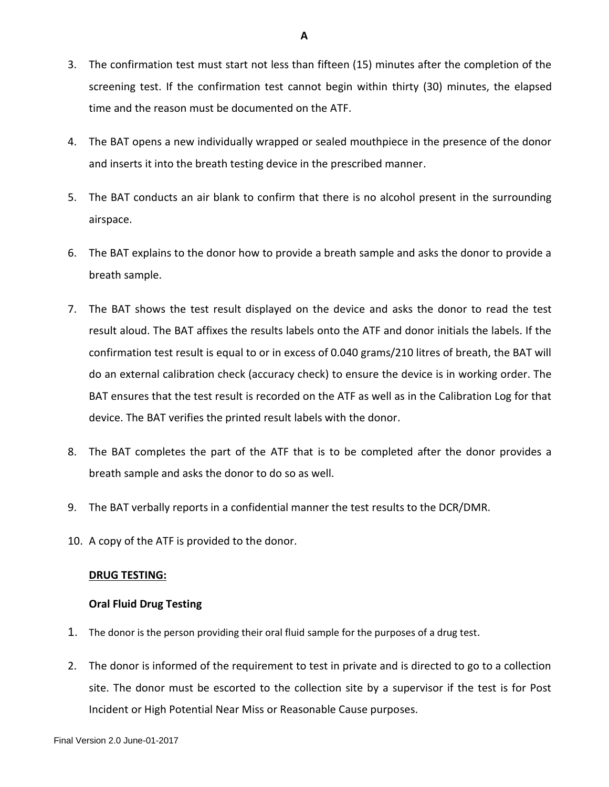- 3. The confirmation test must start not less than fifteen (15) minutes after the completion of the screening test. If the confirmation test cannot begin within thirty (30) minutes, the elapsed time and the reason must be documented on the ATF.
- 4. The BAT opens a new individually wrapped or sealed mouthpiece in the presence of the donor and inserts it into the breath testing device in the prescribed manner.
- 5. The BAT conducts an air blank to confirm that there is no alcohol present in the surrounding airspace.
- 6. The BAT explains to the donor how to provide a breath sample and asks the donor to provide a breath sample.
- 7. The BAT shows the test result displayed on the device and asks the donor to read the test result aloud. The BAT affixes the results labels onto the ATF and donor initials the labels. If the confirmation test result is equal to or in excess of 0.040 grams/210 litres of breath, the BAT will do an external calibration check (accuracy check) to ensure the device is in working order. The BAT ensures that the test result is recorded on the ATF as well as in the Calibration Log for that device. The BAT verifies the printed result labels with the donor.
- 8. The BAT completes the part of the ATF that is to be completed after the donor provides a breath sample and asks the donor to do so as well.
- 9. The BAT verbally reports in a confidential manner the test results to the DCR/DMR.
- 10. A copy of the ATF is provided to the donor.

#### **DRUG TESTING:**

# **Oral Fluid Drug Testing**

- 1. The donor is the person providing their oral fluid sample for the purposes of a drug test.
- 2. The donor is informed of the requirement to test in private and is directed to go to a collection site. The donor must be escorted to the collection site by a supervisor if the test is for Post Incident or High Potential Near Miss or Reasonable Cause purposes.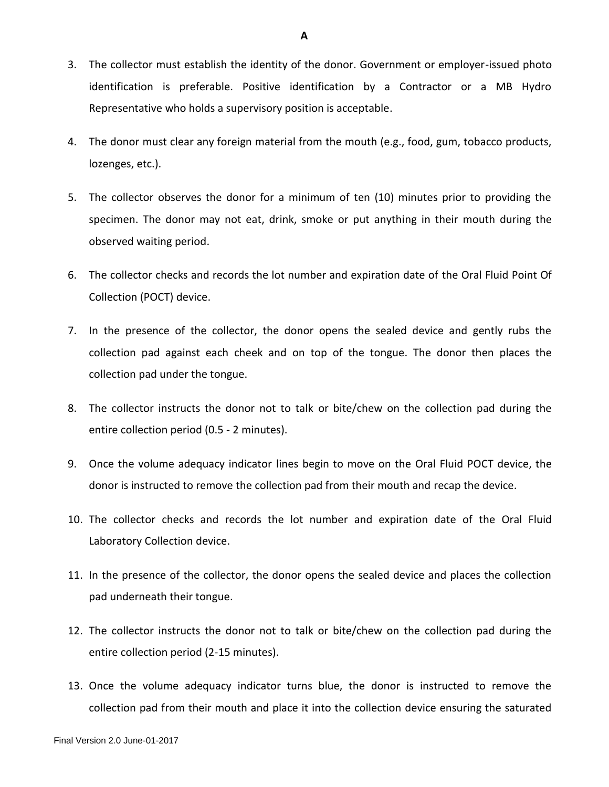- 3. The collector must establish the identity of the donor. Government or employer-issued photo identification is preferable. Positive identification by a Contractor or a MB Hydro Representative who holds a supervisory position is acceptable.
- 4. The donor must clear any foreign material from the mouth (e.g., food, gum, tobacco products, lozenges, etc.).
- 5. The collector observes the donor for a minimum of ten (10) minutes prior to providing the specimen. The donor may not eat, drink, smoke or put anything in their mouth during the observed waiting period.
- 6. The collector checks and records the lot number and expiration date of the Oral Fluid Point Of Collection (POCT) device.
- 7. In the presence of the collector, the donor opens the sealed device and gently rubs the collection pad against each cheek and on top of the tongue. The donor then places the collection pad under the tongue.
- 8. The collector instructs the donor not to talk or bite/chew on the collection pad during the entire collection period (0.5 - 2 minutes).
- 9. Once the volume adequacy indicator lines begin to move on the Oral Fluid POCT device, the donor is instructed to remove the collection pad from their mouth and recap the device.
- 10. The collector checks and records the lot number and expiration date of the Oral Fluid Laboratory Collection device.
- 11. In the presence of the collector, the donor opens the sealed device and places the collection pad underneath their tongue.
- 12. The collector instructs the donor not to talk or bite/chew on the collection pad during the entire collection period (2-15 minutes).
- 13. Once the volume adequacy indicator turns blue, the donor is instructed to remove the collection pad from their mouth and place it into the collection device ensuring the saturated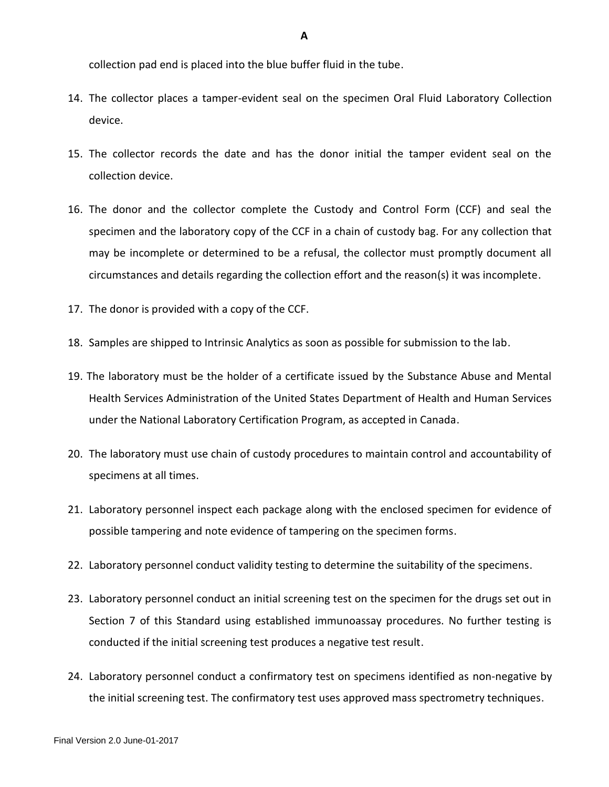collection pad end is placed into the blue buffer fluid in the tube.

- 14. The collector places a tamper-evident seal on the specimen Oral Fluid Laboratory Collection device.
- 15. The collector records the date and has the donor initial the tamper evident seal on the collection device.
- 16. The donor and the collector complete the Custody and Control Form (CCF) and seal the specimen and the laboratory copy of the CCF in a chain of custody bag. For any collection that may be incomplete or determined to be a refusal, the collector must promptly document all circumstances and details regarding the collection effort and the reason(s) it was incomplete.
- 17. The donor is provided with a copy of the CCF.
- 18. Samples are shipped to Intrinsic Analytics as soon as possible for submission to the lab.
- 19. The laboratory must be the holder of a certificate issued by the Substance Abuse and Mental Health Services Administration of the United States Department of Health and Human Services under the National Laboratory Certification Program, as accepted in Canada.
- 20. The laboratory must use chain of custody procedures to maintain control and accountability of specimens at all times.
- 21. Laboratory personnel inspect each package along with the enclosed specimen for evidence of possible tampering and note evidence of tampering on the specimen forms.
- 22. Laboratory personnel conduct validity testing to determine the suitability of the specimens.
- 23. Laboratory personnel conduct an initial screening test on the specimen for the drugs set out in Section 7 of this Standard using established immunoassay procedures. No further testing is conducted if the initial screening test produces a negative test result.
- 24. Laboratory personnel conduct a confirmatory test on specimens identified as non-negative by the initial screening test. The confirmatory test uses approved mass spectrometry techniques.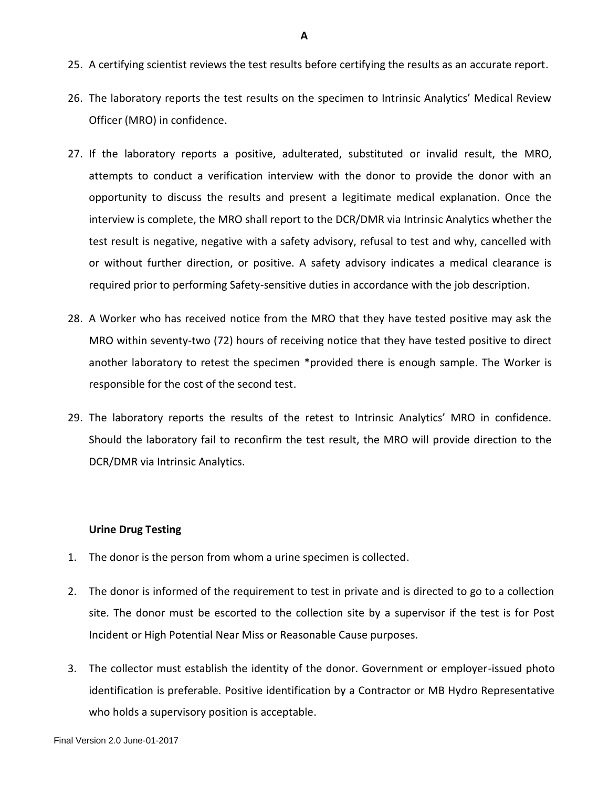- 25. A certifying scientist reviews the test results before certifying the results as an accurate report.
- 26. The laboratory reports the test results on the specimen to Intrinsic Analytics' Medical Review Officer (MRO) in confidence.
- 27. If the laboratory reports a positive, adulterated, substituted or invalid result, the MRO, attempts to conduct a verification interview with the donor to provide the donor with an opportunity to discuss the results and present a legitimate medical explanation. Once the interview is complete, the MRO shall report to the DCR/DMR via Intrinsic Analytics whether the test result is negative, negative with a safety advisory, refusal to test and why, cancelled with or without further direction, or positive. A safety advisory indicates a medical clearance is required prior to performing Safety-sensitive duties in accordance with the job description.
- 28. A Worker who has received notice from the MRO that they have tested positive may ask the MRO within seventy-two (72) hours of receiving notice that they have tested positive to direct another laboratory to retest the specimen \*provided there is enough sample. The Worker is responsible for the cost of the second test.
- 29. The laboratory reports the results of the retest to Intrinsic Analytics' MRO in confidence. Should the laboratory fail to reconfirm the test result, the MRO will provide direction to the DCR/DMR via Intrinsic Analytics.

# **Urine Drug Testing**

- 1. The donor is the person from whom a urine specimen is collected.
- 2. The donor is informed of the requirement to test in private and is directed to go to a collection site. The donor must be escorted to the collection site by a supervisor if the test is for Post Incident or High Potential Near Miss or Reasonable Cause purposes.
- 3. The collector must establish the identity of the donor. Government or employer-issued photo identification is preferable. Positive identification by a Contractor or MB Hydro Representative who holds a supervisory position is acceptable.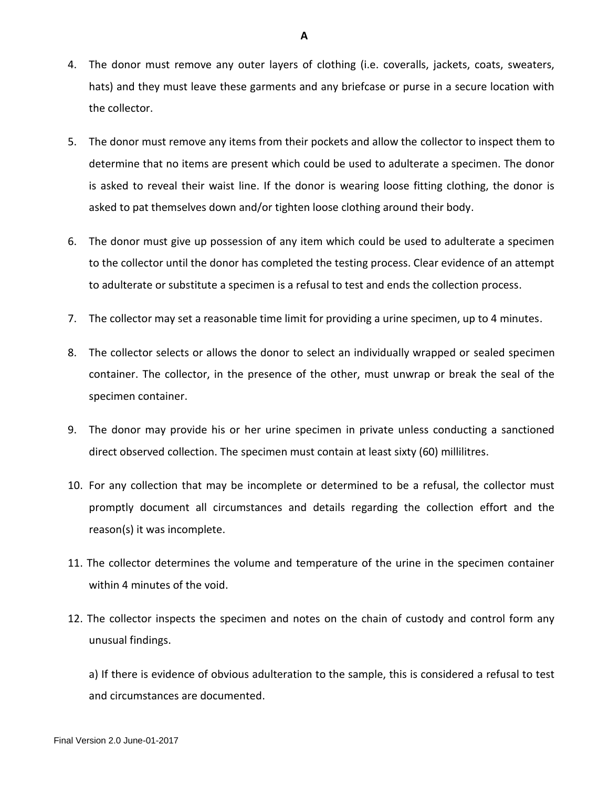- 4. The donor must remove any outer layers of clothing (i.e. coveralls, jackets, coats, sweaters, hats) and they must leave these garments and any briefcase or purse in a secure location with the collector.
- 5. The donor must remove any items from their pockets and allow the collector to inspect them to determine that no items are present which could be used to adulterate a specimen. The donor is asked to reveal their waist line. If the donor is wearing loose fitting clothing, the donor is asked to pat themselves down and/or tighten loose clothing around their body.
- 6. The donor must give up possession of any item which could be used to adulterate a specimen to the collector until the donor has completed the testing process. Clear evidence of an attempt to adulterate or substitute a specimen is a refusal to test and ends the collection process.
- 7. The collector may set a reasonable time limit for providing a urine specimen, up to 4 minutes.
- 8. The collector selects or allows the donor to select an individually wrapped or sealed specimen container. The collector, in the presence of the other, must unwrap or break the seal of the specimen container.
- 9. The donor may provide his or her urine specimen in private unless conducting a sanctioned direct observed collection. The specimen must contain at least sixty (60) millilitres.
- 10. For any collection that may be incomplete or determined to be a refusal, the collector must promptly document all circumstances and details regarding the collection effort and the reason(s) it was incomplete.
- 11. The collector determines the volume and temperature of the urine in the specimen container within 4 minutes of the void.
- 12. The collector inspects the specimen and notes on the chain of custody and control form any unusual findings.

a) If there is evidence of obvious adulteration to the sample, this is considered a refusal to test and circumstances are documented.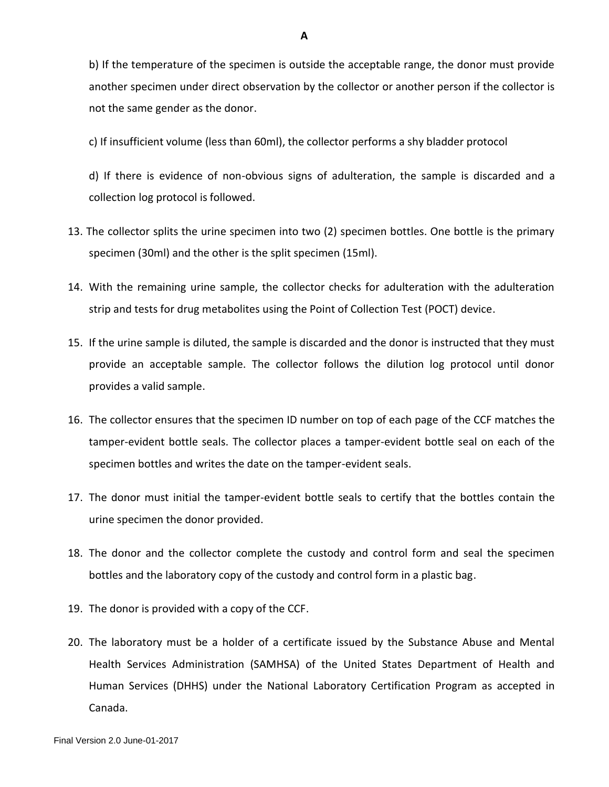b) If the temperature of the specimen is outside the acceptable range, the donor must provide another specimen under direct observation by the collector or another person if the collector is not the same gender as the donor.

c) If insufficient volume (less than 60ml), the collector performs a shy bladder protocol

d) If there is evidence of non-obvious signs of adulteration, the sample is discarded and a collection log protocol is followed.

- 13. The collector splits the urine specimen into two (2) specimen bottles. One bottle is the primary specimen (30ml) and the other is the split specimen (15ml).
- 14. With the remaining urine sample, the collector checks for adulteration with the adulteration strip and tests for drug metabolites using the Point of Collection Test (POCT) device.
- 15. If the urine sample is diluted, the sample is discarded and the donor is instructed that they must provide an acceptable sample. The collector follows the dilution log protocol until donor provides a valid sample.
- 16. The collector ensures that the specimen ID number on top of each page of the CCF matches the tamper-evident bottle seals. The collector places a tamper-evident bottle seal on each of the specimen bottles and writes the date on the tamper-evident seals.
- 17. The donor must initial the tamper-evident bottle seals to certify that the bottles contain the urine specimen the donor provided.
- 18. The donor and the collector complete the custody and control form and seal the specimen bottles and the laboratory copy of the custody and control form in a plastic bag.
- 19. The donor is provided with a copy of the CCF.
- 20. The laboratory must be a holder of a certificate issued by the Substance Abuse and Mental Health Services Administration (SAMHSA) of the United States Department of Health and Human Services (DHHS) under the National Laboratory Certification Program as accepted in Canada.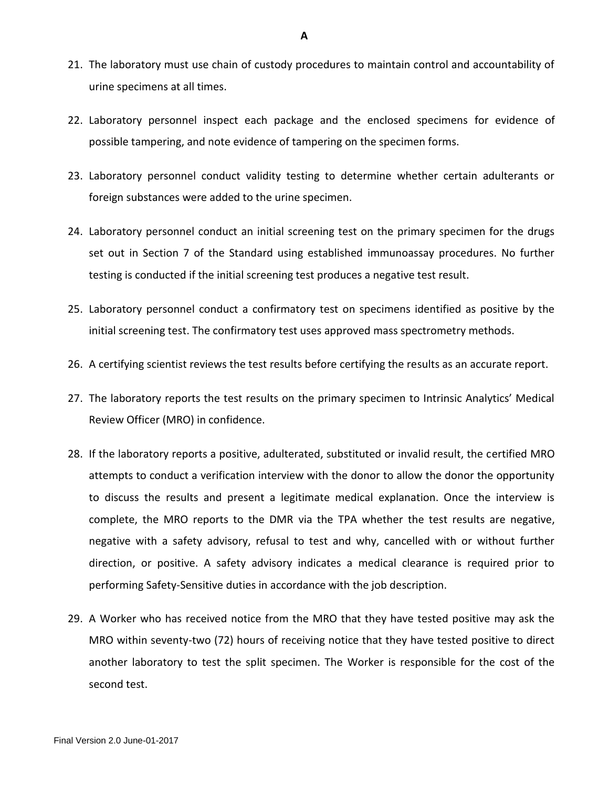- 21. The laboratory must use chain of custody procedures to maintain control and accountability of urine specimens at all times.
- 22. Laboratory personnel inspect each package and the enclosed specimens for evidence of possible tampering, and note evidence of tampering on the specimen forms.
- 23. Laboratory personnel conduct validity testing to determine whether certain adulterants or foreign substances were added to the urine specimen.
- 24. Laboratory personnel conduct an initial screening test on the primary specimen for the drugs set out in Section 7 of the Standard using established immunoassay procedures. No further testing is conducted if the initial screening test produces a negative test result.
- 25. Laboratory personnel conduct a confirmatory test on specimens identified as positive by the initial screening test. The confirmatory test uses approved mass spectrometry methods.
- 26. A certifying scientist reviews the test results before certifying the results as an accurate report.
- 27. The laboratory reports the test results on the primary specimen to Intrinsic Analytics' Medical Review Officer (MRO) in confidence.
- 28. If the laboratory reports a positive, adulterated, substituted or invalid result, the certified MRO attempts to conduct a verification interview with the donor to allow the donor the opportunity to discuss the results and present a legitimate medical explanation. Once the interview is complete, the MRO reports to the DMR via the TPA whether the test results are negative, negative with a safety advisory, refusal to test and why, cancelled with or without further direction, or positive. A safety advisory indicates a medical clearance is required prior to performing Safety-Sensitive duties in accordance with the job description.
- 29. A Worker who has received notice from the MRO that they have tested positive may ask the MRO within seventy-two (72) hours of receiving notice that they have tested positive to direct another laboratory to test the split specimen. The Worker is responsible for the cost of the second test.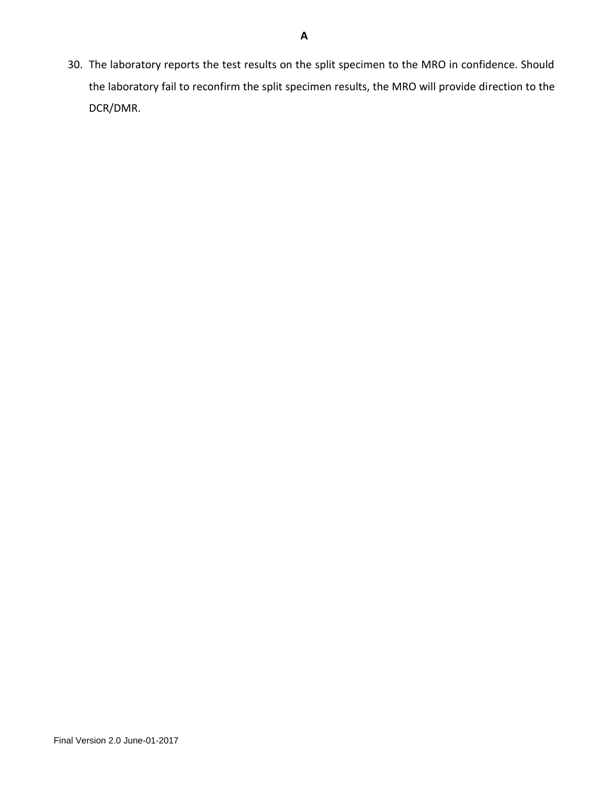30. The laboratory reports the test results on the split specimen to the MRO in confidence. Should the laboratory fail to reconfirm the split specimen results, the MRO will provide direction to the DCR/DMR.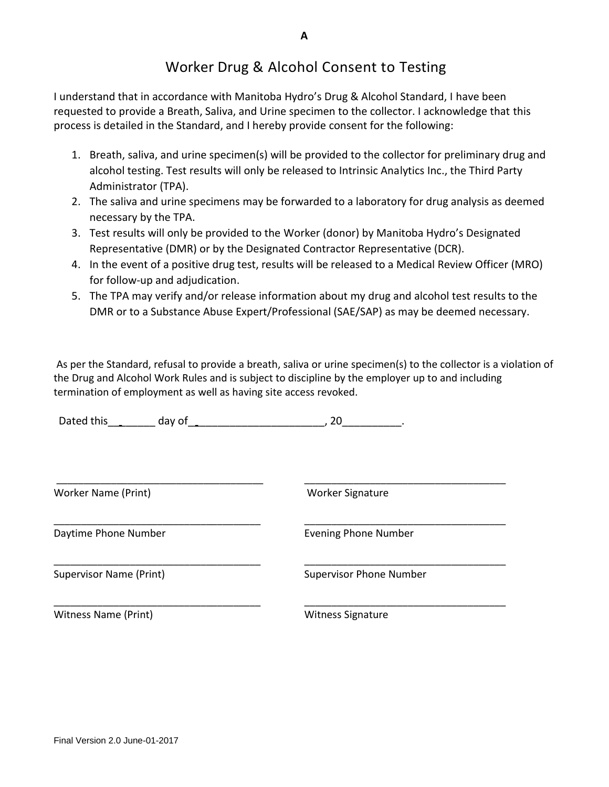# Worker Drug & Alcohol Consent to Testing

I understand that in accordance with Manitoba Hydro's Drug & Alcohol Standard, I have been requested to provide a Breath, Saliva, and Urine specimen to the collector. I acknowledge that this process is detailed in the Standard, and I hereby provide consent for the following:

- 1. Breath, saliva, and urine specimen(s) will be provided to the collector for preliminary drug and alcohol testing. Test results will only be released to Intrinsic Analytics Inc., the Third Party Administrator (TPA).
- 2. The saliva and urine specimens may be forwarded to a laboratory for drug analysis as deemed necessary by the TPA.
- 3. Test results will only be provided to the Worker (donor) by Manitoba Hydro's Designated Representative (DMR) or by the Designated Contractor Representative (DCR).
- 4. In the event of a positive drug test, results will be released to a Medical Review Officer (MRO) for follow-up and adjudication.
- 5. The TPA may verify and/or release information about my drug and alcohol test results to the DMR or to a Substance Abuse Expert/Professional (SAE/SAP) as may be deemed necessary.

As per the Standard, refusal to provide a breath, saliva or urine specimen(s) to the collector is a violation of the Drug and Alcohol Work Rules and is subject to discipline by the employer up to and including termination of employment as well as having site access revoked.

\_\_\_\_\_\_\_\_\_\_\_\_\_\_\_\_\_\_\_\_\_\_\_\_\_\_\_\_\_\_\_\_\_\_\_\_\_\_ \_\_\_\_\_\_\_\_\_\_\_\_\_\_\_\_\_\_\_\_\_\_\_\_\_\_\_\_\_\_\_\_\_\_\_\_\_

\_\_\_\_\_\_\_\_\_\_\_\_\_\_\_\_\_\_\_\_\_\_\_\_\_\_\_\_\_\_\_\_\_\_\_\_\_\_ \_\_\_\_\_\_\_\_\_\_\_\_\_\_\_\_\_\_\_\_\_\_\_\_\_\_\_\_\_\_\_\_\_\_\_\_\_

| Dated this | nav |  |
|------------|-----|--|
|------------|-----|--|

Worker Name (Print) Worker Signature

\_\_\_\_\_\_\_\_\_\_\_\_\_\_\_\_\_\_\_\_\_\_\_\_\_\_\_\_\_\_\_\_\_\_\_\_\_\_ \_\_\_\_\_\_\_\_\_\_\_\_\_\_\_\_\_\_\_\_\_\_\_\_\_\_\_\_\_\_\_\_\_\_\_\_\_ Daytime Phone Number **Evening Phone Number** Evening Phone Number

Supervisor Name (Print) Supervisor Phone Number

\_\_\_\_\_\_\_\_\_\_\_\_\_\_\_\_\_\_\_\_\_\_\_\_\_\_\_\_\_\_\_\_\_\_\_\_\_\_ \_\_\_\_\_\_\_\_\_\_\_\_\_\_\_\_\_\_\_\_\_\_\_\_\_\_\_\_\_\_\_\_\_\_\_\_\_ Witness Name (Print) Witness Signature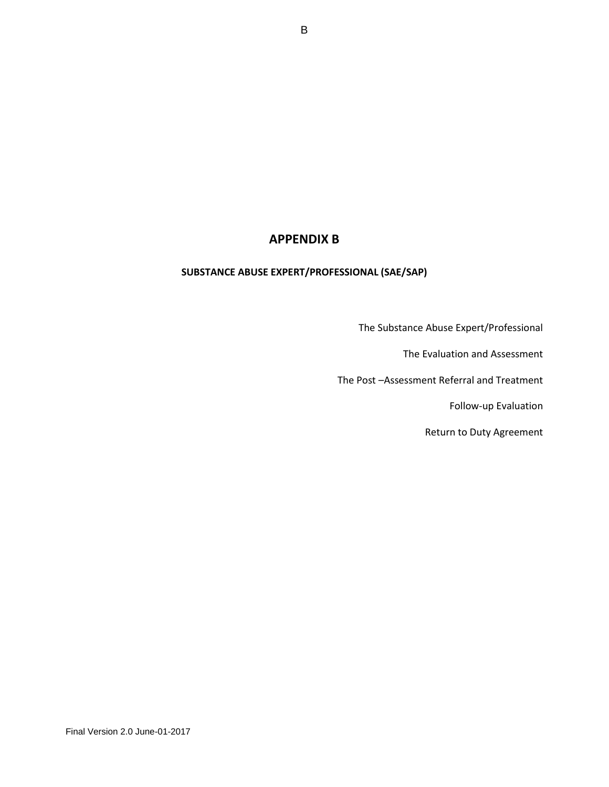# **APPENDIX B**

# **SUBSTANCE ABUSE EXPERT/PROFESSIONAL (SAE/SAP)**

The Substance Abuse Expert/Professional

The Evaluation and Assessment

The Post –Assessment Referral and Treatment

Follow-up Evaluation

Return to Duty Agreement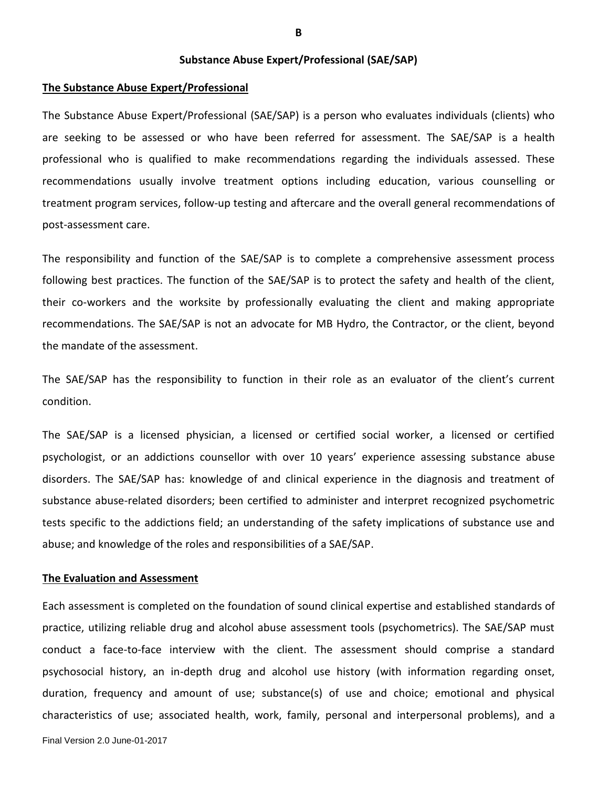**Substance Abuse Expert/Professional (SAE/SAP)** 

#### **The Substance Abuse Expert/Professional**

The Substance Abuse Expert/Professional (SAE/SAP) is a person who evaluates individuals (clients) who are seeking to be assessed or who have been referred for assessment. The SAE/SAP is a health professional who is qualified to make recommendations regarding the individuals assessed. These recommendations usually involve treatment options including education, various counselling or treatment program services, follow-up testing and aftercare and the overall general recommendations of post-assessment care.

The responsibility and function of the SAE/SAP is to complete a comprehensive assessment process following best practices. The function of the SAE/SAP is to protect the safety and health of the client, their co-workers and the worksite by professionally evaluating the client and making appropriate recommendations. The SAE/SAP is not an advocate for MB Hydro, the Contractor, or the client, beyond the mandate of the assessment.

The SAE/SAP has the responsibility to function in their role as an evaluator of the client's current condition.

The SAE/SAP is a licensed physician, a licensed or certified social worker, a licensed or certified psychologist, or an addictions counsellor with over 10 years' experience assessing substance abuse disorders. The SAE/SAP has: knowledge of and clinical experience in the diagnosis and treatment of substance abuse-related disorders; been certified to administer and interpret recognized psychometric tests specific to the addictions field; an understanding of the safety implications of substance use and abuse; and knowledge of the roles and responsibilities of a SAE/SAP.

#### **The Evaluation and Assessment**

Each assessment is completed on the foundation of sound clinical expertise and established standards of practice, utilizing reliable drug and alcohol abuse assessment tools (psychometrics). The SAE/SAP must conduct a face-to-face interview with the client. The assessment should comprise a standard psychosocial history, an in-depth drug and alcohol use history (with information regarding onset, duration, frequency and amount of use; substance(s) of use and choice; emotional and physical characteristics of use; associated health, work, family, personal and interpersonal problems), and a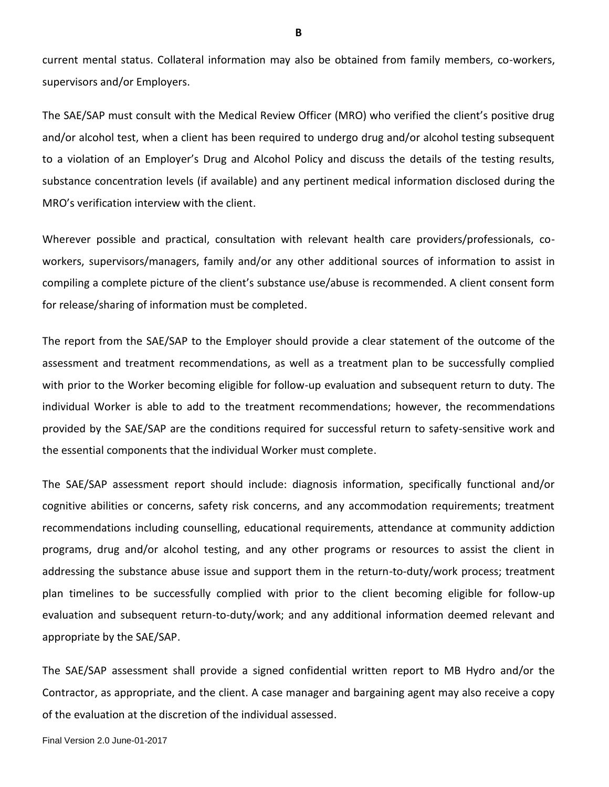current mental status. Collateral information may also be obtained from family members, co-workers, supervisors and/or Employers.

The SAE/SAP must consult with the Medical Review Officer (MRO) who verified the client's positive drug and/or alcohol test, when a client has been required to undergo drug and/or alcohol testing subsequent to a violation of an Employer's Drug and Alcohol Policy and discuss the details of the testing results, substance concentration levels (if available) and any pertinent medical information disclosed during the MRO's verification interview with the client.

Wherever possible and practical, consultation with relevant health care providers/professionals, coworkers, supervisors/managers, family and/or any other additional sources of information to assist in compiling a complete picture of the client's substance use/abuse is recommended. A client consent form for release/sharing of information must be completed.

The report from the SAE/SAP to the Employer should provide a clear statement of the outcome of the assessment and treatment recommendations, as well as a treatment plan to be successfully complied with prior to the Worker becoming eligible for follow-up evaluation and subsequent return to duty. The individual Worker is able to add to the treatment recommendations; however, the recommendations provided by the SAE/SAP are the conditions required for successful return to safety-sensitive work and the essential components that the individual Worker must complete.

The SAE/SAP assessment report should include: diagnosis information, specifically functional and/or cognitive abilities or concerns, safety risk concerns, and any accommodation requirements; treatment recommendations including counselling, educational requirements, attendance at community addiction programs, drug and/or alcohol testing, and any other programs or resources to assist the client in addressing the substance abuse issue and support them in the return-to-duty/work process; treatment plan timelines to be successfully complied with prior to the client becoming eligible for follow-up evaluation and subsequent return-to-duty/work; and any additional information deemed relevant and appropriate by the SAE/SAP.

The SAE/SAP assessment shall provide a signed confidential written report to MB Hydro and/or the Contractor, as appropriate, and the client. A case manager and bargaining agent may also receive a copy of the evaluation at the discretion of the individual assessed.

**B**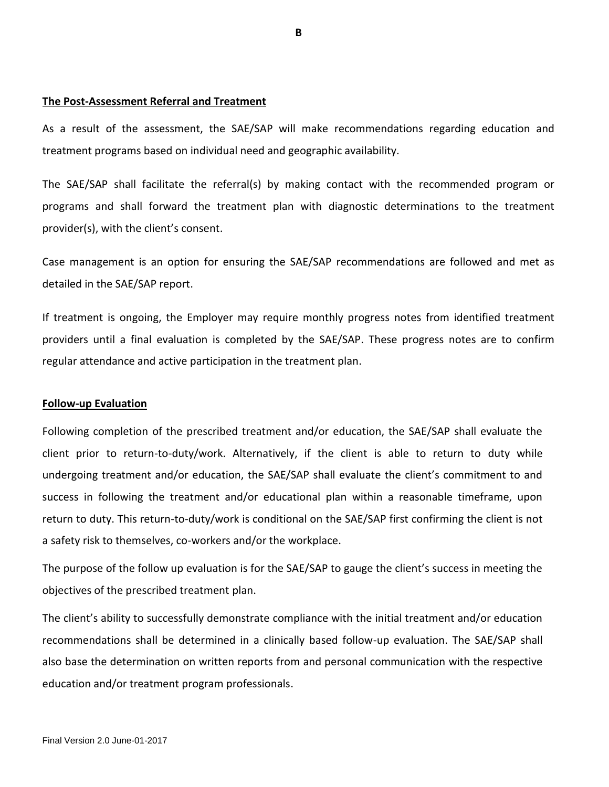#### **The Post-Assessment Referral and Treatment**

As a result of the assessment, the SAE/SAP will make recommendations regarding education and treatment programs based on individual need and geographic availability.

The SAE/SAP shall facilitate the referral(s) by making contact with the recommended program or programs and shall forward the treatment plan with diagnostic determinations to the treatment provider(s), with the client's consent.

Case management is an option for ensuring the SAE/SAP recommendations are followed and met as detailed in the SAE/SAP report.

If treatment is ongoing, the Employer may require monthly progress notes from identified treatment providers until a final evaluation is completed by the SAE/SAP. These progress notes are to confirm regular attendance and active participation in the treatment plan.

#### **Follow-up Evaluation**

Following completion of the prescribed treatment and/or education, the SAE/SAP shall evaluate the client prior to return-to-duty/work. Alternatively, if the client is able to return to duty while undergoing treatment and/or education, the SAE/SAP shall evaluate the client's commitment to and success in following the treatment and/or educational plan within a reasonable timeframe, upon return to duty. This return-to-duty/work is conditional on the SAE/SAP first confirming the client is not a safety risk to themselves, co-workers and/or the workplace.

The purpose of the follow up evaluation is for the SAE/SAP to gauge the client's success in meeting the objectives of the prescribed treatment plan.

The client's ability to successfully demonstrate compliance with the initial treatment and/or education recommendations shall be determined in a clinically based follow-up evaluation. The SAE/SAP shall also base the determination on written reports from and personal communication with the respective education and/or treatment program professionals.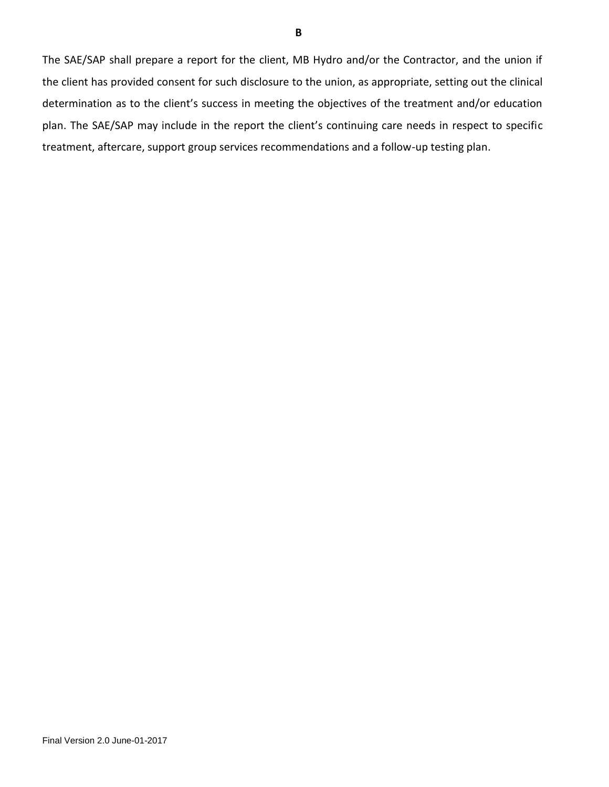The SAE/SAP shall prepare a report for the client, MB Hydro and/or the Contractor, and the union if the client has provided consent for such disclosure to the union, as appropriate, setting out the clinical determination as to the client's success in meeting the objectives of the treatment and/or education plan. The SAE/SAP may include in the report the client's continuing care needs in respect to specific treatment, aftercare, support group services recommendations and a follow-up testing plan.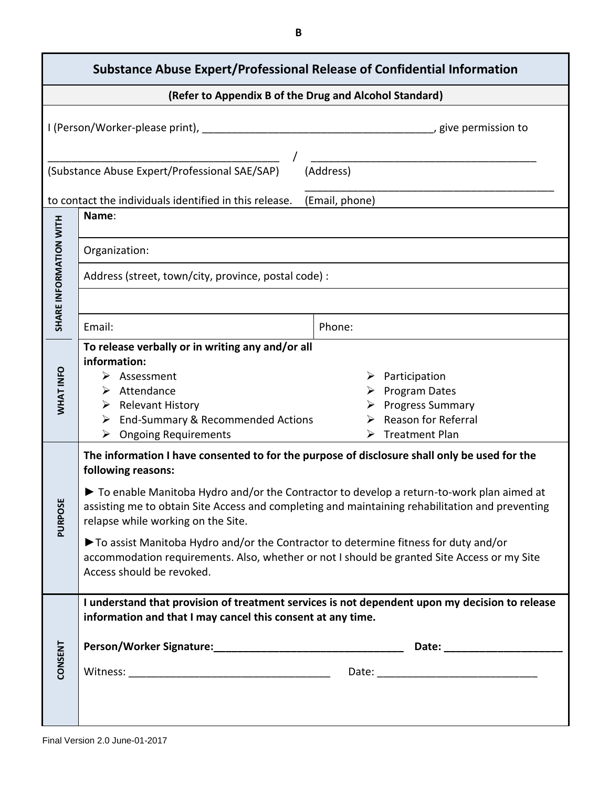| <b>Substance Abuse Expert/Professional Release of Confidential Information</b> |                                                                                                                                                                                                                                                                                                                                                                                                                                                                                                                                                                            |                                                                                                                                             |  |  |  |
|--------------------------------------------------------------------------------|----------------------------------------------------------------------------------------------------------------------------------------------------------------------------------------------------------------------------------------------------------------------------------------------------------------------------------------------------------------------------------------------------------------------------------------------------------------------------------------------------------------------------------------------------------------------------|---------------------------------------------------------------------------------------------------------------------------------------------|--|--|--|
|                                                                                |                                                                                                                                                                                                                                                                                                                                                                                                                                                                                                                                                                            | (Refer to Appendix B of the Drug and Alcohol Standard)                                                                                      |  |  |  |
|                                                                                |                                                                                                                                                                                                                                                                                                                                                                                                                                                                                                                                                                            |                                                                                                                                             |  |  |  |
|                                                                                | (Substance Abuse Expert/Professional SAE/SAP)                                                                                                                                                                                                                                                                                                                                                                                                                                                                                                                              | (Address)                                                                                                                                   |  |  |  |
|                                                                                | to contact the individuals identified in this release.                                                                                                                                                                                                                                                                                                                                                                                                                                                                                                                     | (Email, phone)                                                                                                                              |  |  |  |
|                                                                                | Name:                                                                                                                                                                                                                                                                                                                                                                                                                                                                                                                                                                      |                                                                                                                                             |  |  |  |
|                                                                                | Organization:                                                                                                                                                                                                                                                                                                                                                                                                                                                                                                                                                              |                                                                                                                                             |  |  |  |
|                                                                                | Address (street, town/city, province, postal code) :                                                                                                                                                                                                                                                                                                                                                                                                                                                                                                                       |                                                                                                                                             |  |  |  |
| SHARE INFORMATION WITH                                                         | Email:                                                                                                                                                                                                                                                                                                                                                                                                                                                                                                                                                                     | Phone:                                                                                                                                      |  |  |  |
| WHAT INFO                                                                      | To release verbally or in writing any and/or all<br>information:<br>$\triangleright$ Assessment<br>$\triangleright$ Attendance<br>$\triangleright$ Relevant History<br>> End-Summary & Recommended Actions<br><b>Ongoing Requirements</b><br>➤                                                                                                                                                                                                                                                                                                                             | $\triangleright$ Participation<br><b>Program Dates</b><br><b>Progress Summary</b><br>Reason for Referral<br>$\triangleright$ Treatment Plan |  |  |  |
| <b>PURPOSE</b>                                                                 | The information I have consented to for the purpose of disclosure shall only be used for the<br>following reasons:<br>To enable Manitoba Hydro and/or the Contractor to develop a return-to-work plan aimed at<br>assisting me to obtain Site Access and completing and maintaining rehabilitation and preventing<br>relapse while working on the Site.<br>To assist Manitoba Hydro and/or the Contractor to determine fitness for duty and/or<br>accommodation requirements. Also, whether or not I should be granted Site Access or my Site<br>Access should be revoked. |                                                                                                                                             |  |  |  |
| <b>CONSENT</b>                                                                 | information and that I may cancel this consent at any time.                                                                                                                                                                                                                                                                                                                                                                                                                                                                                                                | I understand that provision of treatment services is not dependent upon my decision to release                                              |  |  |  |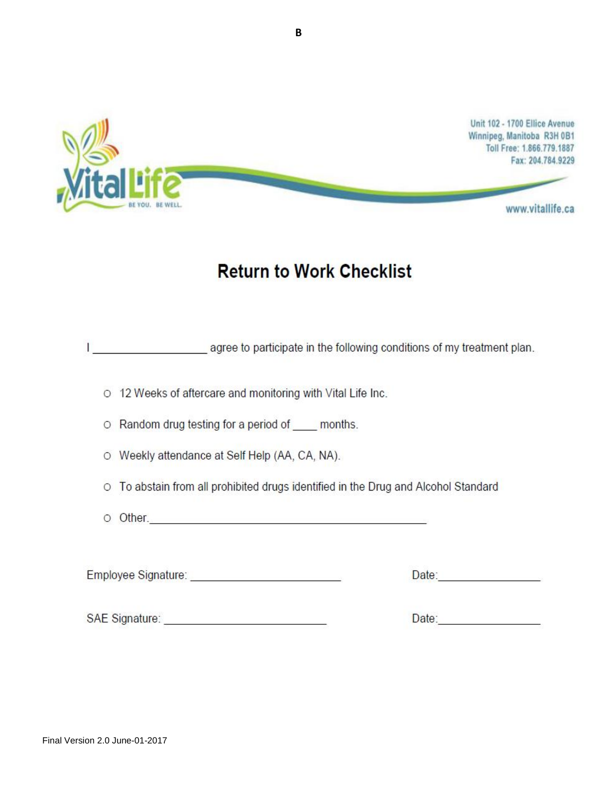

# **Return to Work Checklist**

agree to participate in the following conditions of my treatment plan.

O 12 Weeks of aftercare and monitoring with Vital Life Inc.

O Random drug testing for a period of months.

O Weekly attendance at Self Help (AA, CA, NA).

O To abstain from all prohibited drugs identified in the Drug and Alcohol Standard

O Other.

Employee Signature: Network and the Contract of the Contract of the Contract of the Contract of the Contract of the Contract of the Contract of the Contract of the Contract of the Contract of the Contract of the Contract o

Date: Note: Note: Note: No. 1996

Date: <u>Date: Sale Barbara and Barbara and Barbara and Barbara and Barbara and Barbara and Barbara and Barbara and Barbara and Barbara and Barbara and Barbara and Barbara and Barbara and Barbara and Barbara and Barbara and </u>

SAE Signature: Web and the state of the state of the state of the state of the state of the state of the state of the state of the state of the state of the state of the state of the state of the state of the state of the

**B**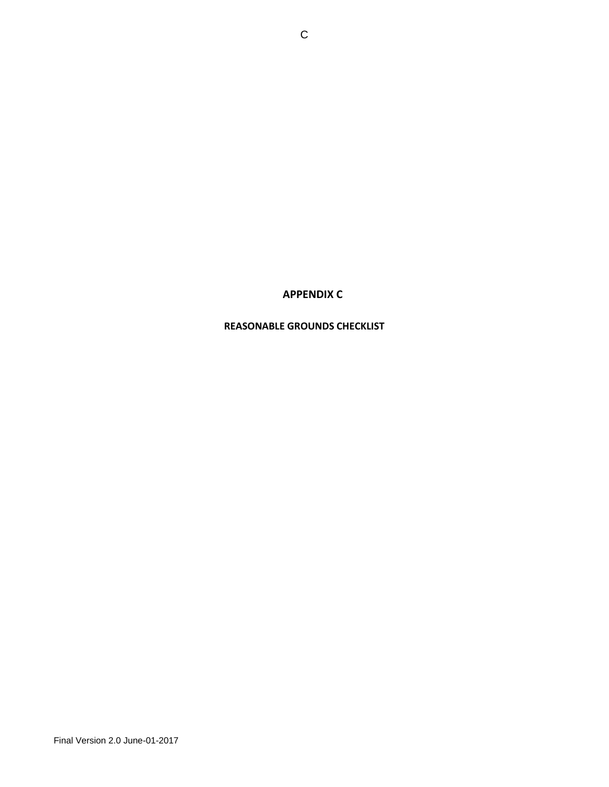# **APPENDIX C**

# **REASONABLE GROUNDS CHECKLIST**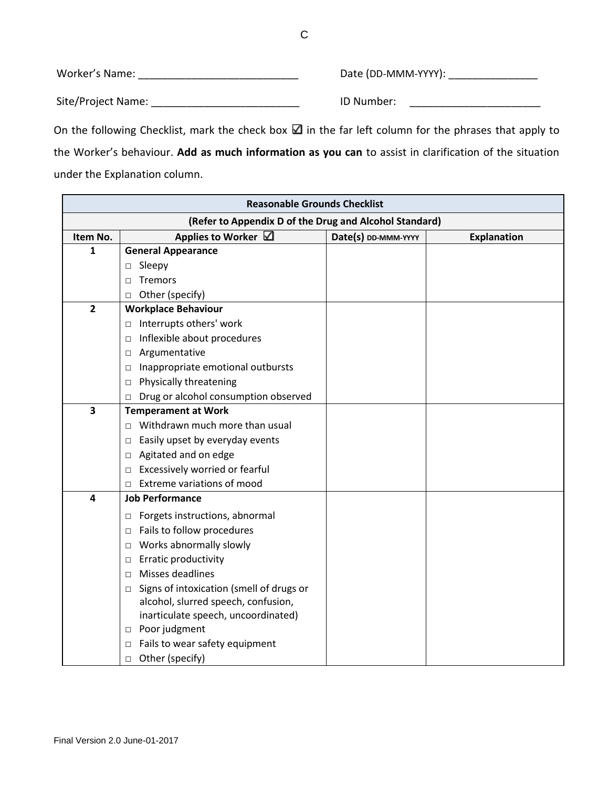Worker's Name: \_\_\_\_\_\_\_\_\_\_\_\_\_\_\_\_\_\_\_\_\_\_\_\_\_\_\_ Date (DD-MMM-YYYY): \_\_\_\_\_\_\_\_\_\_\_\_\_\_\_ Site/Project Name: \_\_\_\_\_\_\_\_\_\_\_\_\_\_\_\_\_\_\_\_\_\_\_\_\_ ID Number: \_\_\_\_\_\_\_\_\_\_\_\_\_\_\_\_\_\_\_\_\_\_

On the following Checklist, mark the check box  $\blacksquare$  in the far left column for the phrases that apply to the Worker's behaviour. **Add as much information as you can** to assist in clarification of the situation under the Explanation column.

| <b>Reasonable Grounds Checklist</b>                    |                                                    |                     |                    |  |  |  |
|--------------------------------------------------------|----------------------------------------------------|---------------------|--------------------|--|--|--|
| (Refer to Appendix D of the Drug and Alcohol Standard) |                                                    |                     |                    |  |  |  |
| Item No.                                               | Applies to Worker $\boxtimes$                      | Date(s) DD-MMM-YYYY | <b>Explanation</b> |  |  |  |
| 1                                                      | <b>General Appearance</b>                          |                     |                    |  |  |  |
|                                                        | □ Sleepy                                           |                     |                    |  |  |  |
|                                                        | Tremors<br>П                                       |                     |                    |  |  |  |
|                                                        | Other (specify)<br>$\Box$                          |                     |                    |  |  |  |
| $\overline{2}$                                         | <b>Workplace Behaviour</b>                         |                     |                    |  |  |  |
|                                                        | Interrupts others' work<br>$\Box$                  |                     |                    |  |  |  |
|                                                        | Inflexible about procedures<br>$\Box$              |                     |                    |  |  |  |
|                                                        | □ Argumentative                                    |                     |                    |  |  |  |
|                                                        | Inappropriate emotional outbursts<br>$\Box$        |                     |                    |  |  |  |
|                                                        | Physically threatening<br>$\Box$                   |                     |                    |  |  |  |
|                                                        | Drug or alcohol consumption observed<br>□          |                     |                    |  |  |  |
| 3                                                      | <b>Temperament at Work</b>                         |                     |                    |  |  |  |
|                                                        | $\Box$ Withdrawn much more than usual              |                     |                    |  |  |  |
|                                                        | Easily upset by everyday events<br>$\Box$          |                     |                    |  |  |  |
|                                                        | Agitated and on edge<br>$\Box$                     |                     |                    |  |  |  |
|                                                        | Excessively worried or fearful<br>$\Box$           |                     |                    |  |  |  |
|                                                        | Extreme variations of mood<br>□                    |                     |                    |  |  |  |
| 4                                                      | <b>Job Performance</b>                             |                     |                    |  |  |  |
|                                                        | Forgets instructions, abnormal<br>$\Box$           |                     |                    |  |  |  |
|                                                        | Fails to follow procedures<br>$\Box$               |                     |                    |  |  |  |
|                                                        | Works abnormally slowly<br>□                       |                     |                    |  |  |  |
|                                                        | <b>Erratic productivity</b><br>$\Box$              |                     |                    |  |  |  |
|                                                        | Misses deadlines<br>$\Box$                         |                     |                    |  |  |  |
|                                                        | Signs of intoxication (smell of drugs or<br>$\Box$ |                     |                    |  |  |  |
|                                                        | alcohol, slurred speech, confusion,                |                     |                    |  |  |  |
|                                                        | inarticulate speech, uncoordinated)                |                     |                    |  |  |  |
|                                                        | □ Poor judgment                                    |                     |                    |  |  |  |
|                                                        | Fails to wear safety equipment<br>$\Box$           |                     |                    |  |  |  |
|                                                        | Other (specify)<br>$\Box$                          |                     |                    |  |  |  |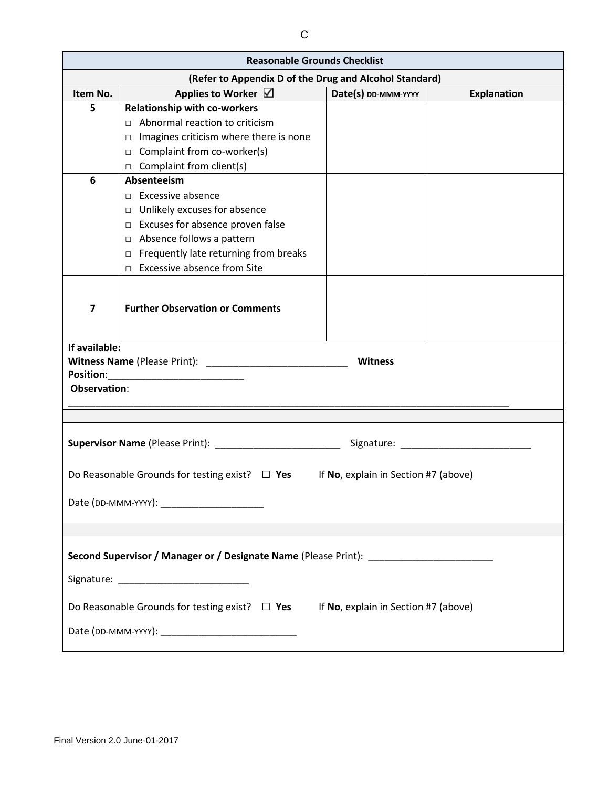| <b>Reasonable Grounds Checklist</b>                                                         |                                                                                   |                                      |                                                |  |  |  |
|---------------------------------------------------------------------------------------------|-----------------------------------------------------------------------------------|--------------------------------------|------------------------------------------------|--|--|--|
| (Refer to Appendix D of the Drug and Alcohol Standard)                                      |                                                                                   |                                      |                                                |  |  |  |
| Item No.                                                                                    | Applies to Worker $\boxtimes$                                                     | Date(s) DD-MMM-YYYY                  | <b>Explanation</b>                             |  |  |  |
| 5                                                                                           | <b>Relationship with co-workers</b>                                               |                                      |                                                |  |  |  |
|                                                                                             | $\Box$ Abnormal reaction to criticism                                             |                                      |                                                |  |  |  |
|                                                                                             | $\Box$ Imagines criticism where there is none                                     |                                      |                                                |  |  |  |
|                                                                                             | $\Box$ Complaint from co-worker(s)                                                |                                      |                                                |  |  |  |
|                                                                                             | $\Box$ Complaint from client(s)                                                   |                                      |                                                |  |  |  |
| 6                                                                                           | Absenteeism                                                                       |                                      |                                                |  |  |  |
|                                                                                             | $\Box$ Excessive absence                                                          |                                      |                                                |  |  |  |
|                                                                                             | $\Box$ Unlikely excuses for absence                                               |                                      |                                                |  |  |  |
|                                                                                             | $\Box$ Excuses for absence proven false                                           |                                      |                                                |  |  |  |
|                                                                                             | □ Absence follows a pattern                                                       |                                      |                                                |  |  |  |
|                                                                                             | $\Box$ Frequently late returning from breaks                                      |                                      |                                                |  |  |  |
|                                                                                             | $\Box$ Excessive absence from Site                                                |                                      |                                                |  |  |  |
|                                                                                             |                                                                                   |                                      |                                                |  |  |  |
| $\overline{ }$                                                                              | <b>Further Observation or Comments</b>                                            |                                      |                                                |  |  |  |
|                                                                                             |                                                                                   |                                      |                                                |  |  |  |
|                                                                                             |                                                                                   |                                      |                                                |  |  |  |
| If available:                                                                               |                                                                                   |                                      |                                                |  |  |  |
|                                                                                             |                                                                                   | <b>Witness</b>                       |                                                |  |  |  |
| <b>Position:</b>                                                                            |                                                                                   |                                      |                                                |  |  |  |
| <b>Observation:</b>                                                                         |                                                                                   |                                      |                                                |  |  |  |
|                                                                                             |                                                                                   |                                      |                                                |  |  |  |
|                                                                                             |                                                                                   |                                      |                                                |  |  |  |
|                                                                                             | Supervisor Name (Please Print): __________________________                        |                                      | Signature: National Assembly of the Signature: |  |  |  |
|                                                                                             |                                                                                   |                                      |                                                |  |  |  |
|                                                                                             | Do Reasonable Grounds for testing exist? $\Box$ Yes                               |                                      |                                                |  |  |  |
|                                                                                             |                                                                                   | If No, explain in Section #7 (above) |                                                |  |  |  |
|                                                                                             |                                                                                   |                                      |                                                |  |  |  |
|                                                                                             |                                                                                   |                                      |                                                |  |  |  |
|                                                                                             |                                                                                   |                                      |                                                |  |  |  |
|                                                                                             |                                                                                   |                                      |                                                |  |  |  |
|                                                                                             | Second Supervisor / Manager or / Designate Name (Please Print): _________________ |                                      |                                                |  |  |  |
|                                                                                             |                                                                                   |                                      |                                                |  |  |  |
|                                                                                             |                                                                                   |                                      |                                                |  |  |  |
| Do Reasonable Grounds for testing exist? $\Box$ Yes<br>If No, explain in Section #7 (above) |                                                                                   |                                      |                                                |  |  |  |
|                                                                                             |                                                                                   |                                      |                                                |  |  |  |
|                                                                                             |                                                                                   |                                      |                                                |  |  |  |
|                                                                                             |                                                                                   |                                      |                                                |  |  |  |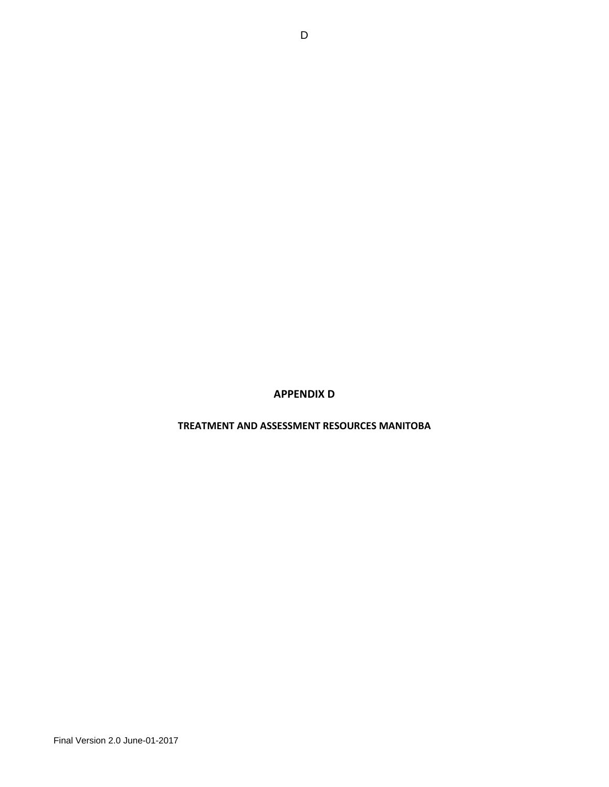# **APPENDIX D**

#### **TREATMENT AND ASSESSMENT RESOURCES MANITOBA**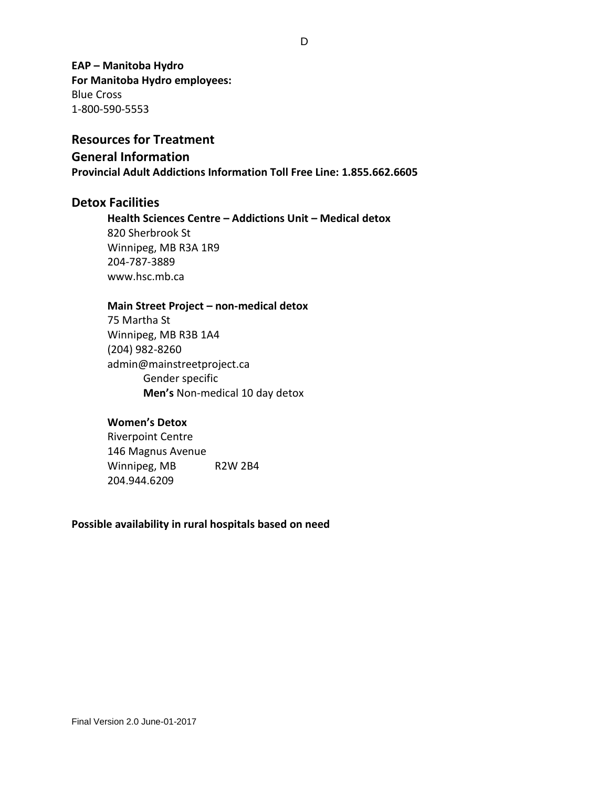**EAP – Manitoba Hydro For Manitoba Hydro employees:** Blue Cross 1-800-590-5553

# **Resources for Treatment General Information Provincial Adult Addictions Information Toll Free Line: 1.855.662.6605**

# **Detox Facilities**

**Health Sciences Centre – Addictions Unit – Medical detox** 820 Sherbrook St Winnipeg, MB R3A 1R9 204-787-3889 [www.hsc.mb.ca](http://www.hsc.mb.ca/)

#### **Main Street Project – non-medical detox**

75 Martha St Winnipeg, MB R3B 1A4 [\(204\) 982-8260](javascript:void(0)) [admin@mainstreetproject.ca](mailto:admin@mainstreetproject.ca) Gender specific **Men's** Non-medical 10 day detox

#### **Women's Detox**

Riverpoint Centre 146 Magnus Avenue Winnipeg, MB R2W 2B4 204.944.6209

# **Possible availability in rural hospitals based on need**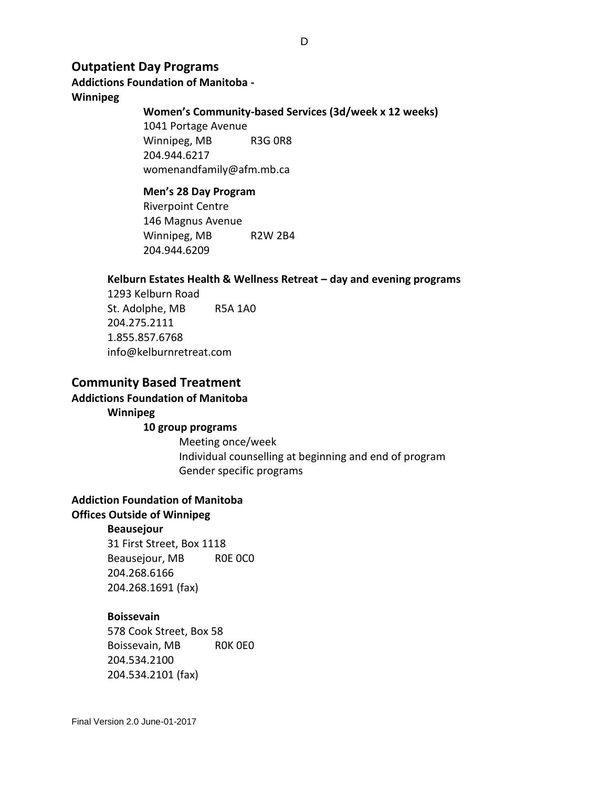# **Outpatient Day Programs**

# **Addictions Foundation of Manitoba -**

# **Winnipeg**

#### **Women's Community-based Services (3d/week x 12 weeks)**

1041 Portage Avenue Winnipeg, MB R3G 0R8 204.944.6217 [womenandfamily@afm.mb.ca](mailto:womenandfamily@afm.mb.ca)

# **Men's 28 Day Program**

Riverpoint Centre 146 Magnus Avenue Winnipeg, MB R2W 2B4 204.944.6209

#### **Kelburn Estates Health & Wellness Retreat – day and evening programs**

1293 Kelburn Road St. Adolphe, MB R5A 1A0 204.275.2111 1.855.857.6768 info@kelburnretreat.com

# **Community Based Treatment**

# **Addictions Foundation of Manitoba**

# **Winnipeg**

**10 group programs** 

Meeting once/week Individual counselling at beginning and end of program Gender specific programs

### **Addiction Foundation of Manitoba**

### **Offices Outside of Winnipeg**

#### **Beausejour**

31 First Street, Box 1118 Beausejour, MB R0E 0C0 204.268.6166 204.268.1691 (fax)

#### **Boissevain**

578 Cook Street, Box 58 Boissevain, MB R0K 0E0 204.534.2100 204.534.2101 (fax)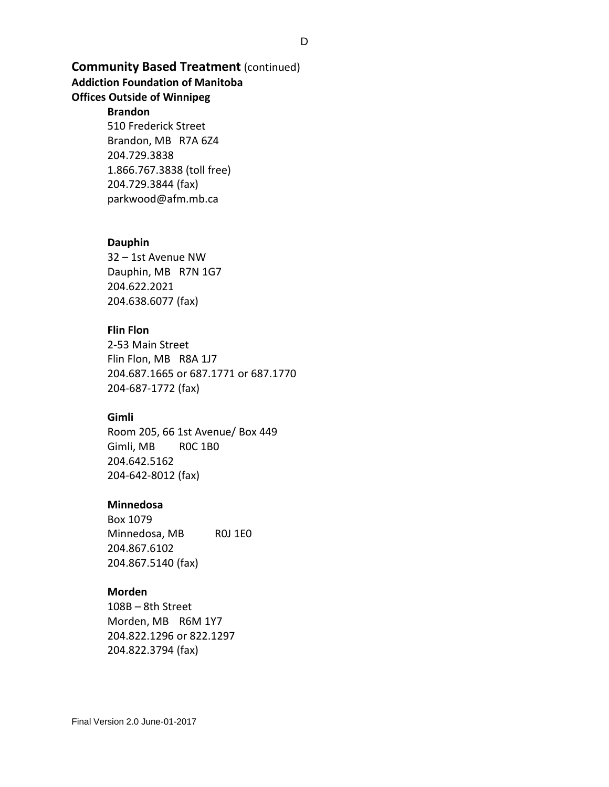# **Community Based Treatment** (continued)

# **Addiction Foundation of Manitoba**

# **Offices Outside of Winnipeg**

### **Brandon**

510 Frederick Street Brandon, MB R7A 6Z4 204.729.3838 1.866.767.3838 (toll free) 204.729.3844 (fax) [parkwood@afm.mb.ca](mailto:parkwood@afm.mb.ca)

#### **Dauphin**

32 – 1st Avenue NW Dauphin, MB R7N 1G7 204.622.2021 204.638.6077 (fax)

#### **Flin Flon**

2-53 Main Street Flin Flon, MB R8A 1J7 204.687.1665 or 687.1771 or 687.1770 204-687-1772 (fax)

### **Gimli**

Room 205, 66 1st Avenue/ Box 449 Gimli, MB R0C 1B0 204.642.5162 204-642-8012 (fax)

#### **Minnedosa**

Box 1079 Minnedosa, MB ROJ 1E0 204.867.6102 204.867.5140 (fax)

# **Morden**

108B – 8th Street Morden, MB R6M 1Y7 204.822.1296 or 822.1297 204.822.3794 (fax)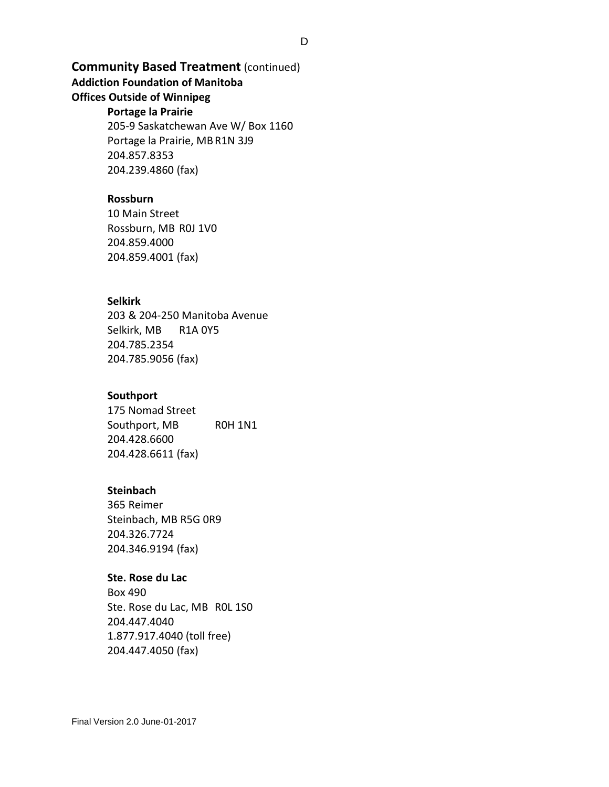# **Community Based Treatment** (continued)

# **Addiction Foundation of Manitoba**

# **Offices Outside of Winnipeg**

# **Portage la Prairie**

205-9 Saskatchewan Ave W/ Box 1160 Portage la Prairie, MBR1N 3J9 204.857.8353 204.239.4860 (fax)

# **Rossburn**

10 Main Street Rossburn, MB R0J 1V0 204.859.4000 204.859.4001 (fax)

# **Selkirk**

203 & 204-250 Manitoba Avenue Selkirk, MB R1A 0Y5 204.785.2354 204.785.9056 (fax)

#### **Southport**

175 Nomad Street Southport, MB R0H 1N1 204.428.6600 204.428.6611 (fax)

#### **Steinbach**

365 Reimer Steinbach, MB R5G 0R9 204.326.7724 204.346.9194 (fax)

#### **Ste. Rose du Lac**

Box 490 Ste. Rose du Lac, MB R0L 1S0 204.447.4040 1.877.917.4040 (toll free) 204.447.4050 (fax)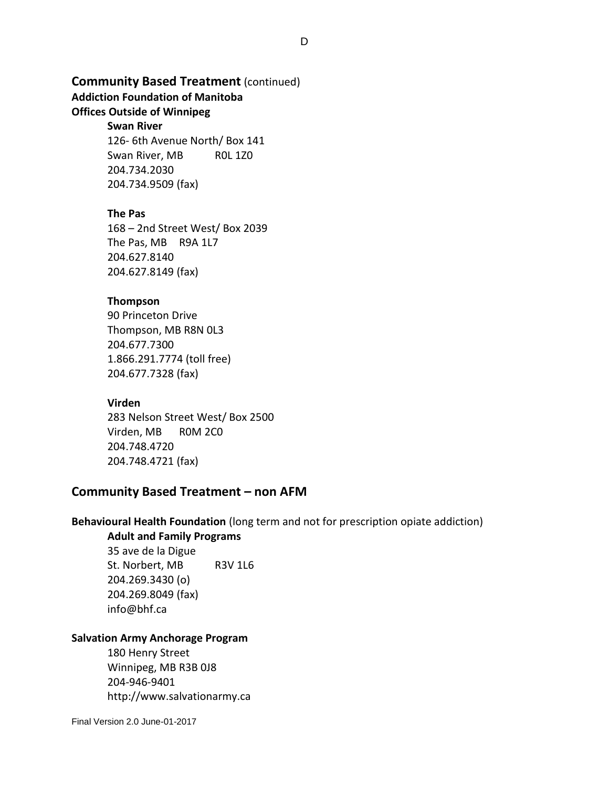# **Community Based Treatment** (continued)

# **Addiction Foundation of Manitoba**

# **Offices Outside of Winnipeg**

# **Swan River**

126- 6th Avenue North/ Box 141 Swan River, MB ROL 1Z0 204.734.2030 204.734.9509 (fax)

# **The Pas**

168 – 2nd Street West/ Box 2039 The Pas, MB R9A 1L7 204.627.8140 204.627.8149 (fax)

# **Thompson**

90 Princeton Drive Thompson, MB R8N 0L3 204.677.7300 1.866.291.7774 (toll free) 204.677.7328 (fax)

# **Virden**

283 Nelson Street West/ Box 2500 Virden, MB R0M 2C0 204.748.4720 204.748.4721 (fax)

# **Community Based Treatment – non AFM**

# **Behavioural Health Foundation** (long term and not for prescription opiate addiction)

# **Adult and Family Programs** 35 ave de la Digue St. Norbert, MB R3V 1L6 204.269.3430 (o)

204.269.8049 (fax) info@bhf.ca

# **Salvation Army Anchorage Program**

180 Henry Street Winnipeg, MB R3B 0J8 204-946-9401 [http://www.salvationarmy.ca](http://www.salvationarmy.ca/)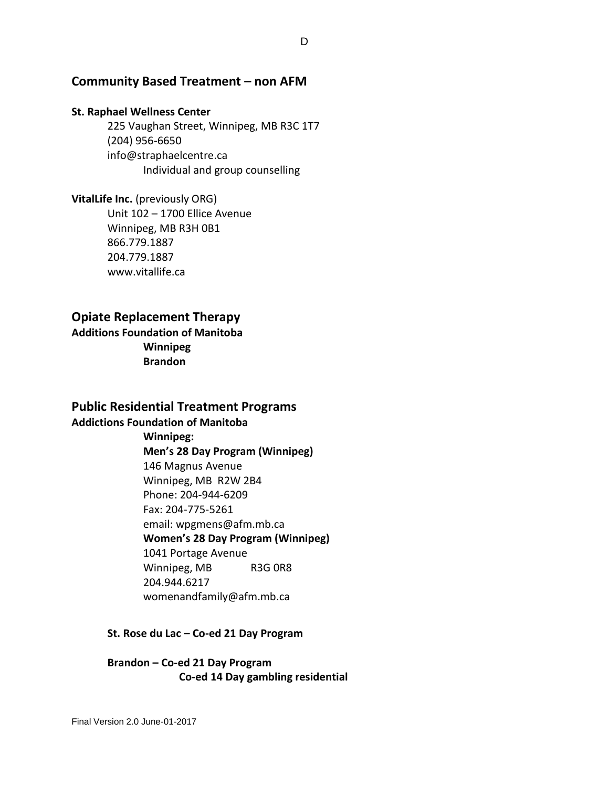# **Community Based Treatment – non AFM**

#### **St. Raphael Wellness Center**

225 Vaughan Street, Winnipeg, MB R3C 1T7 [\(204\) 956-6650](javascript:void(0)) [info@straphaelcentre.ca](mailto:info@straphaelcentre.ca) Individual and group counselling

**VitalLife Inc.** (previously ORG) Unit 102 – 1700 Ellice Avenue Winnipeg, MB R3H 0B1 866.779.1887 204.779.1887 www.vitallife.ca

# **Opiate Replacement Therapy**

**Additions Foundation of Manitoba Winnipeg Brandon**

# **Public Residential Treatment Programs**

**Addictions Foundation of Manitoba**

# **Winnipeg:**

**Men's 28 Day Program (Winnipeg)**

146 Magnus Avenue

Winnipeg, MB R2W 2B4 Phone: 204-944-6209

Fax: 204-775-5261

email[: wpgmens@afm.mb.ca](mailto:wpgmens@afm.mb.ca)

**Women's 28 Day Program (Winnipeg)**

1041 Portage Avenue

Winnipeg, MB R3G 0R8 204.944.6217 [womenandfamily@afm.mb.ca](mailto:womenandfamily@afm.mb.ca)

#### **St. Rose du Lac – Co-ed 21 Day Program**

**Brandon – Co-ed 21 Day Program Co-ed 14 Day gambling residential**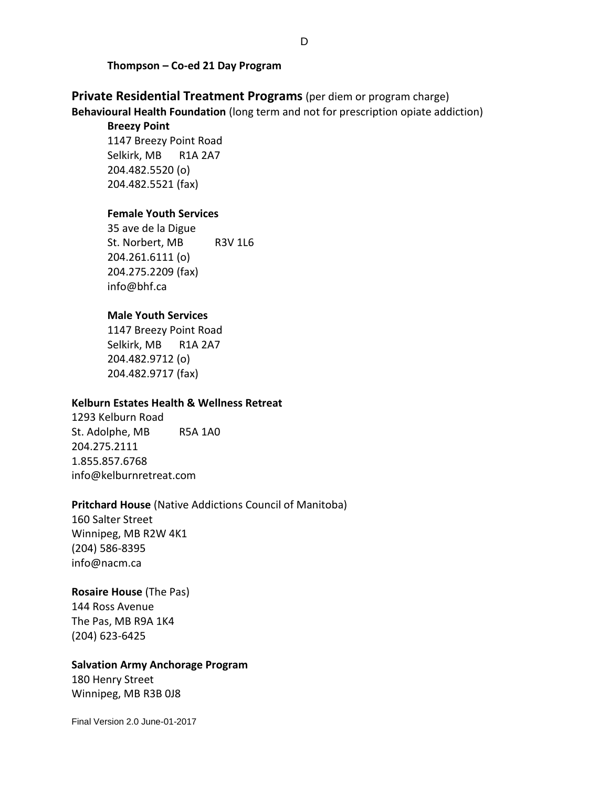#### **Thompson – Co-ed 21 Day Program**

**Private Residential Treatment Programs** (per diem or program charge) **Behavioural Health Foundation** (long term and not for prescription opiate addiction)

# **Breezy Point**

1147 Breezy Point Road Selkirk, MB R1A 2A7 204.482.5520 (o) 204.482.5521 (fax)

### **Female Youth Services**

35 ave de la Digue St. Norbert, MB R3V 1L6 204.261.6111 (o) 204.275.2209 (fax) info@bhf.ca

### **Male Youth Services**

1147 Breezy Point Road Selkirk, MB R1A 2A7 204.482.9712 (o) 204.482.9717 (fax)

#### **Kelburn Estates Health & Wellness Retreat**

1293 Kelburn Road St. Adolphe, MB R5A 1A0 204.275.2111 1.855.857.6768 info@kelburnretreat.com

#### **Pritchard House** (Native Addictions Council of Manitoba)

160 Salter Street Winnipeg, MB R2W 4K1 [\(204\) 586-8395](javascript:void(0)) [info@nacm.ca](mailto:info@nacm.ca)

# **Rosaire House** (The Pas)

144 Ross Avenue The Pas, MB R9A 1K4 [\(204\) 623-6425](javascript:void(0))

#### **Salvation Army Anchorage Program**

180 Henry Street Winnipeg, MB R3B 0J8

Final Version 2.0 June-01-2017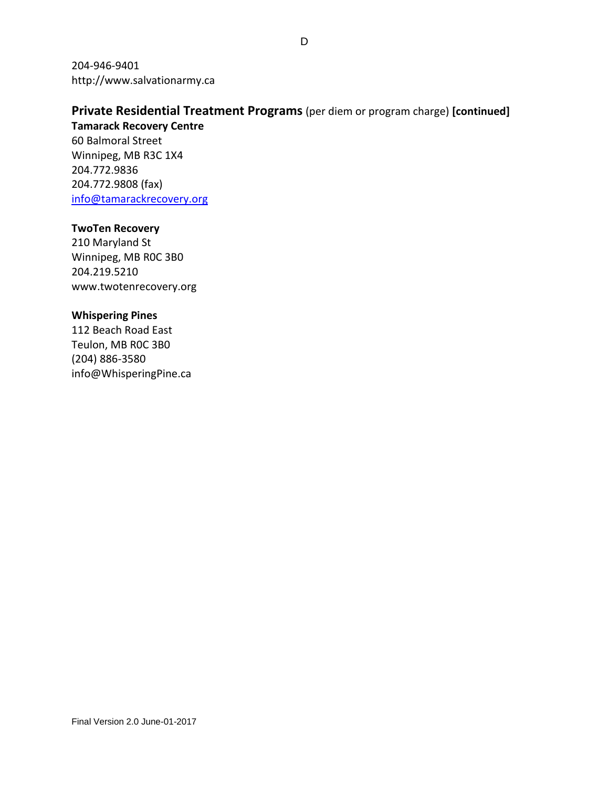204-946-9401 [http://www.salvationarmy.ca](http://www.salvationarmy.ca/)

# **Private Residential Treatment Programs** (per diem or program charge) **[continued]**

**Tamarack Recovery Centre** 60 Balmoral Street Winnipeg, MB R3C 1X4 204.772.9836 204.772.9808 (fax) [info@tamarackrecovery.org](mailto:info@tamarackrecovery.org)

# **TwoTen Recovery**

210 Maryland St Winnipeg, MB R0C 3B0 204.219.5210 www.twotenrecovery.org

# **Whispering Pines**

112 Beach Road East Teulon, MB R0C 3B0 [\(204\) 886-3580](javascript:void(0)) [info@WhisperingPine.ca](mailto:info@WhisperingPine.ca)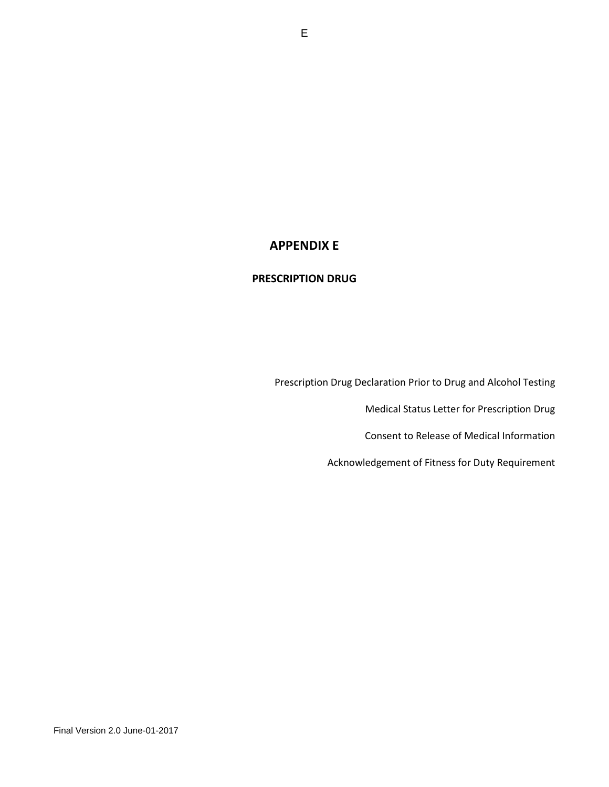# **APPENDIX E**

### **PRESCRIPTION DRUG**

Prescription Drug Declaration Prior to Drug and Alcohol Testing

Medical Status Letter for Prescription Drug

Consent to Release of Medical Information

Acknowledgement of Fitness for Duty Requirement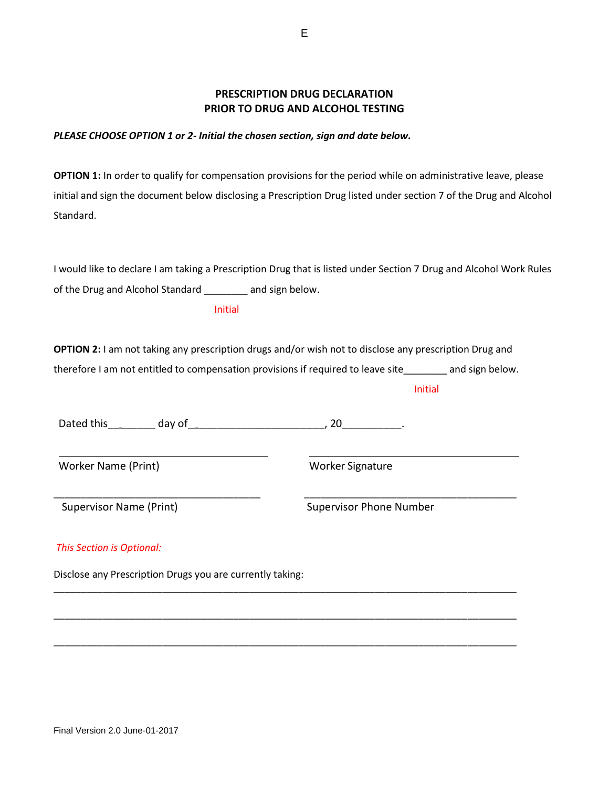# **PRESCRIPTION DRUG DECLARATION PRIOR TO DRUG AND ALCOHOL TESTING**

## *PLEASE CHOOSE OPTION 1 or 2- Initial the chosen section, sign and date below.*

**OPTION 1:** In order to qualify for compensation provisions for the period while on administrative leave, please initial and sign the document below disclosing a Prescription Drug listed under section 7 of the Drug and Alcohol Standard.

I would like to declare I am taking a Prescription Drug that is listed under Section 7 Drug and Alcohol Work Rules of the Drug and Alcohol Standard \_\_\_\_\_\_\_\_ and sign below.

Initial

**OPTION 2:** I am not taking any prescription drugs and/or wish not to disclose any prescription Drug and therefore I am not entitled to compensation provisions if required to leave site\_\_\_\_\_\_\_\_ and sign below.

\_\_\_\_\_\_\_\_\_\_\_\_\_\_\_\_\_\_\_\_\_\_\_\_\_\_\_\_\_\_\_\_\_\_\_\_\_\_ \_\_\_\_\_\_\_\_\_\_\_\_\_\_\_\_\_\_\_\_\_\_\_\_\_\_\_\_\_\_\_\_\_\_\_\_\_\_\_

\_\_\_\_\_\_\_\_\_\_\_\_\_\_\_\_\_\_\_\_\_\_\_\_\_\_\_\_\_\_\_\_\_\_\_\_\_\_\_\_\_\_\_\_\_\_\_\_\_\_\_\_\_\_\_\_\_\_\_\_\_\_\_\_\_\_\_\_\_\_\_\_\_\_\_\_\_\_\_\_\_\_\_\_\_

\_\_\_\_\_\_\_\_\_\_\_\_\_\_\_\_\_\_\_\_\_\_\_\_\_\_\_\_\_\_\_\_\_\_\_\_\_\_\_\_\_\_\_\_\_\_\_\_\_\_\_\_\_\_\_\_\_\_\_\_\_\_\_\_\_\_\_\_\_\_\_\_\_\_\_\_\_\_\_\_\_\_\_\_\_

\_\_\_\_\_\_\_\_\_\_\_\_\_\_\_\_\_\_\_\_\_\_\_\_\_\_\_\_\_\_\_\_\_\_\_\_\_\_\_\_\_\_\_\_\_\_\_\_\_\_\_\_\_\_\_\_\_\_\_\_\_\_\_\_\_\_\_\_\_\_\_\_\_\_\_\_\_\_\_\_\_\_\_\_\_

Initial

Dated this\_\_\_\_\_\_\_\_ day of\_\_\_\_\_\_\_\_\_\_\_\_\_\_\_\_\_\_\_\_\_\_\_, 20\_\_\_\_\_\_\_\_\_\_.

Worker Name (Print) Worker Signature

Supervisor Name (Print) Supervisor Phone Number

## *This Section is Optional:*

Disclose any Prescription Drugs you are currently taking: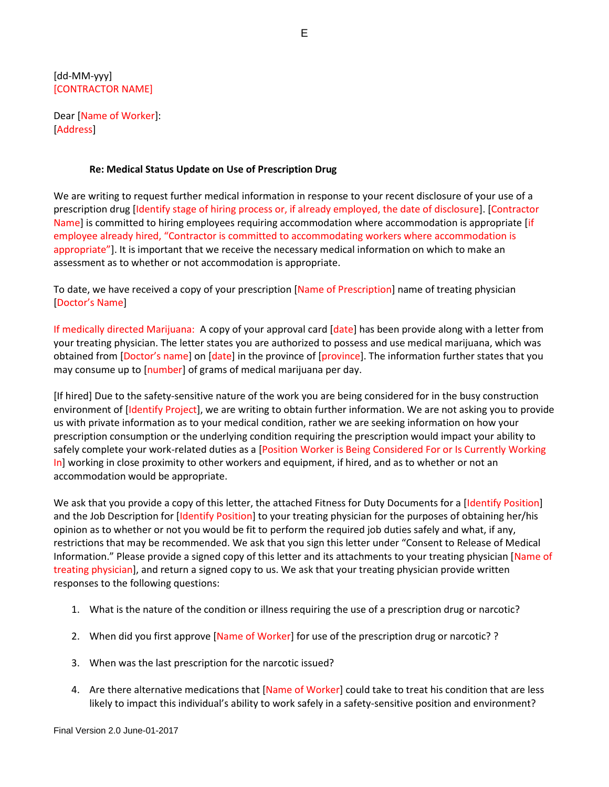[dd-MM-yyy] [CONTRACTOR NAME]

Dear [Name of Worker]: [Address]

#### **Re: Medical Status Update on Use of Prescription Drug**

We are writing to request further medical information in response to your recent disclosure of your use of a prescription drug [Identify stage of hiring process or, if already employed, the date of disclosure]. [Contractor Name] is committed to hiring employees requiring accommodation where accommodation is appropriate [if employee already hired, "Contractor is committed to accommodating workers where accommodation is appropriate"]. It is important that we receive the necessary medical information on which to make an assessment as to whether or not accommodation is appropriate.

To date, we have received a copy of your prescription [Name of Prescription] name of treating physician [Doctor's Name]

If medically directed Marijuana: A copy of your approval card [date] has been provide along with a letter from your treating physician. The letter states you are authorized to possess and use medical marijuana, which was obtained from [Doctor's name] on [date] in the province of [province]. The information further states that you may consume up to [number] of grams of medical marijuana per day.

[If hired] Due to the safety-sensitive nature of the work you are being considered for in the busy construction environment of [Identify Project], we are writing to obtain further information. We are not asking you to provide us with private information as to your medical condition, rather we are seeking information on how your prescription consumption or the underlying condition requiring the prescription would impact your ability to safely complete your work-related duties as a [Position Worker is Being Considered For or Is Currently Working In] working in close proximity to other workers and equipment, if hired, and as to whether or not an accommodation would be appropriate.

We ask that you provide a copy of this letter, the attached Fitness for Duty Documents for a [Identify Position] and the Job Description for [Identify Position] to your treating physician for the purposes of obtaining her/his opinion as to whether or not you would be fit to perform the required job duties safely and what, if any, restrictions that may be recommended. We ask that you sign this letter under "Consent to Release of Medical Information." Please provide a signed copy of this letter and its attachments to your treating physician [Name of treating physician], and return a signed copy to us. We ask that your treating physician provide written responses to the following questions:

- 1. What is the nature of the condition or illness requiring the use of a prescription drug or narcotic?
- 2. When did you first approve [Name of Worker] for use of the prescription drug or narcotic? ?
- 3. When was the last prescription for the narcotic issued?
- 4. Are there alternative medications that [Name of Worker] could take to treat his condition that are less likely to impact this individual's ability to work safely in a safety-sensitive position and environment?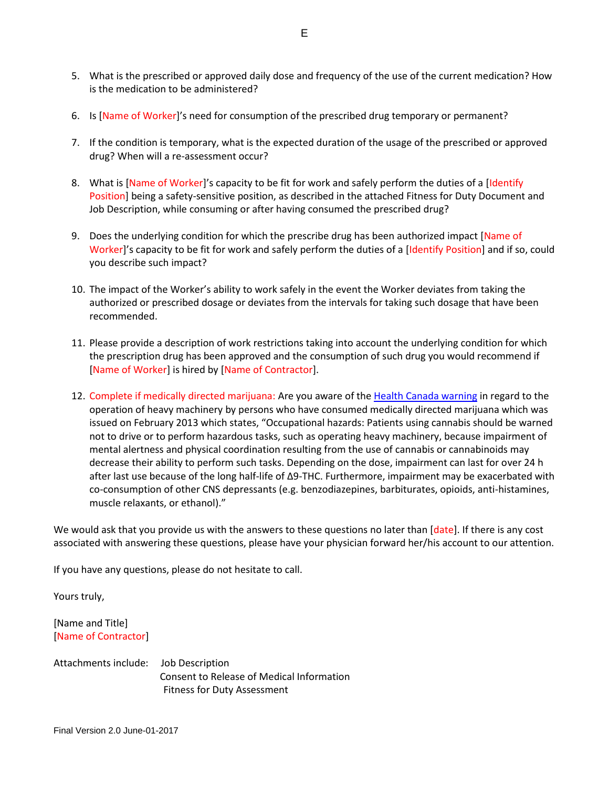- 5. What is the prescribed or approved daily dose and frequency of the use of the current medication? How is the medication to be administered?
- 6. Is [Name of Worker]'s need for consumption of the prescribed drug temporary or permanent?
- 7. If the condition is temporary, what is the expected duration of the usage of the prescribed or approved drug? When will a re-assessment occur?
- 8. What is [Name of Worker]'s capacity to be fit for work and safely perform the duties of a [Identify Position] being a safety-sensitive position, as described in the attached Fitness for Duty Document and Job Description, while consuming or after having consumed the prescribed drug?
- 9. Does the underlying condition for which the prescribe drug has been authorized impact [Name of Worker]'s capacity to be fit for work and safely perform the duties of a [Identify Position] and if so, could you describe such impact?
- 10. The impact of the Worker's ability to work safely in the event the Worker deviates from taking the authorized or prescribed dosage or deviates from the intervals for taking such dosage that have been recommended.
- 11. Please provide a description of work restrictions taking into account the underlying condition for which the prescription drug has been approved and the consumption of such drug you would recommend if [Name of Worker] is hired by [Name of Contractor].
- 12. Complete if medically directed marijuana: Are you aware of the [Health Canada warning](http://www.hc-sc.gc.ca/dhp-mps/marihuana/med/infoprof-eng.php#chp60) in regard to the operation of heavy machinery by persons who have consumed medically directed marijuana which was issued on February 2013 which states, "Occupational hazards: Patients using cannabis should be warned not to drive or to perform hazardous tasks, such as operating heavy machinery, because impairment of mental alertness and physical coordination resulting from the use of cannabis or cannabinoids may decrease their ability to perform such tasks. Depending on the dose, impairment can last for over 24 h after last use because of the long half-life of Δ9-THC. Furthermore, impairment may be exacerbated with co-consumption of other CNS depressants (e.g. benzodiazepines, barbiturates, opioids, anti-histamines, muscle relaxants, or ethanol)."

We would ask that you provide us with the answers to these questions no later than [date]. If there is any cost associated with answering these questions, please have your physician forward her/his account to our attention.

If you have any questions, please do not hesitate to call.

Yours truly,

[Name and Title] [Name of Contractor]

Attachments include: Job Description Consent to Release of Medical Information Fitness for Duty Assessment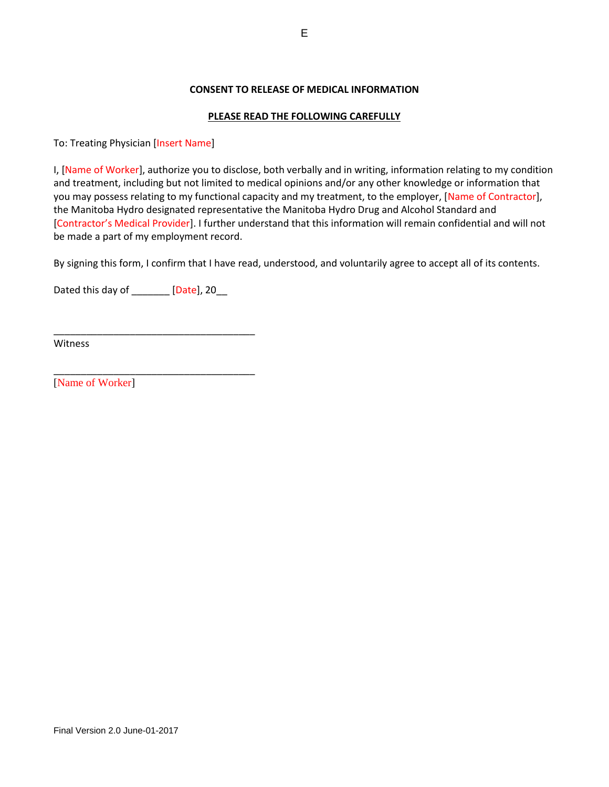## **CONSENT TO RELEASE OF MEDICAL INFORMATION**

## **PLEASE READ THE FOLLOWING CAREFULLY**

To: Treating Physician [Insert Name]

I, [Name of Worker], authorize you to disclose, both verbally and in writing, information relating to my condition and treatment, including but not limited to medical opinions and/or any other knowledge or information that you may possess relating to my functional capacity and my treatment, to the employer, [Name of Contractor], the Manitoba Hydro designated representative the Manitoba Hydro Drug and Alcohol Standard and [Contractor's Medical Provider]. I further understand that this information will remain confidential and will not be made a part of my employment record.

By signing this form, I confirm that I have read, understood, and voluntarily agree to accept all of its contents.

Dated this day of \_\_\_\_\_\_\_ [Date], 20\_\_

\_\_\_\_\_\_\_\_\_\_\_\_\_\_\_\_\_\_\_\_\_\_\_\_\_\_\_\_\_\_\_\_\_\_\_\_\_

\_\_\_\_\_\_\_\_\_\_\_\_\_\_\_\_\_\_\_\_\_\_\_\_\_\_\_\_\_\_\_\_\_\_\_\_\_

Witness

[Name of Worker]